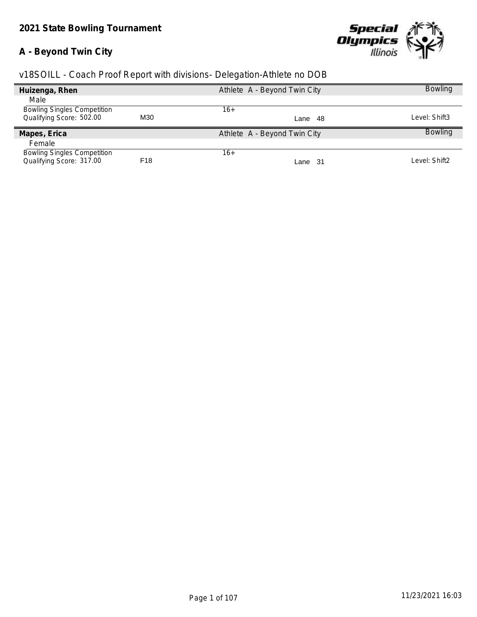# **A - Beyond Twin City**



| Huizenga, Rhen                     |                 | Athlete A - Beyond Twin City | <b>Bowling</b> |
|------------------------------------|-----------------|------------------------------|----------------|
| Male                               |                 |                              |                |
| <b>Bowling Singles Competition</b> |                 | 16+                          |                |
| Qualifying Score: 502.00           | M30             | Lane 48                      | Level: Shift3  |
| Mapes, Erica                       |                 | Athlete A - Beyond Twin City | <b>Bowling</b> |
| Female                             |                 |                              |                |
| <b>Bowling Singles Competition</b> |                 | $16+$                        |                |
| Qualifying Score: 317.00           | F <sub>18</sub> | Lane 31                      | Level: Shift2  |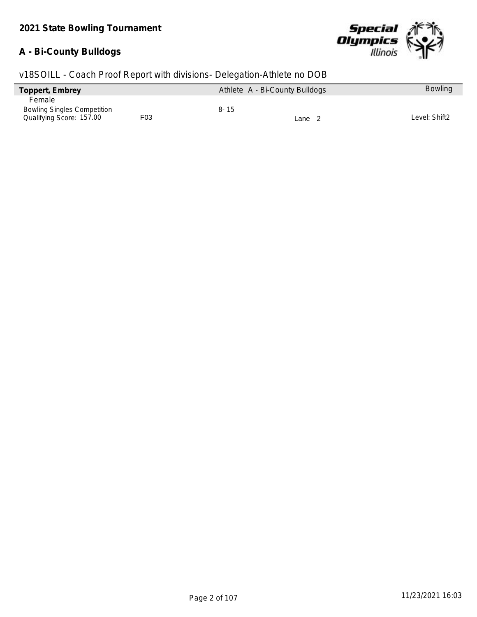#### **A - Bi-County Bulldogs**



| Toppert, Embrey                    |     | Athlete A - Bi-County Bulldogs | <b>Bowling</b> |
|------------------------------------|-----|--------------------------------|----------------|
| Female                             |     |                                |                |
| <b>Bowling Singles Competition</b> |     | $8 - 15$                       |                |
| Qualifying Score: 157.00           | F03 | Lane 2                         | Level: Shift2  |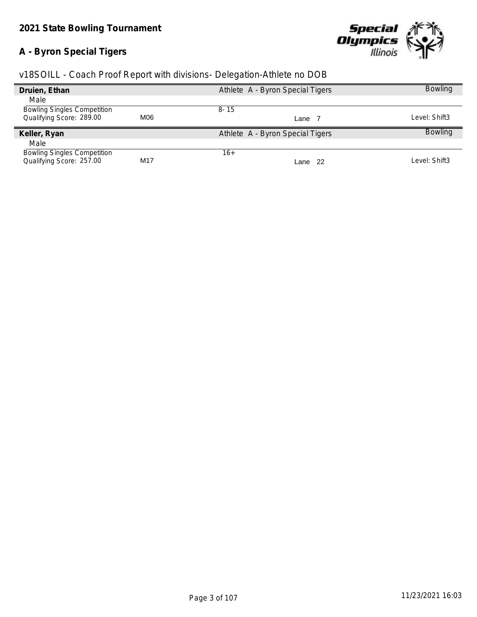# **A - Byron Special Tigers**



| v18SOILL - Coach Proof Report with divisions- Delegation-Athlete no DOB |  |  |  |  |  |
|-------------------------------------------------------------------------|--|--|--|--|--|
|                                                                         |  |  |  |  |  |

| Druien, Ethan                                                  |     | Athlete A - Byron Special Tigers | <b>Bowling</b> |
|----------------------------------------------------------------|-----|----------------------------------|----------------|
| Male                                                           |     |                                  |                |
| <b>Bowling Singles Competition</b>                             |     | $8 - 15$                         |                |
| Qualifying Score: 289.00                                       | M06 | Lane                             | Level: Shift3  |
|                                                                |     |                                  |                |
| Keller, Ryan                                                   |     | Athlete A - Byron Special Tigers | <b>Bowling</b> |
| Male                                                           |     |                                  |                |
| <b>Bowling Singles Competition</b><br>Qualifying Score: 257.00 |     | 16+                              |                |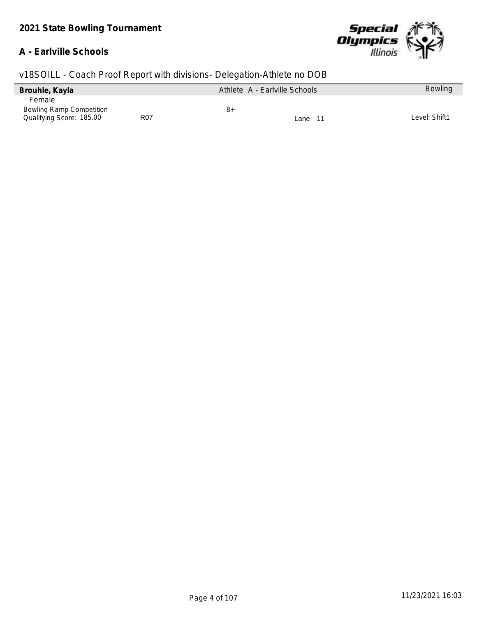#### **A - Earlville Schools**



| Brouhle, Kayla                  |                 | Athlete A - Earlville Schools |         | <b>Bowling</b> |
|---------------------------------|-----------------|-------------------------------|---------|----------------|
| Female                          |                 |                               |         |                |
| <b>Bowling Ramp Competition</b> |                 | ୪+                            |         |                |
| Qualifying Score: 185.00        | R <sub>07</sub> |                               | Lane 11 | Level: Shift1  |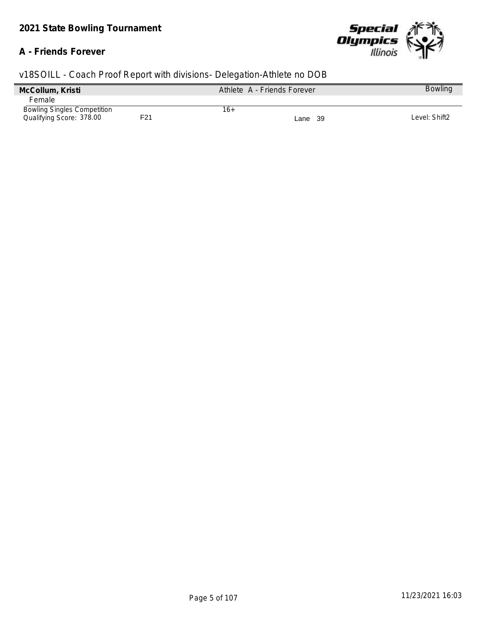### **A - Friends Forever**



| McCollum, Kristi                   |     |     | Athlete A - Friends Forever | <b>Bowling</b> |
|------------------------------------|-----|-----|-----------------------------|----------------|
| <b>Female</b>                      |     |     |                             |                |
| <b>Bowling Singles Competition</b> |     | 16+ |                             |                |
| Qualifying Score: 378.00           | F21 |     | Lane 39                     | Level: Shift2  |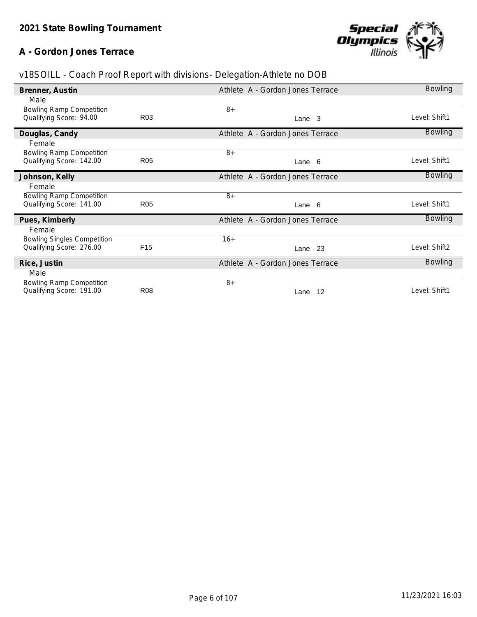## **A - Gordon Jones Terrace**



| v18SOILL - Coach Proof Report with divisions- Delegation-Athlete no DOB |  |  |  |  |  |
|-------------------------------------------------------------------------|--|--|--|--|--|
|                                                                         |  |  |  |  |  |

| Brenner, Austin                    |                 | Athlete A - Gordon Jones Terrace | <b>Bowling</b> |
|------------------------------------|-----------------|----------------------------------|----------------|
| Male                               |                 |                                  |                |
| <b>Bowling Ramp Competition</b>    |                 | $8+$                             |                |
| Qualifying Score: 94.00            | R <sub>03</sub> | Lane <sub>3</sub>                | Level: Shift1  |
| Douglas, Candy                     |                 | Athlete A - Gordon Jones Terrace | Bowling        |
| Female                             |                 |                                  |                |
| <b>Bowling Ramp Competition</b>    |                 | $8+$                             |                |
| Qualifying Score: 142.00           | <b>R05</b>      | Lane 6                           | Level: Shift1  |
| Johnson, Kelly                     |                 | Athlete A - Gordon Jones Terrace | <b>Bowling</b> |
| Female                             |                 |                                  |                |
| <b>Bowling Ramp Competition</b>    |                 | $8+$                             |                |
| Qualifying Score: 141.00           | <b>R05</b>      | Lane 6                           | Level: Shift1  |
| Pues, Kimberly                     |                 | Athlete A - Gordon Jones Terrace | <b>Bowling</b> |
| Female                             |                 |                                  |                |
| <b>Bowling Singles Competition</b> |                 | $16+$                            |                |
| Qualifying Score: 276.00           | F <sub>15</sub> | Lane 23                          | Level: Shift2  |
| Rice, Justin                       |                 | Athlete A - Gordon Jones Terrace | <b>Bowling</b> |
| Male                               |                 |                                  |                |
| <b>Bowling Ramp Competition</b>    |                 | $8+$                             |                |
| Qualifying Score: 191.00           | <b>R08</b>      | 12<br>Lane                       | Level: Shift1  |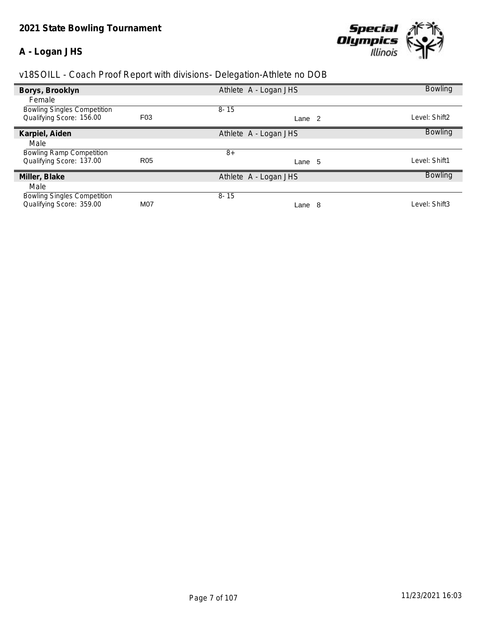#### **A - Logan JHS**



| Borys, Brooklyn                    |                  | Athlete A - Logan JHS | <b>Bowling</b> |
|------------------------------------|------------------|-----------------------|----------------|
| Female                             |                  |                       |                |
| <b>Bowling Singles Competition</b> |                  | $8 - 15$              |                |
| Qualifying Score: 156.00           | F <sub>0</sub> 3 | Lane <sub>2</sub>     | Level: Shift2  |
| Karpiel, Aiden                     |                  | Athlete A - Logan JHS | <b>Bowling</b> |
| Male                               |                  |                       |                |
| <b>Bowling Ramp Competition</b>    |                  | $8+$                  |                |
| Qualifying Score: 137.00           | R <sub>05</sub>  | Lane 5                | Level: Shift1  |
| Miller, Blake                      |                  | Athlete A - Logan JHS | <b>Bowling</b> |
| Male                               |                  |                       |                |
| <b>Bowling Singles Competition</b> |                  | $8 - 15$              |                |
| Qualifying Score: 359.00           | M07              | Lane 8                | Level: Shift3  |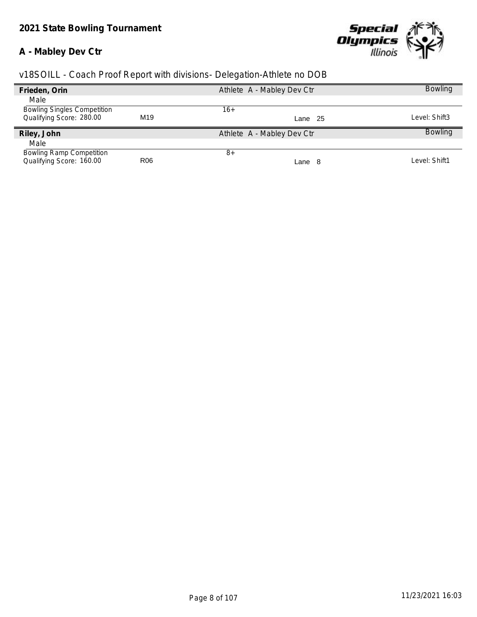### **A - Mabley Dev Ctr**



| Frieden, Orin                      |                 | Athlete A - Mabley Dev Ctr | <b>Bowling</b> |
|------------------------------------|-----------------|----------------------------|----------------|
| Male                               |                 |                            |                |
| <b>Bowling Singles Competition</b> |                 | $16+$                      |                |
| Qualifying Score: 280.00           | M <sub>19</sub> | Lane 25                    | Level: Shift3  |
| Riley, John                        |                 | Athlete A - Mabley Dev Ctr | <b>Bowling</b> |
| Male                               |                 |                            |                |
| <b>Bowling Ramp Competition</b>    |                 | $8+$                       |                |
| Qualifying Score: 160.00           | R <sub>06</sub> | Lane 8                     | Level: Shift1  |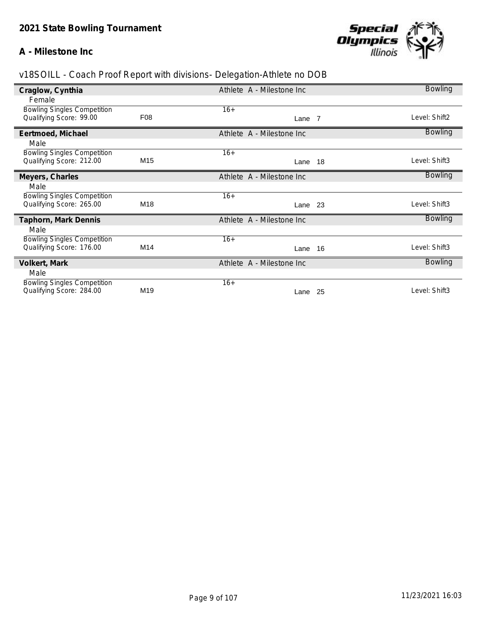#### **A - Milestone Inc**



| Craglow, Cynthia                   |                 | Athlete A - Milestone Inc |     | <b>Bowling</b> |
|------------------------------------|-----------------|---------------------------|-----|----------------|
| Female                             |                 |                           |     |                |
| <b>Bowling Singles Competition</b> |                 | $16+$                     |     |                |
| Qualifying Score: 99.00            | F08             | Lane 7                    |     | Level: Shift2  |
| Eertmoed, Michael                  |                 | Athlete A - Milestone Inc |     | <b>Bowling</b> |
| Male                               |                 |                           |     |                |
| <b>Bowling Singles Competition</b> |                 | $16+$                     |     |                |
| Qualifying Score: 212.00           | M <sub>15</sub> | Lane                      | 18  | Level: Shift3  |
| Meyers, Charles                    |                 | Athlete A - Milestone Inc |     | <b>Bowling</b> |
| Male                               |                 |                           |     |                |
| <b>Bowling Singles Competition</b> |                 | $16+$                     |     |                |
| Qualifying Score: 265.00           | M18             | Lane 23                   |     | Level: Shift3  |
| Taphorn, Mark Dennis               |                 | Athlete A - Milestone Inc |     | <b>Bowling</b> |
| Male                               |                 |                           |     |                |
| <b>Bowling Singles Competition</b> |                 | $16+$                     |     |                |
| Qualifying Score: 176.00           | M14             | Lane                      | 16  | Level: Shift3  |
| Volkert, Mark                      |                 | Athlete A - Milestone Inc |     | <b>Bowling</b> |
| Male                               |                 |                           |     |                |
| <b>Bowling Singles Competition</b> |                 | $16+$                     |     |                |
| Qualifying Score: 284.00           | M <sub>19</sub> | Lane                      | -25 | Level: Shift3  |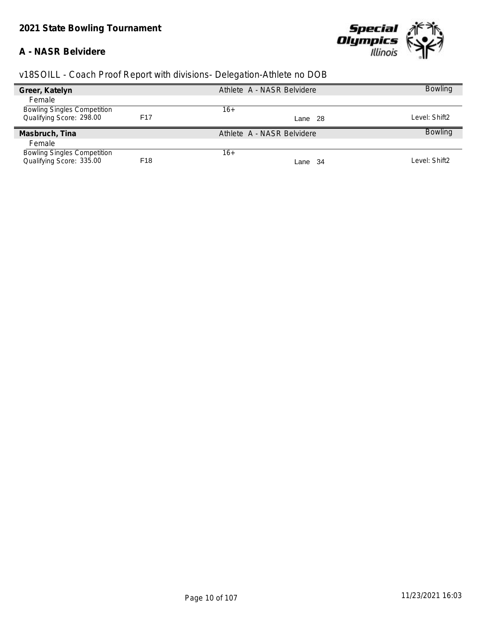#### **A - NASR Belvidere**



| Greer, Katelyn                     |                 | Athlete A - NASR Belvidere | <b>Bowling</b> |
|------------------------------------|-----------------|----------------------------|----------------|
| Female                             |                 |                            |                |
| <b>Bowling Singles Competition</b> |                 | $16+$                      |                |
| Qualifying Score: 298.00           | F17             | Lane 28                    | Level: Shift2  |
| Masbruch, Tina                     |                 | Athlete A - NASR Belvidere | <b>Bowling</b> |
| Female                             |                 |                            |                |
| <b>Bowling Singles Competition</b> |                 | $16+$                      |                |
| Qualifying Score: 335.00           | F <sub>18</sub> | Lane 34                    | Level: Shift2  |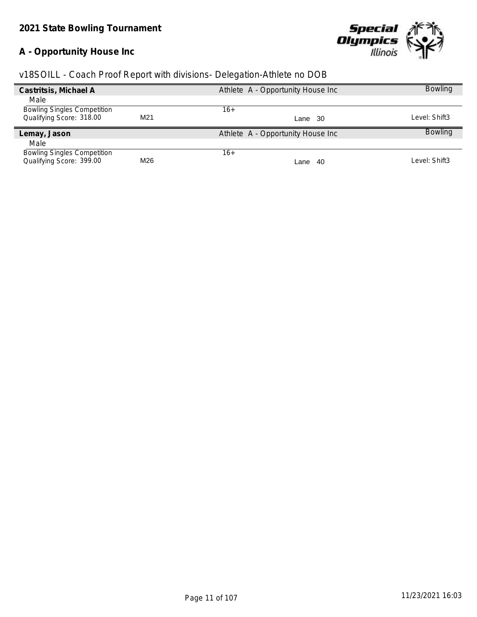# **A - Opportunity House Inc**



|  |  | v18SOILL - Coach Proof Report with divisions- Delegation-Athlete no DOB |  |
|--|--|-------------------------------------------------------------------------|--|
|  |  |                                                                         |  |

| Castritsis, Michael A              |     | Athlete A - Opportunity House Inc | <b>Bowling</b> |
|------------------------------------|-----|-----------------------------------|----------------|
| Male                               |     |                                   |                |
| <b>Bowling Singles Competition</b> |     | 16+                               |                |
| Qualifying Score: 318.00           | M21 | Lane 30                           | Level: Shift3  |
| Lemay, Jason                       |     | Athlete A - Opportunity House Inc | <b>Bowling</b> |
| Male                               |     |                                   |                |
| <b>Bowling Singles Competition</b> |     | $16+$                             |                |
| Qualifying Score: 399.00           | M26 | -40<br>Lane                       | Level: Shift3  |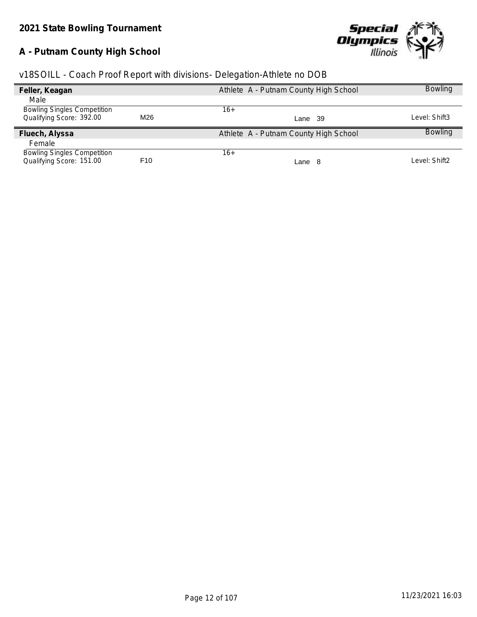# **A - Putnam County High School**



| v18SOILL - Coach Proof Report with divisions- Delegation-Athlete no DOB |  |  |  |
|-------------------------------------------------------------------------|--|--|--|
|                                                                         |  |  |  |

|                 | Athlete A - Putnam County High School | <b>Bowling</b> |
|-----------------|---------------------------------------|----------------|
|                 |                                       |                |
|                 | 16+                                   |                |
| M26             | Lane 39                               | Level: Shift3  |
|                 | Athlete A - Putnam County High School | <b>Bowling</b> |
|                 |                                       |                |
|                 | $16+$                                 |                |
| F <sub>10</sub> | Lane 8                                | Level: Shift2  |
|                 |                                       |                |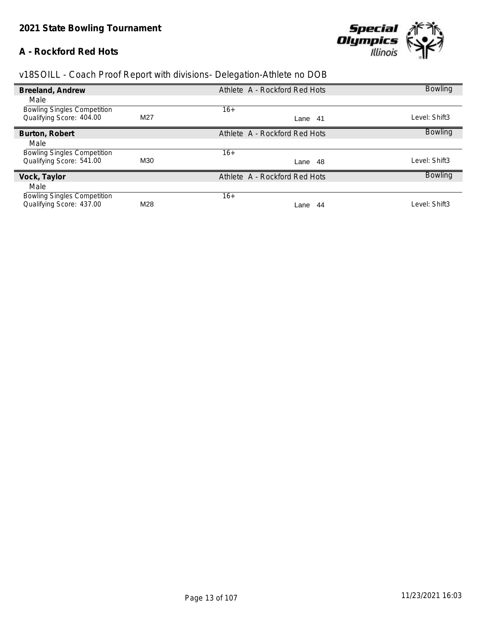## **A - Rockford Red Hots**



| Breeland, Andrew                   |     | Athlete A - Rockford Red Hots | <b>Bowling</b> |
|------------------------------------|-----|-------------------------------|----------------|
| Male                               |     |                               |                |
| <b>Bowling Singles Competition</b> |     | $16+$                         |                |
| Qualifying Score: 404.00           | M27 | Lane 41                       | Level: Shift3  |
| Burton, Robert                     |     | Athlete A - Rockford Red Hots | <b>Bowling</b> |
| Male                               |     |                               |                |
| <b>Bowling Singles Competition</b> |     | $16+$                         |                |
| Qualifying Score: 541.00           | M30 | -48<br>Lane                   | Level: Shift3  |
| Vock, Taylor                       |     | Athlete A - Rockford Red Hots | <b>Bowling</b> |
| Male                               |     |                               |                |
| <b>Bowling Singles Competition</b> |     | $16+$                         |                |
| Qualifying Score: 437.00           | M28 | 44<br>Lane                    | Level: Shift3  |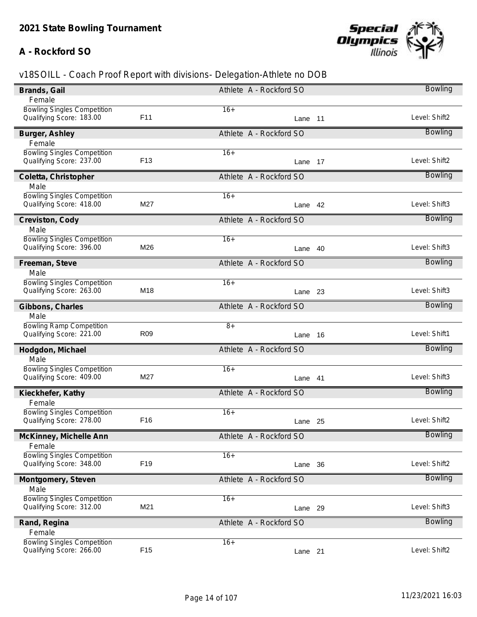## **A - Rockford SO**



| Brands, Gail                                                   |                 | Athlete A - Rockford SO | <b>Bowling</b> |
|----------------------------------------------------------------|-----------------|-------------------------|----------------|
| Female                                                         |                 |                         |                |
| <b>Bowling Singles Competition</b><br>Qualifying Score: 183.00 | F <sub>11</sub> | $16+$<br>Lane 11        | Level: Shift2  |
| Burger, Ashley                                                 |                 | Athlete A - Rockford SO | <b>Bowling</b> |
| Female                                                         |                 |                         |                |
| <b>Bowling Singles Competition</b>                             |                 | $16+$                   |                |
| Qualifying Score: 237.00                                       | F <sub>13</sub> | Lane 17                 | Level: Shift2  |
| Coletta, Christopher                                           |                 | Athlete A - Rockford SO | <b>Bowling</b> |
| Male                                                           |                 |                         |                |
| <b>Bowling Singles Competition</b>                             |                 | $16+$                   |                |
| Qualifying Score: 418.00                                       | M27             | Lane 42                 | Level: Shift3  |
| Creviston, Cody                                                |                 | Athlete A - Rockford SO | <b>Bowling</b> |
| Male                                                           |                 |                         |                |
| <b>Bowling Singles Competition</b>                             |                 | $16+$                   |                |
| Qualifying Score: 396.00                                       | M26             | Lane 40                 | Level: Shift3  |
| Freeman, Steve                                                 |                 | Athlete A - Rockford SO | <b>Bowling</b> |
| Male                                                           |                 |                         |                |
| <b>Bowling Singles Competition</b>                             |                 | $16+$                   |                |
| Qualifying Score: 263.00                                       | M18             | Lane 23                 | Level: Shift3  |
| Gibbons, Charles                                               |                 | Athlete A - Rockford SO | <b>Bowling</b> |
| Male                                                           |                 |                         |                |
| <b>Bowling Ramp Competition</b>                                |                 | $8+$                    |                |
| Qualifying Score: 221.00                                       | R <sub>09</sub> | Lane 16                 | Level: Shift1  |
| Hodgdon, Michael                                               |                 | Athlete A - Rockford SO | <b>Bowling</b> |
| Male                                                           |                 |                         |                |
| <b>Bowling Singles Competition</b>                             |                 | $16+$                   |                |
| Qualifying Score: 409.00                                       | M27             | Lane 41                 | Level: Shift3  |
| Kieckhefer, Kathy                                              |                 | Athlete A - Rockford SO | <b>Bowling</b> |
| Female                                                         |                 |                         |                |
| <b>Bowling Singles Competition</b>                             |                 | $16+$                   |                |
| Qualifying Score: 278.00                                       | F <sub>16</sub> | Lane 25                 | Level: Shift2  |
| McKinney, Michelle Ann                                         |                 | Athlete A - Rockford SO | <b>Bowling</b> |
| Female                                                         |                 |                         |                |
| <b>Bowling Singles Competition</b>                             |                 | $16+$                   |                |
| Qualifying Score: 348.00                                       | F <sub>19</sub> | Lane 36                 | Level: Shift2  |
|                                                                |                 | Athlete A - Rockford SO | <b>Bowling</b> |
| Montgomery, Steven<br>Male                                     |                 |                         |                |
| <b>Bowling Singles Competition</b>                             |                 | $16+$                   |                |
| Qualifying Score: 312.00                                       | M21             | Lane 29                 | Level: Shift3  |
|                                                                |                 |                         | <b>Bowling</b> |
| Rand, Regina                                                   |                 | Athlete A - Rockford SO |                |
| Female<br><b>Bowling Singles Competition</b>                   |                 | $16+$                   |                |
| Qualifying Score: 266.00                                       | F <sub>15</sub> | Lane 21                 | Level: Shift2  |
|                                                                |                 |                         |                |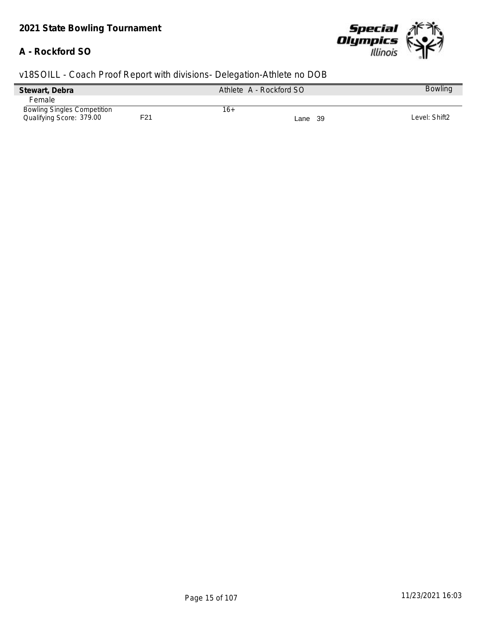#### **A - Rockford SO**



| Stewart, Debra                     | Athlete A - Rockford SO | <b>Bowling</b> |
|------------------------------------|-------------------------|----------------|
| Female                             |                         |                |
| <b>Bowling Singles Competition</b> | 16+                     |                |
| Qualifying Score: 379.00           | F21<br>Lane 39          | Level: Shift2  |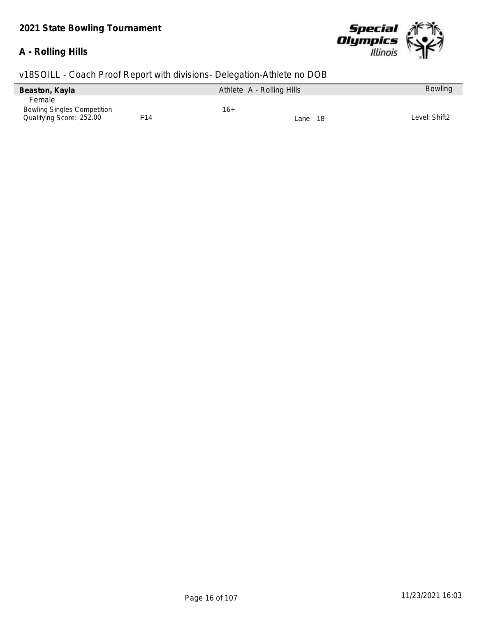### **A - Rolling Hills**



| Beaston, Kayla                     |     | Athlete A - Rolling Hills |             | <b>Bowling</b> |
|------------------------------------|-----|---------------------------|-------------|----------------|
| Female                             |     |                           |             |                |
| <b>Bowling Singles Competition</b> |     | 16+                       |             |                |
| Qualifying Score: 252.00           | F14 |                           | -18<br>Lane | Level: Shift2  |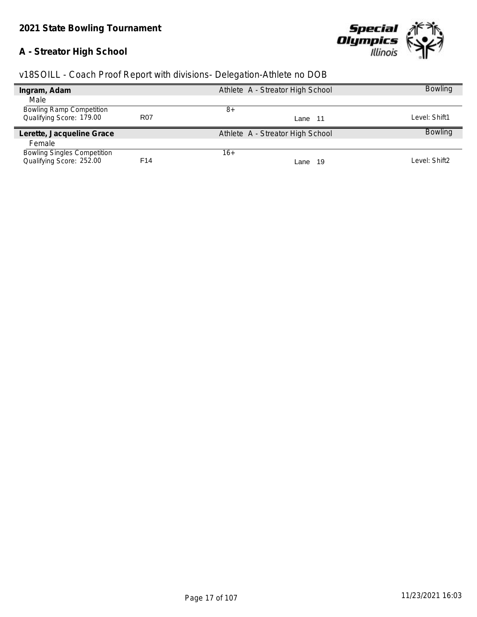# **A - Streator High School**



|  |  | v18SOILL - Coach Proof Report with divisions- Delegation-Athlete no DOB |  |
|--|--|-------------------------------------------------------------------------|--|
|  |  |                                                                         |  |

| Ingram, Adam                       |                 | Athlete A - Streator High School | <b>Bowling</b> |
|------------------------------------|-----------------|----------------------------------|----------------|
| Male                               |                 |                                  |                |
| <b>Bowling Ramp Competition</b>    |                 | 8+                               |                |
| Qualifying Score: 179.00           | R <sub>07</sub> | Lane 11                          | Level: Shift1  |
| Lerette, Jacqueline Grace          |                 | Athlete A - Streator High School | <b>Bowling</b> |
| Female                             |                 |                                  |                |
| <b>Bowling Singles Competition</b> |                 | 16+                              |                |
| Qualifying Score: 252.00           | F14             | - 19<br>Lane                     | Level: Shift2  |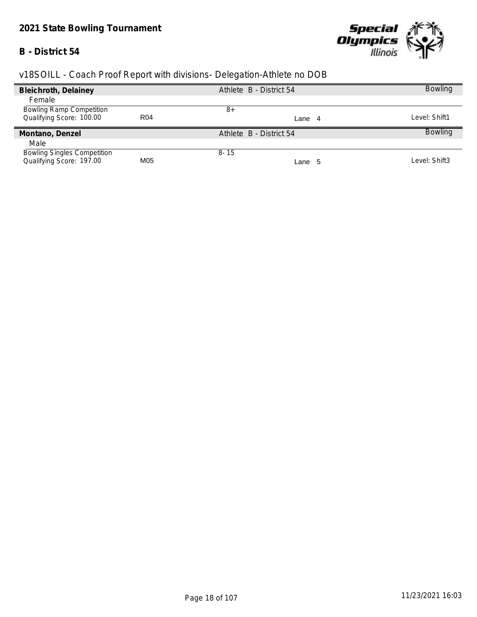# *2021 State Bowling Tournament*

### **B - District 54**



| Bleichroth, Delainey               |            | Athlete B - District 54 | <b>Bowling</b> |
|------------------------------------|------------|-------------------------|----------------|
| Female                             |            |                         |                |
| <b>Bowling Ramp Competition</b>    |            | 8+                      |                |
| Qualifying Score: 100.00           | <b>R04</b> | Lane<br>-4              | Level: Shift1  |
| Montano, Denzel                    |            | Athlete B - District 54 | <b>Bowling</b> |
| Male                               |            |                         |                |
| <b>Bowling Singles Competition</b> |            | $8 - 15$                |                |
| Qualifying Score: 197.00           | M05        | Lane 5                  | Level: Shift3  |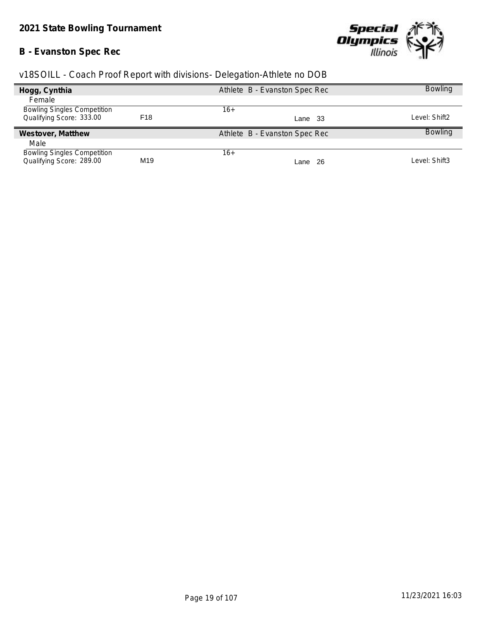# **B - Evanston Spec Rec**



| v18SOILL - Coach Proof Report with divisions- Delegation-Athlete no DOB |  |  |  |  |  |
|-------------------------------------------------------------------------|--|--|--|--|--|
|                                                                         |  |  |  |  |  |

| Hogg, Cynthia                      |     | Athlete B - Evanston Spec Rec | <b>Bowling</b> |
|------------------------------------|-----|-------------------------------|----------------|
| Female                             |     |                               |                |
| <b>Bowling Singles Competition</b> |     | 16+                           |                |
| Qualifying Score: 333.00           | F18 | Lane 33                       | Level: Shift2  |
| Westover, Matthew                  |     | Athlete B - Evanston Spec Rec | <b>Bowling</b> |
| Male                               |     |                               |                |
| <b>Bowling Singles Competition</b> |     | $16+$                         |                |
| Qualifying Score: 289.00           | M19 | - 26<br>Lane                  | Level: Shift3  |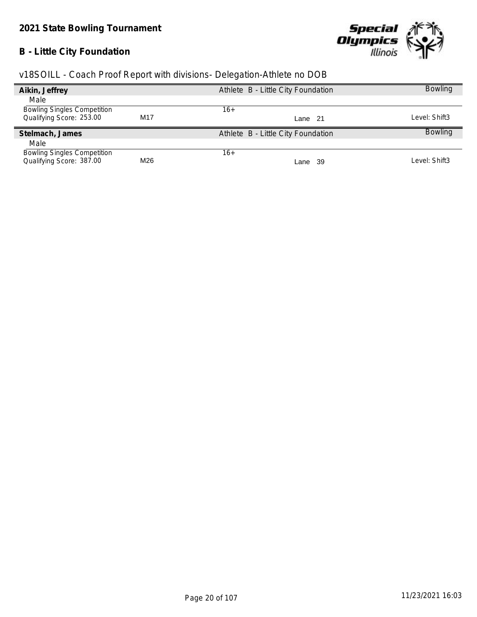# **B - Little City Foundation**



|  | v18SOILL - Coach Proof Report with divisions- Delegation-Athlete no DOB |  |
|--|-------------------------------------------------------------------------|--|
|  |                                                                         |  |

| Aikin, Jeffrey                     |     | Athlete B - Little City Foundation | <b>Bowling</b> |
|------------------------------------|-----|------------------------------------|----------------|
| Male                               |     |                                    |                |
| <b>Bowling Singles Competition</b> |     | 16+                                |                |
| Qualifying Score: 253.00           | M17 | Lane 21                            | Level: Shift3  |
| Stelmach, James                    |     | Athlete B - Little City Foundation | <b>Bowling</b> |
| Male                               |     |                                    |                |
| <b>Bowling Singles Competition</b> |     | $16+$                              |                |
| Qualifying Score: 387.00           | M26 | Lane 39                            | Level: Shift3  |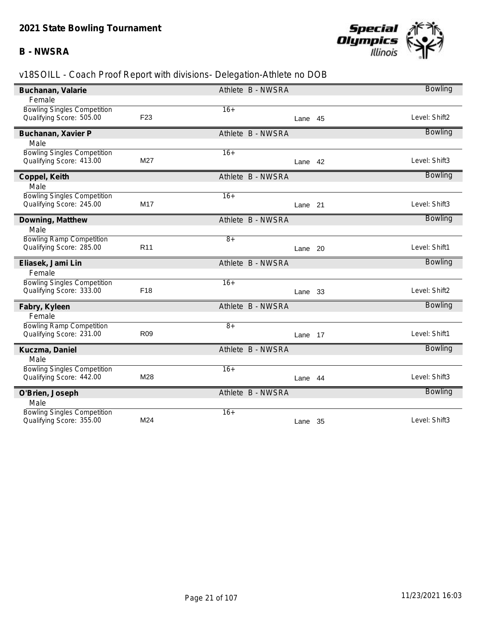### **B - NWSRA**



| Buchanan, Valarie                                              |                 | Athlete B - NWSRA | <b>Bowling</b> |
|----------------------------------------------------------------|-----------------|-------------------|----------------|
| Female                                                         |                 |                   |                |
| <b>Bowling Singles Competition</b>                             |                 | $16+$             |                |
| Qualifying Score: 505.00                                       | F <sub>23</sub> | Lane 45           | Level: Shift2  |
| Buchanan, Xavier P                                             |                 | Athlete B - NWSRA | <b>Bowling</b> |
| Male                                                           |                 |                   |                |
| <b>Bowling Singles Competition</b>                             |                 | $16+$             |                |
| Qualifying Score: 413.00                                       | M27             | Lane 42           | Level: Shift3  |
| Coppel, Keith                                                  |                 | Athlete B - NWSRA | <b>Bowling</b> |
| Male                                                           |                 |                   |                |
| <b>Bowling Singles Competition</b>                             |                 | $16+$             |                |
| Qualifying Score: 245.00                                       | M17             | Lane 21           | Level: Shift3  |
| Downing, Matthew                                               |                 | Athlete B - NWSRA | <b>Bowling</b> |
| Male                                                           |                 |                   |                |
| <b>Bowling Ramp Competition</b>                                |                 | $8+$              |                |
| Qualifying Score: 285.00                                       | R <sub>11</sub> | Lane 20           | Level: Shift1  |
|                                                                |                 |                   |                |
| Eliasek, Jami Lin                                              |                 | Athlete B - NWSRA | <b>Bowling</b> |
| Female                                                         |                 |                   |                |
| <b>Bowling Singles Competition</b>                             |                 | $16+$             |                |
| Qualifying Score: 333.00                                       | F <sub>18</sub> | 33<br>Lane        | Level: Shift2  |
| Fabry, Kyleen                                                  |                 | Athlete B - NWSRA | <b>Bowling</b> |
| Female                                                         |                 |                   |                |
| <b>Bowling Ramp Competition</b>                                |                 | $\overline{8+}$   |                |
| Qualifying Score: 231.00                                       | R <sub>09</sub> | Lane 17           | Level: Shift1  |
| Kuczma, Daniel                                                 |                 | Athlete B - NWSRA | <b>Bowling</b> |
| Male                                                           |                 |                   |                |
| <b>Bowling Singles Competition</b>                             |                 | $16+$             |                |
| Qualifying Score: 442.00                                       | M28             | Lane 44           | Level: Shift3  |
| O'Brien, Joseph                                                |                 | Athlete B - NWSRA | <b>Bowling</b> |
| Male                                                           |                 |                   |                |
| <b>Bowling Singles Competition</b><br>Qualifying Score: 355.00 | M24             | $16+$<br>Lane 35  | Level: Shift3  |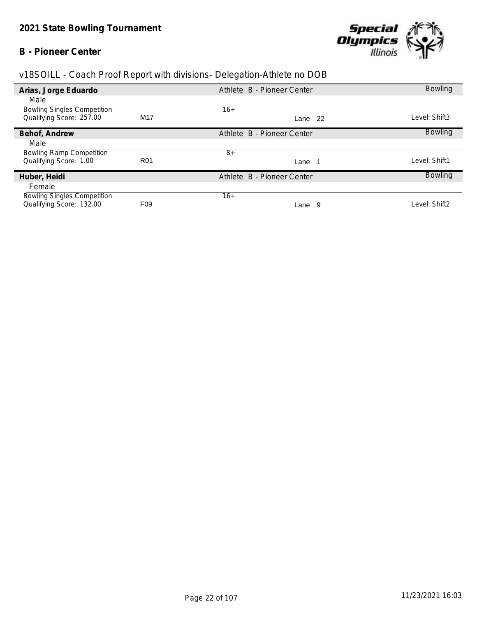### **B - Pioneer Center**



| Arias, Jorge Eduardo               |                 | Athlete B - Pioneer Center |    | <b>Bowling</b> |
|------------------------------------|-----------------|----------------------------|----|----------------|
| Male                               |                 |                            |    |                |
| <b>Bowling Singles Competition</b> |                 | $16+$                      |    |                |
| Qualifying Score: 257.00           | M17             | Lane 22                    |    | Level: Shift3  |
| Behof, Andrew                      |                 | Athlete B - Pioneer Center |    | <b>Bowling</b> |
| Male                               |                 |                            |    |                |
| <b>Bowling Ramp Competition</b>    |                 | $8+$                       |    |                |
| Qualifying Score: 1.00             | <b>R01</b>      | Lane                       |    | Level: Shift1  |
| Huber, Heidi                       |                 | Athlete B - Pioneer Center |    | <b>Bowling</b> |
| Female                             |                 |                            |    |                |
| <b>Bowling Singles Competition</b> |                 | $16+$                      |    |                |
| Qualifying Score: 132.00           | F <sub>09</sub> | Lane                       | -9 | Level: Shift2  |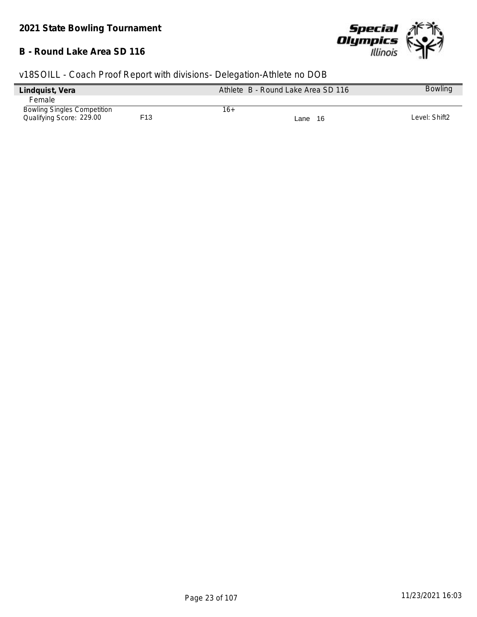#### **B - Round Lake Area SD 116**



| Lindquist, Vera                    |     | Athlete B - Round Lake Area SD 116 | <b>Bowling</b> |
|------------------------------------|-----|------------------------------------|----------------|
| Female                             |     |                                    |                |
| <b>Bowling Singles Competition</b> |     | 16+                                |                |
| Qualifying Score: 229.00           | F13 | Lane 16                            | Level: Shift2  |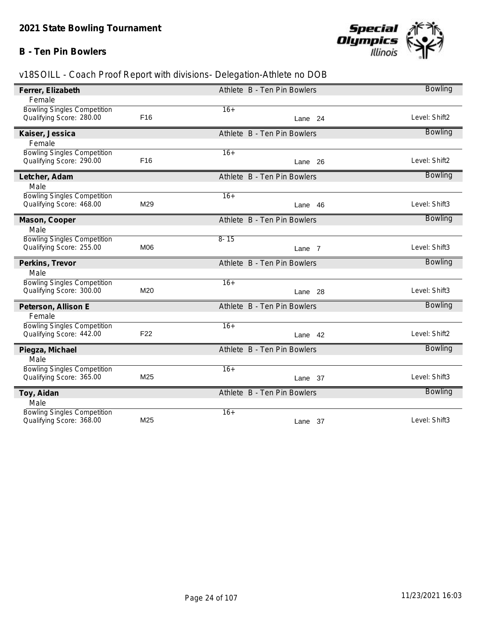### **B - Ten Pin Bowlers**



| Ferrer, Elizabeth                                              |                 | Athlete B - Ten Pin Bowlers | <b>Bowling</b> |
|----------------------------------------------------------------|-----------------|-----------------------------|----------------|
| Female                                                         |                 |                             |                |
| <b>Bowling Singles Competition</b>                             |                 | $16+$                       |                |
| Qualifying Score: 280.00                                       | F <sub>16</sub> | Lane 24                     | Level: Shift2  |
| Kaiser, Jessica                                                |                 | Athlete B - Ten Pin Bowlers | <b>Bowling</b> |
| Female                                                         |                 |                             |                |
| <b>Bowling Singles Competition</b>                             |                 | $16+$                       |                |
| Qualifying Score: 290.00                                       | F16             | Lane 26                     | Level: Shift2  |
| Letcher, Adam                                                  |                 | Athlete B - Ten Pin Bowlers | <b>Bowling</b> |
| Male                                                           |                 |                             |                |
| <b>Bowling Singles Competition</b>                             |                 | $16+$                       |                |
| Qualifying Score: 468.00                                       | M29             | Lane 46                     | Level: Shift3  |
| Mason, Cooper                                                  |                 | Athlete B - Ten Pin Bowlers | <b>Bowling</b> |
| Male                                                           |                 |                             |                |
| <b>Bowling Singles Competition</b>                             |                 | $8 - 15$                    |                |
| Qualifying Score: 255.00                                       | M06             | Lane 7                      | Level: Shift3  |
|                                                                |                 |                             |                |
| Perkins, Trevor                                                |                 | Athlete B - Ten Pin Bowlers | <b>Bowling</b> |
| Male                                                           |                 |                             |                |
| <b>Bowling Singles Competition</b>                             |                 | $16+$                       |                |
| Qualifying Score: 300.00                                       | M20             | Lane 28                     | Level: Shift3  |
| Peterson, Allison E                                            |                 | Athlete B - Ten Pin Bowlers | <b>Bowling</b> |
| Female                                                         |                 |                             |                |
| <b>Bowling Singles Competition</b>                             |                 | $16+$                       |                |
| Qualifying Score: 442.00                                       | F <sub>22</sub> | Lane 42                     | Level: Shift2  |
| Piegza, Michael                                                |                 | Athlete B - Ten Pin Bowlers | <b>Bowling</b> |
| Male                                                           |                 |                             |                |
| <b>Bowling Singles Competition</b>                             |                 | $16+$                       |                |
| Qualifying Score: 365.00                                       | M25             | Lane 37                     | Level: Shift3  |
| Toy, Aidan                                                     |                 | Athlete B - Ten Pin Bowlers | <b>Bowling</b> |
| Male                                                           |                 |                             |                |
| <b>Bowling Singles Competition</b><br>Qualifying Score: 368.00 | M25             | $16+$<br>Lane 37            | Level: Shift3  |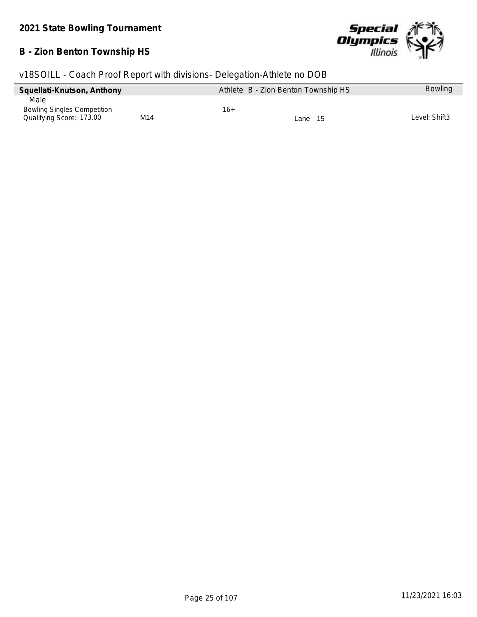#### **B - Zion Benton Township HS**



| Squellati-Knutson, Anthony         |     | Athlete B - Zion Benton Township HS | <b>Bowling</b> |
|------------------------------------|-----|-------------------------------------|----------------|
| Male                               |     |                                     |                |
| <b>Bowling Singles Competition</b> |     | 16+                                 |                |
| Qualifying Score: 173.00           | M14 | Lane 15                             | Level: Shift3  |
|                                    |     |                                     |                |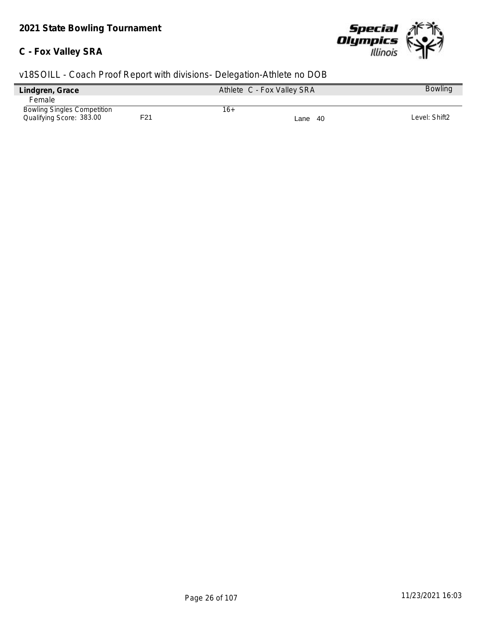#### **C - Fox Valley SRA**



| Lindgren, Grace                    |     | Athlete C - Fox Valley SRA | <b>Bowling</b> |
|------------------------------------|-----|----------------------------|----------------|
| Female                             |     |                            |                |
| <b>Bowling Singles Competition</b> |     | 16+                        |                |
| Qualifying Score: 383.00           | F21 | Lane 40                    | Level: Shift2  |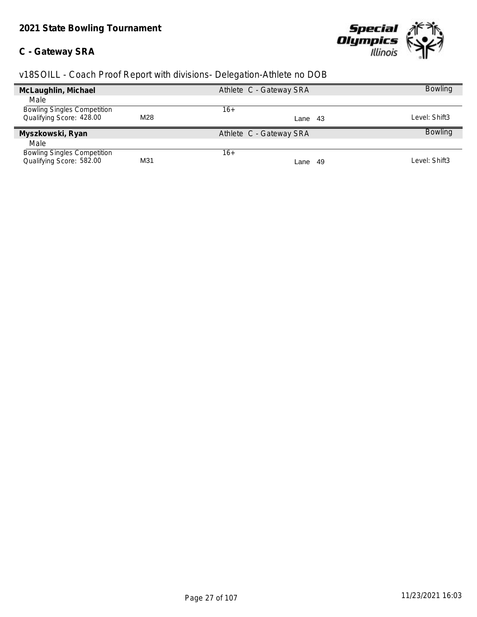### **C - Gateway SRA**



|     | Athlete C - Gateway SRA |     | <b>Bowling</b>  |
|-----|-------------------------|-----|-----------------|
|     |                         |     |                 |
|     | 16+                     |     |                 |
| M28 |                         |     | Level: Shift3   |
|     | Athlete C - Gateway SRA |     | <b>Bowling</b>  |
|     |                         |     |                 |
|     | 16+                     |     |                 |
| M31 |                         | -49 | Level: Shift3   |
|     |                         |     | Lane 43<br>Lane |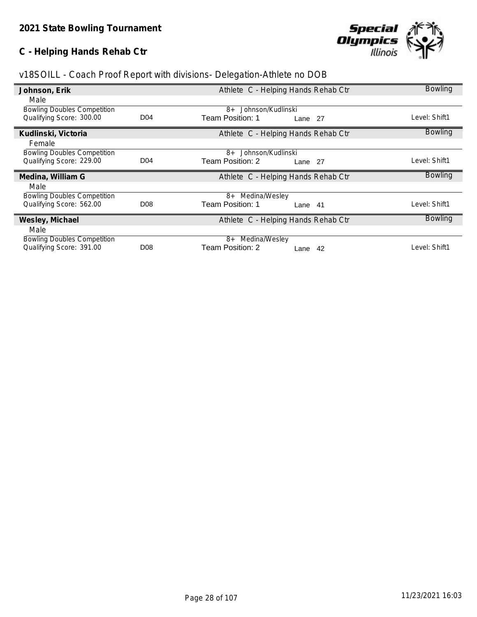# **C - Helping Hands Rehab Ctr**



| v18SOILL - Coach Proof Report with divisions- Delegation-Athlete no DOB |  |  |  |  |
|-------------------------------------------------------------------------|--|--|--|--|
|                                                                         |  |  |  |  |

| Johnson, Erik                                                  |                  | Athlete C - Helping Hands Rehab Ctr  | <b>Bowling</b> |
|----------------------------------------------------------------|------------------|--------------------------------------|----------------|
| Male                                                           |                  |                                      |                |
| <b>Bowling Doubles Competition</b>                             |                  | 8+ Johnson/Kudlinski                 |                |
| Qualifying Score: 300.00                                       | D <sub>04</sub>  | Team Position: 1<br>Lane 27          | Level: Shift1  |
| Kudlinski, Victoria                                            |                  | Athlete C - Helping Hands Rehab Ctr  | <b>Bowling</b> |
| Female                                                         |                  |                                      |                |
| <b>Bowling Doubles Competition</b>                             |                  | Johnson/Kudlinski<br>8+              |                |
| Qualifying Score: 229.00                                       | D <sub>04</sub>  | Team Position: 2<br>Lane 27          | Level: Shift1  |
|                                                                |                  |                                      |                |
| Medina, William G                                              |                  | Athlete C - Helping Hands Rehab Ctr  | <b>Bowling</b> |
| Male                                                           |                  |                                      |                |
| <b>Bowling Doubles Competition</b>                             |                  | Medina/Wesley<br>8+                  |                |
| Qualifying Score: 562.00                                       | D <sub>08</sub>  | Team Position: 1<br>Lane 41          | Level: Shift1  |
| Wesley, Michael                                                |                  | Athlete C - Helping Hands Rehab Ctr  | <b>Bowling</b> |
| Male                                                           |                  |                                      |                |
| <b>Bowling Doubles Competition</b><br>Qualifying Score: 391.00 | D <sub>0</sub> 8 | 8+ Medina/Wesley<br>Team Position: 2 | Level: Shift1  |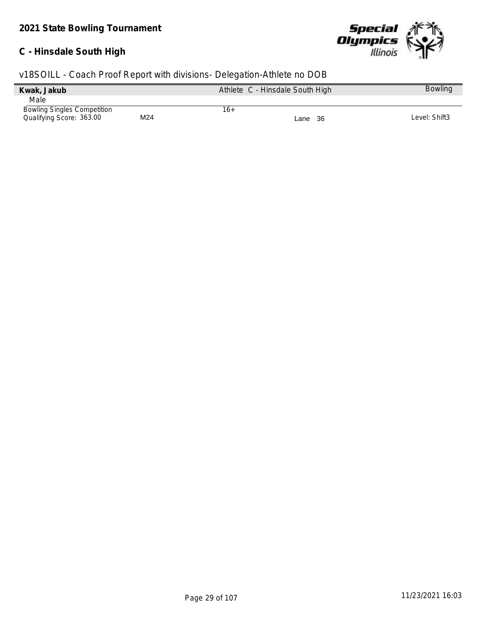# **C - Hinsdale South High**



| Kwak, Jakub                        |     |     | Athlete C - Hinsdale South High | <b>Bowling</b> |
|------------------------------------|-----|-----|---------------------------------|----------------|
| Male                               |     |     |                                 |                |
| <b>Bowling Singles Competition</b> |     | 16+ |                                 |                |
| Qualifying Score: 363.00           | M24 |     | Lane 36                         | Level: Shift3  |
|                                    |     |     |                                 |                |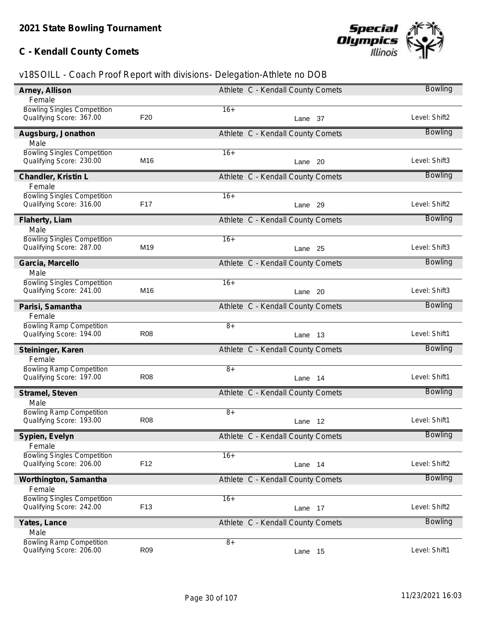# **C - Kendall County Comets**



| Arney, Allison                     |                 | Athlete C - Kendall County Comets | <b>Bowling</b> |
|------------------------------------|-----------------|-----------------------------------|----------------|
| Female                             |                 |                                   |                |
| <b>Bowling Singles Competition</b> |                 | $16+$                             |                |
| Qualifying Score: 367.00           | F <sub>20</sub> | Lane 37                           | Level: Shift2  |
| Augsburg, Jonathon                 |                 | Athlete C - Kendall County Comets | <b>Bowling</b> |
| Male                               |                 |                                   |                |
| <b>Bowling Singles Competition</b> |                 | $16+$                             |                |
| Qualifying Score: 230.00           | M16             | Lane 20                           | Level: Shift3  |
| Chandler, Kristin L                |                 | Athlete C - Kendall County Comets | Bowling        |
| Female                             |                 |                                   |                |
| <b>Bowling Singles Competition</b> |                 | $16+$                             |                |
| Qualifying Score: 316.00           | F17             | Lane 29                           | Level: Shift2  |
| Flaherty, Liam                     |                 | Athlete C - Kendall County Comets | <b>Bowling</b> |
| Male                               |                 |                                   |                |
| <b>Bowling Singles Competition</b> |                 | $16+$                             |                |
| Qualifying Score: 287.00           | M19             | Lane 25                           | Level: Shift3  |
| Garcia, Marcello                   |                 | Athlete C - Kendall County Comets | <b>Bowling</b> |
| Male                               |                 |                                   |                |
| <b>Bowling Singles Competition</b> |                 | $16+$                             |                |
| Qualifying Score: 241.00           | M16             | Lane 20                           | Level: Shift3  |
| Parisi, Samantha                   |                 | Athlete C - Kendall County Comets | Bowling        |
| Female                             |                 |                                   |                |
| <b>Bowling Ramp Competition</b>    |                 | $\overline{8+}$                   |                |
| Qualifying Score: 194.00           | <b>R08</b>      | Lane 13                           | Level: Shift1  |
| Steininger, Karen                  |                 | Athlete C - Kendall County Comets | <b>Bowling</b> |
| Female                             |                 |                                   |                |
| <b>Bowling Ramp Competition</b>    |                 | $8+$                              |                |
| Qualifying Score: 197.00           | <b>R08</b>      | Lane 14                           | Level: Shift1  |
| Stramel, Steven                    |                 | Athlete C - Kendall County Comets | Bowling        |
| Male                               |                 |                                   |                |
| <b>Bowling Ramp Competition</b>    |                 | $8+$                              |                |
| Qualifying Score: 193.00           | <b>R08</b>      | 12<br>Lane                        | Level: Shift1  |
| Sypien, Evelyn                     |                 | Athlete C - Kendall County Comets | <b>Bowling</b> |
| Female                             |                 |                                   |                |
| <b>Bowling Singles Competition</b> |                 | $16+$                             |                |
| Qualifying Score: 206.00           | F <sub>12</sub> | Lane 14                           | Level: Shift2  |
| Worthington, Samantha              |                 | Athlete C - Kendall County Comets | <b>Bowling</b> |
| Female                             |                 |                                   |                |
| <b>Bowling Singles Competition</b> |                 | $16+$                             |                |
| Qualifying Score: 242.00           | F <sub>13</sub> | Lane 17                           | Level: Shift2  |
| Yates, Lance                       |                 | Athlete C - Kendall County Comets | <b>Bowling</b> |
| Male                               |                 |                                   |                |
| <b>Bowling Ramp Competition</b>    |                 | $8+$                              |                |
| Qualifying Score: 206.00           | R09             | Lane 15                           | Level: Shift1  |
|                                    |                 |                                   |                |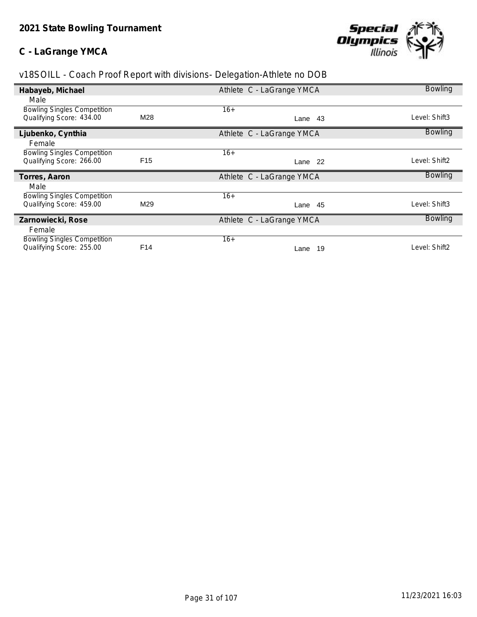#### **C - LaGrange YMCA**



| Habayeb, Michael                                               |                 | Athlete C - LaGrange YMCA | <b>Bowling</b> |
|----------------------------------------------------------------|-----------------|---------------------------|----------------|
| Male                                                           |                 |                           |                |
| <b>Bowling Singles Competition</b>                             |                 | $16+$                     |                |
| Qualifying Score: 434.00                                       | M28             | Lane 43                   | Level: Shift3  |
| Ljubenko, Cynthia                                              |                 | Athlete C - LaGrange YMCA | <b>Bowling</b> |
| Female                                                         |                 |                           |                |
| <b>Bowling Singles Competition</b>                             |                 | $16+$                     |                |
| Qualifying Score: 266.00                                       | F <sub>15</sub> | Lane 22                   | Level: Shift2  |
|                                                                |                 |                           |                |
| Torres, Aaron                                                  |                 | Athlete C - LaGrange YMCA | <b>Bowling</b> |
| Male                                                           |                 |                           |                |
| <b>Bowling Singles Competition</b>                             |                 | $16+$                     |                |
| Qualifying Score: 459.00                                       | M29             | Lane 45                   | Level: Shift3  |
| Zarnowiecki, Rose                                              |                 | Athlete C - LaGrange YMCA | <b>Bowling</b> |
| Female                                                         |                 |                           |                |
| <b>Bowling Singles Competition</b><br>Qualifying Score: 255.00 | F <sub>14</sub> | $16+$                     | Level: Shift2  |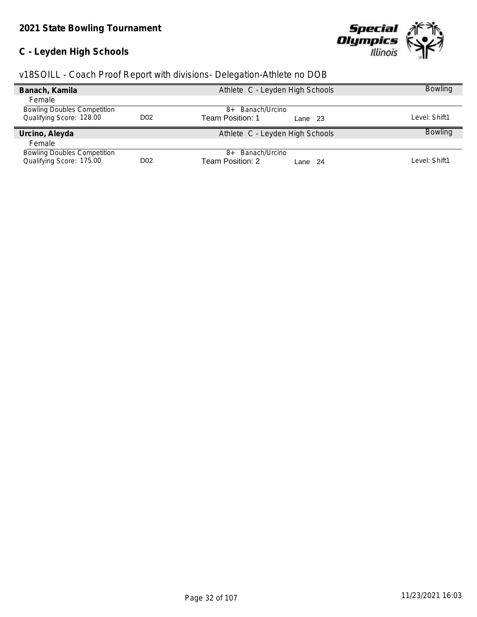# **C - Leyden High Schools**



|  | v18SOILL - Coach Proof Report with divisions- Delegation-Athlete no DOB |  |
|--|-------------------------------------------------------------------------|--|
|  |                                                                         |  |

| Banach, Kamila                     |                  | Athlete C - Leyden High Schools | <b>Bowling</b> |
|------------------------------------|------------------|---------------------------------|----------------|
| Female                             |                  |                                 |                |
| <b>Bowling Doubles Competition</b> |                  | Banach/Urcino<br>$8+$           |                |
| Qualifying Score: 128.00           | D <sub>0</sub> 2 | Team Position: 1<br>Lane 23     | ∟evel: Shift1  |
| Urcino, Aleyda                     |                  | Athlete C - Leyden High Schools | <b>Bowling</b> |
| Female                             |                  |                                 |                |
| <b>Bowling Doubles Competition</b> |                  | Banach/Urcino<br>$8+$           |                |
| Qualifying Score: 175.00           | D <sub>02</sub>  | Team Position: 2<br>Lane 24     | ∟evel: Shift1  |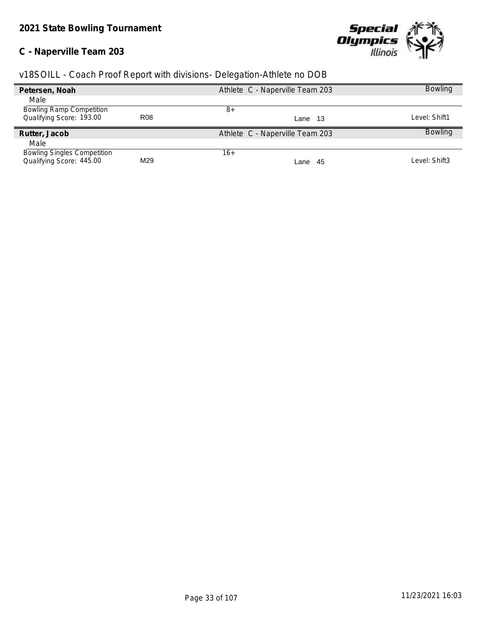# **C - Naperville Team 203**



| Petersen, Noah                     |                 | Athlete C - Naperville Team 203 | <b>Bowling</b> |
|------------------------------------|-----------------|---------------------------------|----------------|
| Male                               |                 |                                 |                |
| <b>Bowling Ramp Competition</b>    |                 | 8+                              |                |
| Qualifying Score: 193.00           | R <sub>08</sub> | Lane 13                         | Level: Shift1  |
| Rutter, Jacob                      |                 | Athlete C - Naperville Team 203 | <b>Bowling</b> |
| Male                               |                 |                                 |                |
| <b>Bowling Singles Competition</b> |                 | $16+$                           |                |
| Qualifying Score: 445.00           | M29             | -45<br>Lane                     | Level: Shift3  |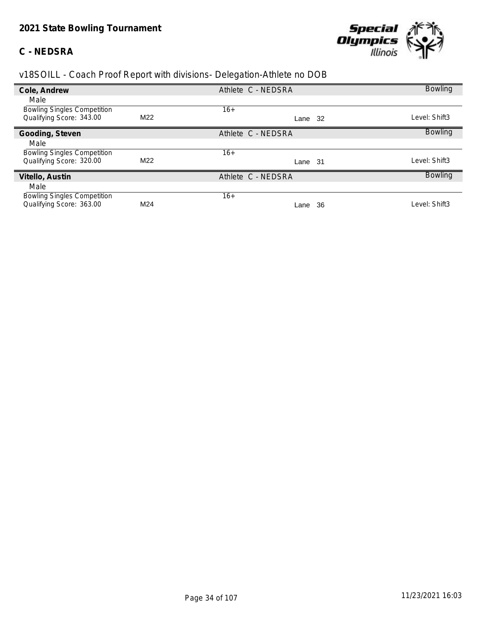### **C - NEDSRA**



| Cole, Andrew                       |     | Athlete C - NEDSRA | <b>Bowling</b> |
|------------------------------------|-----|--------------------|----------------|
| Male                               |     |                    |                |
| <b>Bowling Singles Competition</b> |     | $16+$              |                |
| Qualifying Score: 343.00           | M22 | -32<br>Lane        | Level: Shift3  |
| Gooding, Steven                    |     | Athlete C - NEDSRA | <b>Bowling</b> |
| Male                               |     |                    |                |
| <b>Bowling Singles Competition</b> |     | $16+$              |                |
| Qualifying Score: 320.00           | M22 | -31<br>Lane        | Level: Shift3  |
| Vitello, Austin                    |     | Athlete C - NEDSRA | <b>Bowling</b> |
| Male                               |     |                    |                |
| <b>Bowling Singles Competition</b> |     | $16+$              |                |
| Qualifying Score: 363.00           | M24 | 36<br>Lane         | Level: Shift3  |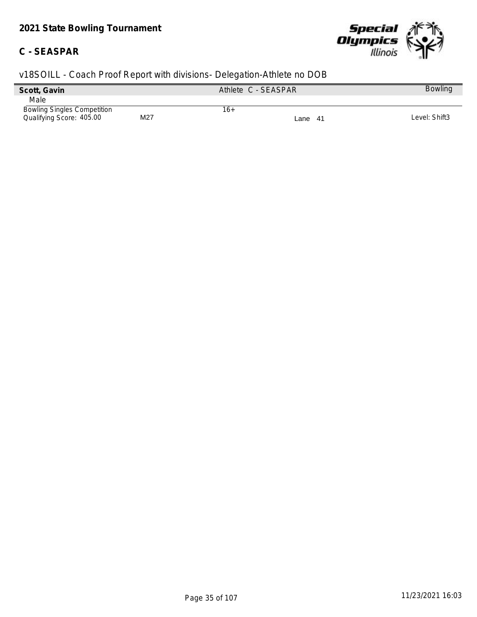# *2021 State Bowling Tournament*

### **C - SEASPAR**



| Scott, Gavin                       |     | Athlete C - SEASPAR |         | <b>Bowling</b> |
|------------------------------------|-----|---------------------|---------|----------------|
| Male                               |     |                     |         |                |
| <b>Bowling Singles Competition</b> |     | 16+                 |         |                |
| Qualifying Score: 405.00           | M27 |                     | Lane 41 | Level: Shift3  |
|                                    |     |                     |         |                |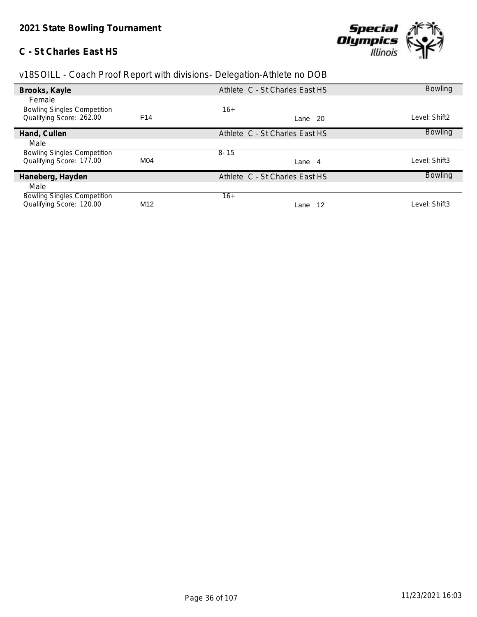## **C - St Charles East HS**



| Brooks, Kayle                      |                 | Athlete C - St Charles East HS | <b>Bowling</b> |
|------------------------------------|-----------------|--------------------------------|----------------|
| Female                             |                 |                                |                |
| <b>Bowling Singles Competition</b> |                 | $16+$                          |                |
| Qualifying Score: 262.00           | F <sub>14</sub> | Lane 20                        | Level: Shift2  |
| Hand, Cullen                       |                 | Athlete C - St Charles East HS | <b>Bowling</b> |
| Male                               |                 |                                |                |
| <b>Bowling Singles Competition</b> |                 | $8 - 15$                       |                |
| Qualifying Score: 177.00           | M04             | Lane 4                         | Level: Shift3  |
| Haneberg, Hayden                   |                 | Athlete C - St Charles East HS | <b>Bowling</b> |
| Male                               |                 |                                |                |
| <b>Bowling Singles Competition</b> |                 | $16+$                          |                |
| Qualifying Score: 120.00           | M <sub>12</sub> | 12<br>Lane                     | Level: Shift3  |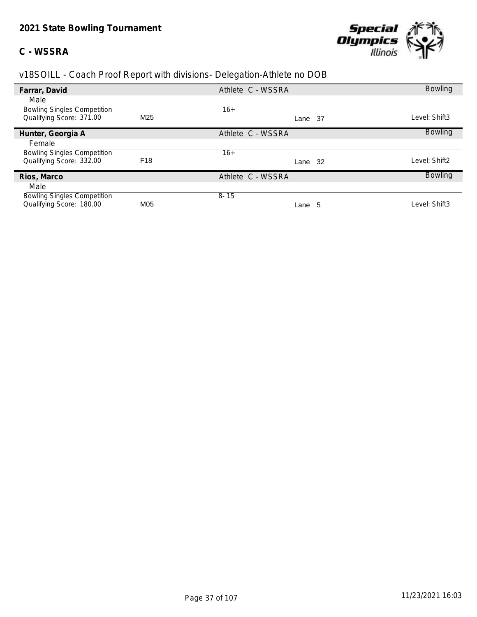### **C - WSSRA**



| Farrar, David                      |                 | Athlete C - WSSRA |             | <b>Bowling</b> |
|------------------------------------|-----------------|-------------------|-------------|----------------|
| Male                               |                 |                   |             |                |
| <b>Bowling Singles Competition</b> |                 | $16+$             |             |                |
| Qualifying Score: 371.00           | M <sub>25</sub> |                   | -37<br>Lane | Level: Shift3  |
| Hunter, Georgia A                  |                 | Athlete C - WSSRA |             | <b>Bowling</b> |
| Female                             |                 |                   |             |                |
| <b>Bowling Singles Competition</b> |                 | 16+               |             |                |
| Qualifying Score: 332.00           | F <sub>18</sub> |                   | -32<br>Lane | Level: Shift2  |
| Rios, Marco                        |                 | Athlete C - WSSRA |             | <b>Bowling</b> |
| Male                               |                 |                   |             |                |
| <b>Bowling Singles Competition</b> |                 | $8 - 15$          |             |                |
| Qualifying Score: 180.00           | M05             |                   | Lane 5      | Level: Shift3  |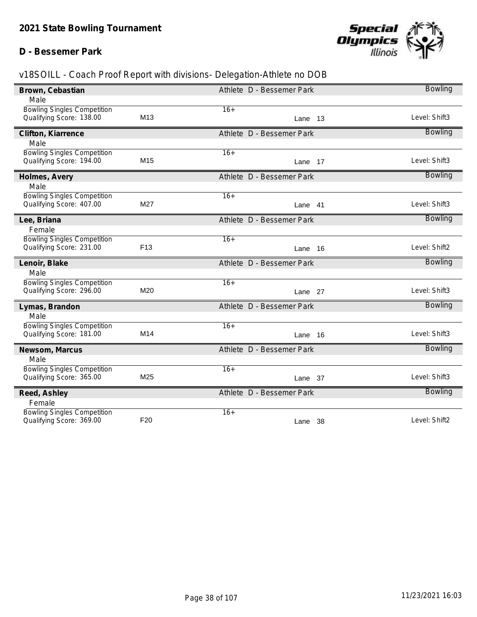## **D - Bessemer Park**



| Brown, Cebastian                                               |                 | Athlete D - Bessemer Park | <b>Bowling</b> |
|----------------------------------------------------------------|-----------------|---------------------------|----------------|
| Male                                                           |                 |                           |                |
| <b>Bowling Singles Competition</b>                             |                 | $16+$                     |                |
| Qualifying Score: 138.00                                       | M <sub>13</sub> | Lane 13                   | Level: Shift3  |
| Clifton, Kiarrence                                             |                 | Athlete D - Bessemer Park | <b>Bowling</b> |
| Male                                                           |                 |                           |                |
| <b>Bowling Singles Competition</b><br>Qualifying Score: 194.00 | M <sub>15</sub> | $16+$                     | Level: Shift3  |
|                                                                |                 | Lane 17                   |                |
| Holmes, Avery                                                  |                 | Athlete D - Bessemer Park | <b>Bowling</b> |
| Male                                                           |                 |                           |                |
| <b>Bowling Singles Competition</b><br>Qualifying Score: 407.00 | M27             | $16+$<br>Lane 41          | Level: Shift3  |
|                                                                |                 |                           |                |
| Lee, Briana                                                    |                 | Athlete D - Bessemer Park | <b>Bowling</b> |
| Female                                                         |                 |                           |                |
| <b>Bowling Singles Competition</b><br>Qualifying Score: 231.00 | F <sub>13</sub> | $16+$<br>Lane 16          | Level: Shift2  |
|                                                                |                 |                           |                |
| Lenoir, Blake                                                  |                 | Athlete D - Bessemer Park | <b>Bowling</b> |
| Male                                                           |                 |                           |                |
| <b>Bowling Singles Competition</b><br>Qualifying Score: 296.00 | M20             | $16+$<br>Lane 27          | Level: Shift3  |
|                                                                |                 |                           |                |
| Lymas, Brandon                                                 |                 | Athlete D - Bessemer Park | <b>Bowling</b> |
| Male                                                           |                 |                           |                |
| <b>Bowling Singles Competition</b><br>Qualifying Score: 181.00 | M14             | $16+$<br>Lane 16          | Level: Shift3  |
|                                                                |                 |                           |                |
| Newsom, Marcus                                                 |                 | Athlete D - Bessemer Park | <b>Bowling</b> |
| Male                                                           |                 |                           |                |
| <b>Bowling Singles Competition</b><br>Qualifying Score: 365.00 | M25             | $16+$<br>Lane 37          | Level: Shift3  |
|                                                                |                 |                           |                |
| Reed, Ashley                                                   |                 | Athlete D - Bessemer Park | <b>Bowling</b> |
| Female                                                         |                 |                           |                |
| <b>Bowling Singles Competition</b><br>Qualifying Score: 369.00 | F <sub>20</sub> | $16+$<br>Lane 38          | Level: Shift2  |
|                                                                |                 |                           |                |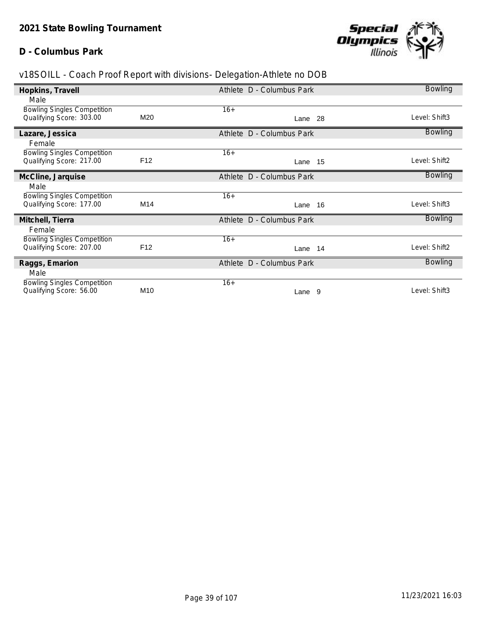## **D - Columbus Park**



| Hopkins, Travell                   |                 | Athlete D - Columbus Park | <b>Bowling</b> |
|------------------------------------|-----------------|---------------------------|----------------|
| Male                               |                 |                           |                |
| <b>Bowling Singles Competition</b> |                 | $16+$                     |                |
| Qualifying Score: 303.00           | M20             | Lane 28                   | Level: Shift3  |
| Lazare, Jessica                    |                 | Athlete D - Columbus Park | <b>Bowling</b> |
| Female                             |                 |                           |                |
| <b>Bowling Singles Competition</b> |                 | $16+$                     |                |
| Qualifying Score: 217.00           | F <sub>12</sub> | Lane 15                   | Level: Shift2  |
| McCline, Jarquise                  |                 | Athlete D - Columbus Park | <b>Bowling</b> |
| Male                               |                 |                           |                |
| <b>Bowling Singles Competition</b> |                 | $16+$                     |                |
| Qualifying Score: 177.00           | M14             | Lane 16                   | Level: Shift3  |
| Mitchell, Tierra                   |                 | Athlete D - Columbus Park | <b>Bowling</b> |
| Female                             |                 |                           |                |
| <b>Bowling Singles Competition</b> |                 | $16+$                     |                |
| Qualifying Score: 207.00           | F <sub>12</sub> | Lane 14                   | Level: Shift2  |
| Raggs, Emarion                     |                 | Athlete D - Columbus Park | <b>Bowling</b> |
| Male                               |                 |                           |                |
| <b>Bowling Singles Competition</b> |                 | $16+$                     |                |
| Qualifying Score: 56.00            | M10             | Lane 9                    | Level: Shift3  |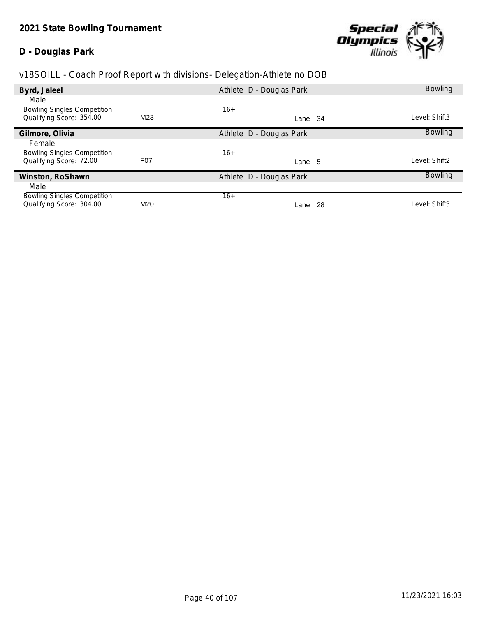### **D - Douglas Park**



| Byrd, Jaleel                       |                  | Athlete D - Douglas Park |     | <b>Bowling</b> |
|------------------------------------|------------------|--------------------------|-----|----------------|
| Male                               |                  |                          |     |                |
| <b>Bowling Singles Competition</b> |                  | $16+$                    |     |                |
| Qualifying Score: 354.00           | M <sub>23</sub>  | Lane 34                  |     | Level: Shift3  |
| Gilmore, Olivia                    |                  | Athlete D - Douglas Park |     | <b>Bowling</b> |
| Female                             |                  |                          |     |                |
| <b>Bowling Singles Competition</b> |                  | $16+$                    |     |                |
| Qualifying Score: 72.00            | F <sub>0</sub> 7 | Lane 5                   |     | Level: Shift2  |
| Winston, RoShawn                   |                  | Athlete D - Douglas Park |     | <b>Bowling</b> |
| Male                               |                  |                          |     |                |
| <b>Bowling Singles Competition</b> |                  | $16+$                    |     |                |
| Qualifying Score: 304.00           | M20              | Lane                     | -28 | Level: Shift3  |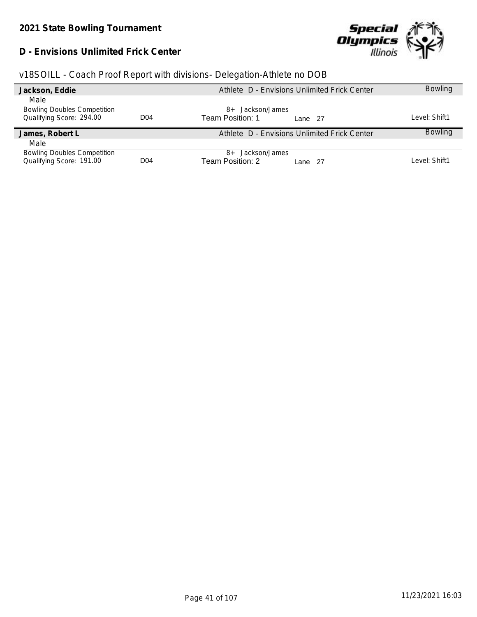## **D - Envisions Unlimited Frick Center**



|  | v18SOILL - Coach Proof Report with divisions- Delegation-Athlete no DOB |  |
|--|-------------------------------------------------------------------------|--|
|  |                                                                         |  |

| Jackson, Eddie                                                 |                 | Athlete D - Envisions Unlimited Frick Center    | <b>Bowling</b> |
|----------------------------------------------------------------|-----------------|-------------------------------------------------|----------------|
| Male                                                           |                 |                                                 |                |
| <b>Bowling Doubles Competition</b>                             |                 | Jackson/James<br>$8+$                           |                |
| Qualifying Score: 294.00                                       | D <sub>04</sub> | Team Position: 1<br>Lane 27                     | Level: Shift1  |
| James, Robert L                                                |                 | Athlete D - Envisions Unlimited Frick Center    | <b>Bowling</b> |
| Male                                                           |                 |                                                 |                |
| <b>Bowling Doubles Competition</b><br>Qualifying Score: 191.00 | D <sub>04</sub> | 8+ Jackson/James<br>Team Position: 2<br>Lane 27 | Level: Shift1  |
|                                                                |                 |                                                 |                |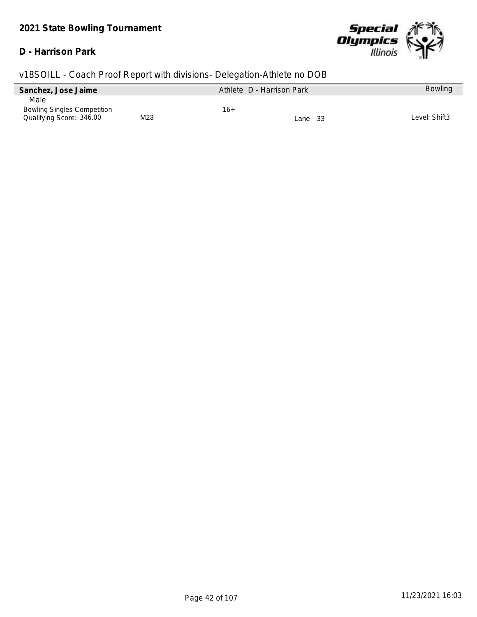#### **D - Harrison Park**



| Sanchez, Jose Jaime                |     | Athlete D - Harrison Park |         | <b>Bowling</b> |
|------------------------------------|-----|---------------------------|---------|----------------|
| Male                               |     |                           |         |                |
| <b>Bowling Singles Competition</b> |     | 16+                       |         |                |
| Qualifying Score: 346.00           | M23 |                           | Lane 33 | Level: Shift3  |
|                                    |     |                           |         |                |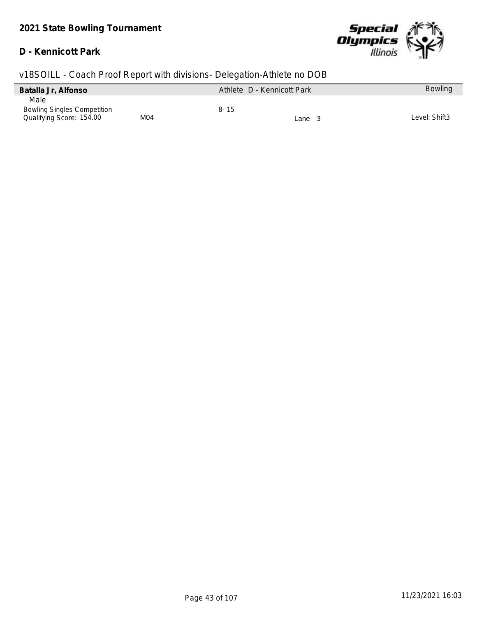## **D - Kennicott Park**



| v18SOILL - Coach Proof Report with divisions- Delegation-Athlete no DOB |     |          |                            |                |
|-------------------------------------------------------------------------|-----|----------|----------------------------|----------------|
| Batalla Jr, Alfonso                                                     |     |          | Athlete D - Kennicott Park | <b>Bowling</b> |
| Male                                                                    |     |          |                            |                |
| <b>Bowling Singles Competition</b><br>Qualifying Score: 154.00          | M04 | $8 - 15$ | Lane $3$                   | Level: Shift3  |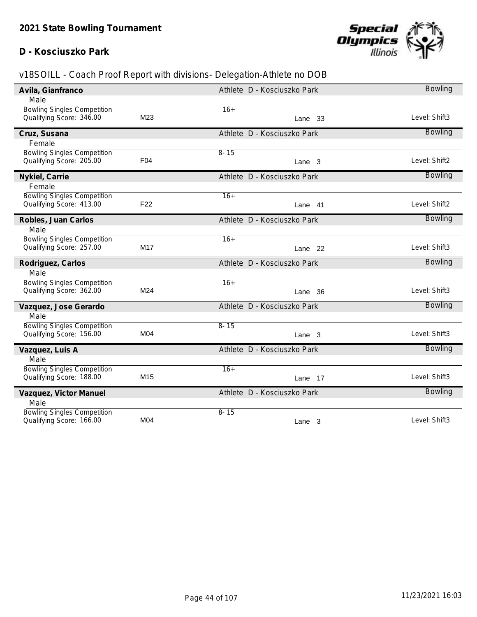## **D - Kosciuszko Park**



| Avila, Gianfranco                  |                 | Athlete D - Kosciuszko Park | <b>Bowling</b> |
|------------------------------------|-----------------|-----------------------------|----------------|
| Male                               |                 |                             |                |
| <b>Bowling Singles Competition</b> |                 | $16+$                       |                |
| Qualifying Score: 346.00           | M23             | Lane 33                     | Level: Shift3  |
| Cruz, Susana                       |                 | Athlete D - Kosciuszko Park | <b>Bowling</b> |
| Female                             |                 |                             |                |
| <b>Bowling Singles Competition</b> |                 | $8 - 15$                    |                |
| Qualifying Score: 205.00           | F04             | Lane 3                      | Level: Shift2  |
| Nykiel, Carrie                     |                 | Athlete D - Kosciuszko Park | <b>Bowling</b> |
| Female                             |                 |                             |                |
| <b>Bowling Singles Competition</b> |                 | $16+$                       |                |
| Qualifying Score: 413.00           | F <sub>22</sub> | Lane 41                     | Level: Shift2  |
| Robles, Juan Carlos                |                 | Athlete D - Kosciuszko Park | <b>Bowling</b> |
| Male                               |                 |                             |                |
| <b>Bowling Singles Competition</b> |                 | $16+$                       |                |
| Qualifying Score: 257.00           | M17             | Lane 22                     | Level: Shift3  |
| Rodriguez, Carlos                  |                 | Athlete D - Kosciuszko Park | <b>Bowling</b> |
| Male                               |                 |                             |                |
| <b>Bowling Singles Competition</b> |                 | $16+$                       |                |
| Qualifying Score: 362.00           | M24             | Lane 36                     | Level: Shift3  |
| Vazquez, Jose Gerardo              |                 | Athlete D - Kosciuszko Park | <b>Bowling</b> |
| Male                               |                 |                             |                |
| <b>Bowling Singles Competition</b> |                 | $8 - 15$                    |                |
| Qualifying Score: 156.00           | M04             | Lane 3                      | Level: Shift3  |
| Vazquez, Luis A                    |                 | Athlete D - Kosciuszko Park | <b>Bowling</b> |
| Male                               |                 |                             |                |
| <b>Bowling Singles Competition</b> |                 | $16+$                       |                |
| Qualifying Score: 188.00           | M15             | Lane 17                     | Level: Shift3  |
| Vazquez, Victor Manuel             |                 | Athlete D - Kosciuszko Park | <b>Bowling</b> |
| Male                               |                 |                             |                |
| <b>Bowling Singles Competition</b> | M04             | $8 - 15$                    | Level: Shift3  |
| Qualifying Score: 166.00           |                 | Lane 3                      |                |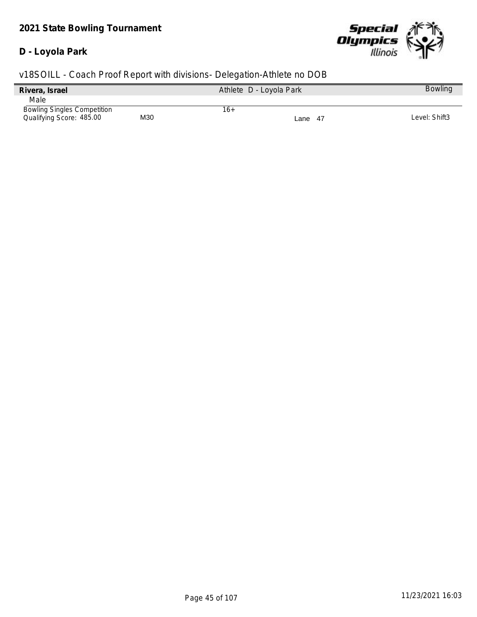#### **D - Loyola Park**



| Rivera, Israel                     |     | Athlete D - Loyola Park | <b>Bowling</b> |
|------------------------------------|-----|-------------------------|----------------|
| Male                               |     |                         |                |
| <b>Bowling Singles Competition</b> |     | 16+                     |                |
| Qualifying Score: 485.00           | M30 | Lane 47                 | Level: Shift3  |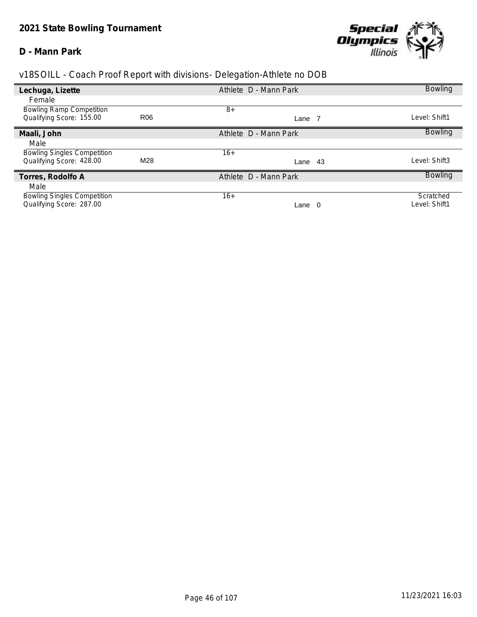#### **D - Mann Park**



| Lechuga, Lizette                                            |                 | Athlete D - Mann Park | <b>Bowling</b> |
|-------------------------------------------------------------|-----------------|-----------------------|----------------|
| Female                                                      |                 |                       |                |
| <b>Bowling Ramp Competition</b><br>Qualifying Score: 155.00 | R <sub>06</sub> | $8+$<br>Lane 7        | Level: Shift1  |
| Maali, John                                                 |                 | Athlete D - Mann Park | <b>Bowling</b> |
| Male                                                        |                 |                       |                |
| <b>Bowling Singles Competition</b>                          |                 | $16+$                 |                |
| Qualifying Score: 428.00                                    | M28             | Lane 43               | Level: Shift3  |
| Torres, Rodolfo A                                           |                 | Athlete D - Mann Park | <b>Bowling</b> |
| Male                                                        |                 |                       |                |
| <b>Bowling Singles Competition</b>                          |                 | $16+$                 | Scratched      |
| Qualifying Score: 287.00                                    |                 | - 0<br>Lane           | Level: Shift1  |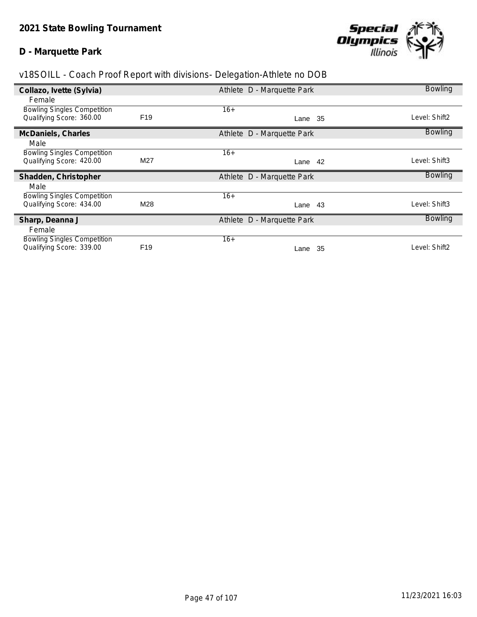#### **D - Marquette Park**



| Collazo, Ivette (Sylvia)                                       |                 | Athlete D - Marquette Park | <b>Bowling</b> |
|----------------------------------------------------------------|-----------------|----------------------------|----------------|
| Female                                                         |                 |                            |                |
| <b>Bowling Singles Competition</b>                             |                 | $16+$                      |                |
| Qualifying Score: 360.00                                       | F <sub>19</sub> | Lane 35                    | Level: Shift2  |
| McDaniels, Charles                                             |                 | Athlete D - Marquette Park | <b>Bowling</b> |
| Male                                                           |                 |                            |                |
| <b>Bowling Singles Competition</b>                             |                 | $16+$                      |                |
| Qualifying Score: 420.00                                       | M27             | 42<br>Lane                 | Level: Shift3  |
|                                                                |                 |                            |                |
| Shadden, Christopher                                           |                 | Athlete D - Marquette Park | <b>Bowling</b> |
| Male                                                           |                 |                            |                |
| <b>Bowling Singles Competition</b>                             |                 | $16+$                      |                |
| Qualifying Score: 434.00                                       | M28             | Lane 43                    | Level: Shift3  |
| Sharp, Deanna J                                                |                 | Athlete D - Marquette Park | <b>Bowling</b> |
| Female                                                         |                 |                            |                |
| <b>Bowling Singles Competition</b><br>Qualifying Score: 339.00 | F <sub>19</sub> | $16+$                      | Level: Shift2  |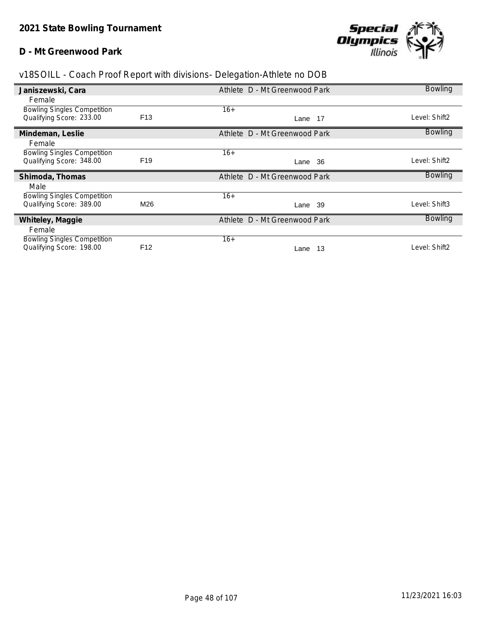#### **D - Mt Greenwood Park**



| Janiszewski, Cara                                              |                 | Athlete D - Mt Greenwood Park | <b>Bowling</b> |
|----------------------------------------------------------------|-----------------|-------------------------------|----------------|
| Female                                                         |                 |                               |                |
| <b>Bowling Singles Competition</b>                             |                 | $16+$                         |                |
| Qualifying Score: 233.00                                       | F <sub>13</sub> | Lane 17                       | Level: Shift2  |
| Mindeman, Leslie                                               |                 | Athlete D - Mt Greenwood Park | <b>Bowling</b> |
| Female                                                         |                 |                               |                |
| <b>Bowling Singles Competition</b>                             |                 | $16+$                         |                |
| Qualifying Score: 348.00                                       | F <sub>19</sub> | -36<br>Lane                   | Level: Shift2  |
| Shimoda, Thomas                                                |                 | Athlete D - Mt Greenwood Park | <b>Bowling</b> |
| Male                                                           |                 |                               |                |
| <b>Bowling Singles Competition</b>                             |                 | $16+$                         |                |
| Qualifying Score: 389.00                                       | M26             | Lane 39                       | Level: Shift3  |
| Whiteley, Maggie                                               |                 | Athlete D - Mt Greenwood Park | <b>Bowling</b> |
| Female                                                         |                 |                               |                |
|                                                                |                 |                               |                |
| <b>Bowling Singles Competition</b><br>Qualifying Score: 198.00 | F <sub>12</sub> | $16+$                         | Level: Shift2  |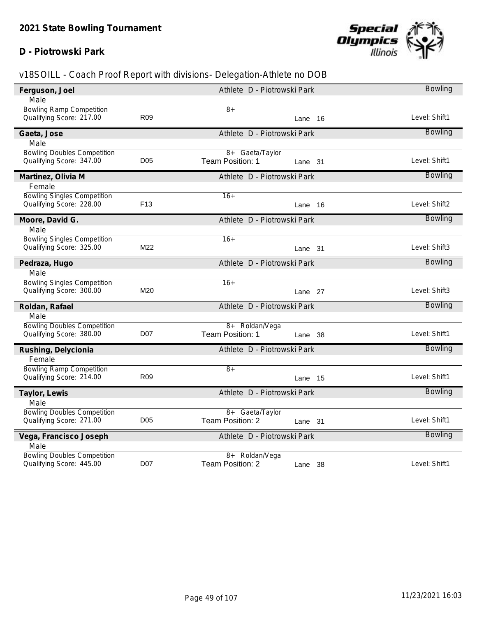## **D - Piotrowski Park**



| Ferguson, Joel                     |                 | Athlete D - Piotrowski Park | <b>Bowling</b> |
|------------------------------------|-----------------|-----------------------------|----------------|
| Male                               |                 |                             |                |
| <b>Bowling Ramp Competition</b>    |                 | $8+$                        |                |
| Qualifying Score: 217.00           | R <sub>09</sub> | Lane 16                     | Level: Shift1  |
| Gaeta, Jose                        |                 | Athlete D - Piotrowski Park | <b>Bowling</b> |
| Male                               |                 |                             |                |
| <b>Bowling Doubles Competition</b> |                 | 8+ Gaeta/Taylor             |                |
| Qualifying Score: 347.00           | D <sub>05</sub> | Team Position: 1<br>Lane 31 | Level: Shift1  |
| Martinez, Olivia M                 |                 | Athlete D - Piotrowski Park | <b>Bowling</b> |
| Female                             |                 |                             |                |
| <b>Bowling Singles Competition</b> |                 | $16+$                       |                |
| Qualifying Score: 228.00           | F <sub>13</sub> | Lane 16                     | Level: Shift2  |
| Moore, David G.                    |                 | Athlete D - Piotrowski Park | <b>Bowling</b> |
| Male                               |                 |                             |                |
| <b>Bowling Singles Competition</b> |                 | $16+$                       |                |
| Qualifying Score: 325.00           | M22             | Lane 31                     | Level: Shift3  |
| Pedraza, Hugo                      |                 | Athlete D - Piotrowski Park | <b>Bowling</b> |
| Male                               |                 |                             |                |
| <b>Bowling Singles Competition</b> |                 | $16+$                       | Level: Shift3  |
| Qualifying Score: 300.00           | M20             | Lane 27                     |                |
| Roldan, Rafael                     |                 | Athlete D - Piotrowski Park | <b>Bowling</b> |
| Male                               |                 |                             |                |
| <b>Bowling Doubles Competition</b> |                 | 8+ Roldan/Vega              |                |
| Qualifying Score: 380.00           | <b>D07</b>      | Team Position: 1<br>Lane 38 | Level: Shift1  |
| Rushing, Delycionia                |                 | Athlete D - Piotrowski Park | Bowling        |
| Female                             |                 |                             |                |
| <b>Bowling Ramp Competition</b>    | <b>R09</b>      | $\overline{8+}$             | Level: Shift1  |
| Qualifying Score: 214.00           |                 | Lane 15                     |                |
| Taylor, Lewis                      |                 | Athlete D - Piotrowski Park | <b>Bowling</b> |
| Male                               |                 |                             |                |
| <b>Bowling Doubles Competition</b> |                 | 8+ Gaeta/Taylor             |                |
| Qualifying Score: 271.00           | D <sub>05</sub> | Team Position: 2<br>Lane 31 | Level: Shift1  |
| Vega, Francisco Joseph             |                 | Athlete D - Piotrowski Park | <b>Bowling</b> |
| Male                               |                 |                             |                |
| <b>Bowling Doubles Competition</b> |                 | 8+ Roldan/Vega              |                |
| Qualifying Score: 445.00           | <b>D07</b>      | Team Position: 2<br>Lane 38 | Level: Shift1  |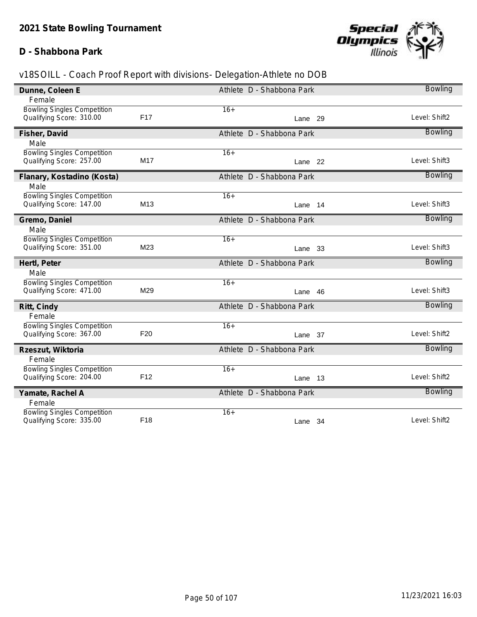## **D - Shabbona Park**



| Dunne, Coleen E                                                |                 | Athlete D - Shabbona Park | <b>Bowling</b> |
|----------------------------------------------------------------|-----------------|---------------------------|----------------|
| Female                                                         |                 |                           |                |
| <b>Bowling Singles Competition</b>                             |                 | $16+$                     |                |
| Qualifying Score: 310.00                                       | F <sub>17</sub> | Lane 29                   | Level: Shift2  |
| Fisher, David                                                  |                 | Athlete D - Shabbona Park | <b>Bowling</b> |
| Male                                                           |                 |                           |                |
| <b>Bowling Singles Competition</b>                             | M17             | $16+$                     | Level: Shift3  |
| Qualifying Score: 257.00                                       |                 | Lane 22                   |                |
| Flanary, Kostadino (Kosta)                                     |                 | Athlete D - Shabbona Park | <b>Bowling</b> |
| Male                                                           |                 |                           |                |
| <b>Bowling Singles Competition</b><br>Qualifying Score: 147.00 | M <sub>13</sub> | $16+$                     | Level: Shift3  |
|                                                                |                 | Lane 14                   |                |
| Gremo, Daniel                                                  |                 | Athlete D - Shabbona Park | <b>Bowling</b> |
| Male                                                           |                 |                           |                |
| <b>Bowling Singles Competition</b><br>Qualifying Score: 351.00 | M23             | $16+$                     | Level: Shift3  |
|                                                                |                 | Lane 33                   |                |
| Hertl, Peter                                                   |                 | Athlete D - Shabbona Park | <b>Bowling</b> |
| Male                                                           |                 |                           |                |
| <b>Bowling Singles Competition</b><br>Qualifying Score: 471.00 | M29             | $16+$                     | Level: Shift3  |
|                                                                |                 | Lane 46                   |                |
| Ritt, Cindy                                                    |                 | Athlete D - Shabbona Park | <b>Bowling</b> |
| Female                                                         |                 |                           |                |
| <b>Bowling Singles Competition</b><br>Qualifying Score: 367.00 | F <sub>20</sub> | $16+$                     | Level: Shift2  |
|                                                                |                 | Lane 37                   |                |
| Rzeszut, Wiktoria                                              |                 | Athlete D - Shabbona Park | <b>Bowling</b> |
| Female                                                         |                 |                           |                |
| <b>Bowling Singles Competition</b><br>Qualifying Score: 204.00 | F <sub>12</sub> | $16+$<br>Lane 13          | Level: Shift2  |
|                                                                |                 |                           |                |
| Yamate, Rachel A                                               |                 | Athlete D - Shabbona Park | <b>Bowling</b> |
| Female                                                         |                 |                           |                |
| <b>Bowling Singles Competition</b><br>Qualifying Score: 335.00 |                 | $16+$                     |                |
|                                                                | F18             | Lane 34                   | Level: Shift2  |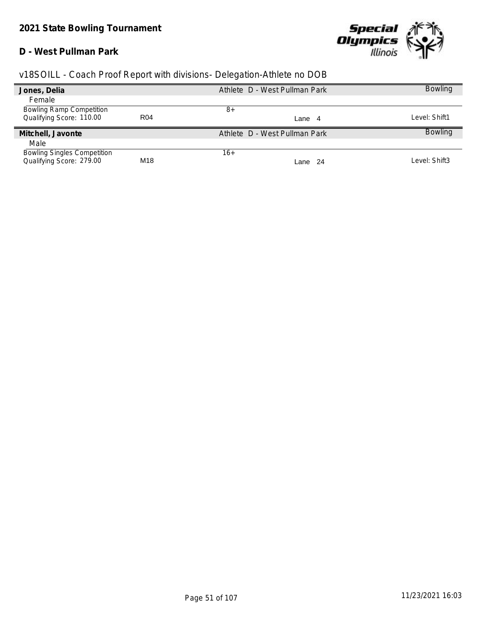## **D - West Pullman Park**



| v18SOILL - Coach Proof Report with divisions- Delegation-Athlete no DOB |  |  |  |  |  |
|-------------------------------------------------------------------------|--|--|--|--|--|
|                                                                         |  |  |  |  |  |

| Jones, Delia                       |                 | Athlete D - West Pullman Park | <b>Bowling</b> |
|------------------------------------|-----------------|-------------------------------|----------------|
| Female                             |                 |                               |                |
| <b>Bowling Ramp Competition</b>    |                 | 8+                            |                |
| Qualifying Score: 110.00           | R <sub>04</sub> | Lane 4                        | Level: Shift1  |
|                                    |                 |                               |                |
|                                    |                 |                               |                |
| Mitchell, Javonte                  |                 | Athlete D - West Pullman Park | <b>Bowling</b> |
| Male                               |                 |                               |                |
| <b>Bowling Singles Competition</b> |                 | 16+                           |                |
| Qualifying Score: 279.00           | M18             | Lane 24                       | Level: Shift3  |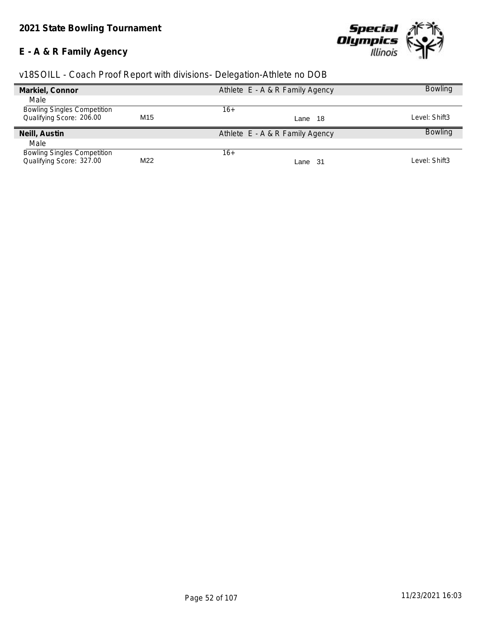# **E - A & R Family Agency**



| v18SOILL - Coach Proof Report with divisions- Delegation-Athlete no DOB |  |  |  |  |
|-------------------------------------------------------------------------|--|--|--|--|
|                                                                         |  |  |  |  |

|     | Athlete E - A & R Family Agency | <b>Bowling</b> |
|-----|---------------------------------|----------------|
|     |                                 |                |
|     | 16+                             |                |
| M15 | Lane 18                         | Level: Shift3  |
|     | Athlete E - A & R Family Agency | <b>Bowling</b> |
|     |                                 |                |
|     | 16+                             |                |
|     | Lane 31                         | Level: Shift3  |
|     | M22                             |                |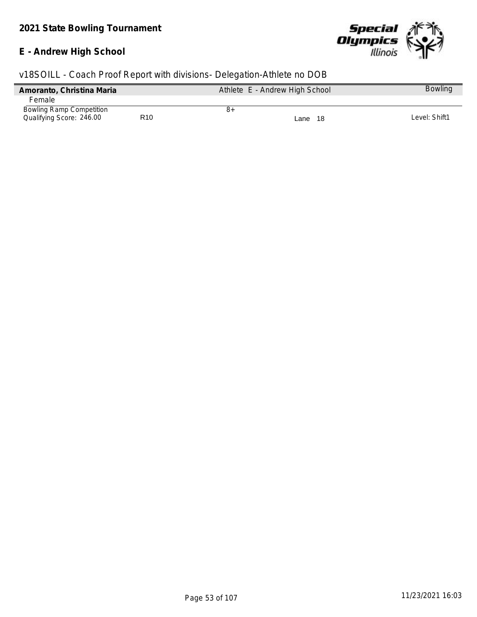# **E - Andrew High School**



|  |  | v18SOILL - Coach Proof Report with divisions- Delegation-Athlete no DOB |  |  |
|--|--|-------------------------------------------------------------------------|--|--|
|  |  |                                                                         |  |  |

| Amoranto, Christina Maria       |                 |    | Athlete E - Andrew High School | <b>Bowling</b> |
|---------------------------------|-----------------|----|--------------------------------|----------------|
| Female                          |                 |    |                                |                |
| <b>Bowling Ramp Competition</b> |                 | 8+ |                                |                |
| Qualifying Score: 246.00        | R <sub>10</sub> |    | -18<br>Lane                    | Level: Shift1  |
|                                 |                 |    |                                |                |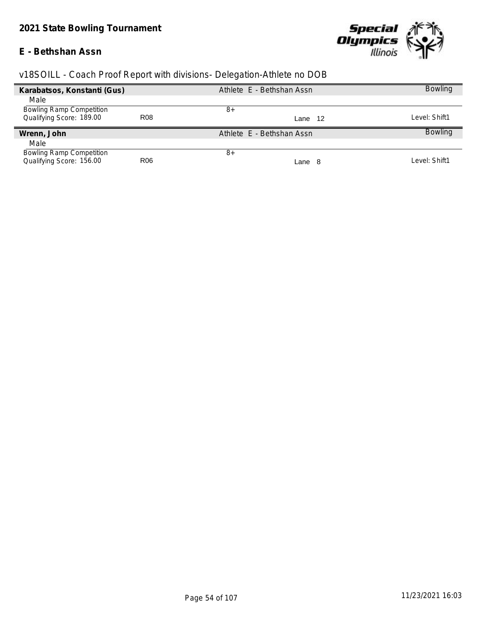## **E - Bethshan Assn**



|  | v18SOILL - Coach Proof Report with divisions- Delegation-Athlete no DOB |  |
|--|-------------------------------------------------------------------------|--|
|  |                                                                         |  |

| Karabatsos, Konstanti (Gus)     |                 | Athlete E - Bethshan Assn | <b>Bowling</b> |
|---------------------------------|-----------------|---------------------------|----------------|
| Male                            |                 |                           |                |
| <b>Bowling Ramp Competition</b> |                 | 8+                        |                |
| Qualifying Score: 189.00        | R <sub>08</sub> | 12<br>Lane                | Level: Shift1  |
| Wrenn, John                     |                 | Athlete E - Bethshan Assn | <b>Bowling</b> |
| Male                            |                 |                           |                |
| <b>Bowling Ramp Competition</b> |                 | 8+                        |                |
| Qualifying Score: 156.00        | R <sub>06</sub> | Lane 8                    | Level: Shift1  |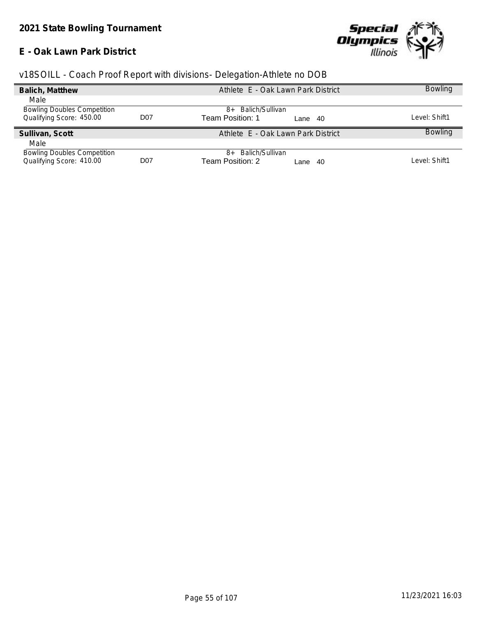## **E - Oak Lawn Park District**



|  | v18SOILL - Coach Proof Report with divisions- Delegation-Athlete no DOB |  |
|--|-------------------------------------------------------------------------|--|
|  |                                                                         |  |

| Balich, Matthew                    |                  | Athlete E - Oak Lawn Park District | <b>Bowling</b> |
|------------------------------------|------------------|------------------------------------|----------------|
| Male                               |                  |                                    |                |
| <b>Bowling Doubles Competition</b> |                  | Balich/Sullivan<br>$8+$            |                |
| Qualifying Score: 450.00           | D <sub>0</sub> 7 | Team Position: 1<br>Lane 40        | Level: Shift1  |
| Sullivan, Scott                    |                  | Athlete E - Oak Lawn Park District | <b>Bowling</b> |
| Male                               |                  |                                    |                |
| <b>Bowling Doubles Competition</b> |                  | Balich/Sullivan<br>$8+$            |                |
| Qualifying Score: 410.00           | D <sub>0</sub> 7 | Team Position: 2<br>-40<br>Lane    | Level: Shift1  |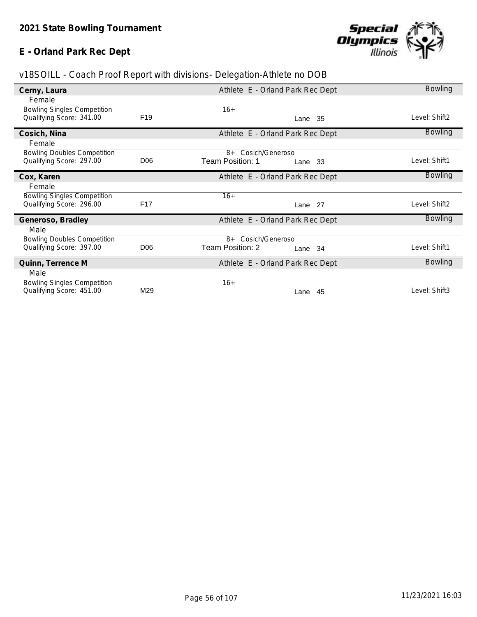# **E - Orland Park Rec Dept**



| v18SOILL - Coach Proof Report with divisions- Delegation-Athlete no DOB |  |  |  |  |  |
|-------------------------------------------------------------------------|--|--|--|--|--|
|                                                                         |  |  |  |  |  |

| Cerny, Laura                       |                 | Athlete E - Orland Park Rec Dept | <b>Bowling</b> |
|------------------------------------|-----------------|----------------------------------|----------------|
| Female                             |                 |                                  |                |
| <b>Bowling Singles Competition</b> |                 | $16+$                            |                |
| Qualifying Score: 341.00           | F <sub>19</sub> | Lane 35                          | Level: Shift2  |
| Cosich, Nina                       |                 | Athlete E - Orland Park Rec Dept | <b>Bowling</b> |
| Female                             |                 |                                  |                |
| <b>Bowling Doubles Competition</b> |                 | 8+ Cosich/Generoso               |                |
| Qualifying Score: 297.00           | D <sub>06</sub> | Team Position: 1<br>Lane 33      | Level: Shift1  |
| Cox, Karen                         |                 | Athlete E - Orland Park Rec Dept | <b>Bowling</b> |
| Female                             |                 |                                  |                |
| <b>Bowling Singles Competition</b> |                 | $16+$                            |                |
| Qualifying Score: 296.00           | F <sub>17</sub> | Lane 27                          | Level: Shift2  |
| Generoso, Bradley                  |                 | Athlete E - Orland Park Rec Dept | <b>Bowling</b> |
| Male                               |                 |                                  |                |
| <b>Bowling Doubles Competition</b> |                 | 8+ Cosich/Generoso               |                |
| Qualifying Score: 397.00           | D <sub>06</sub> | Team Position: 2<br>Lane 34      | Level: Shift1  |
| Quinn, Terrence M                  |                 | Athlete E - Orland Park Rec Dept | <b>Bowling</b> |
| Male                               |                 |                                  |                |
| <b>Bowling Singles Competition</b> |                 | $16+$                            |                |
| Qualifying Score: 451.00           | M29             | Lane<br>-45                      | Level: Shift3  |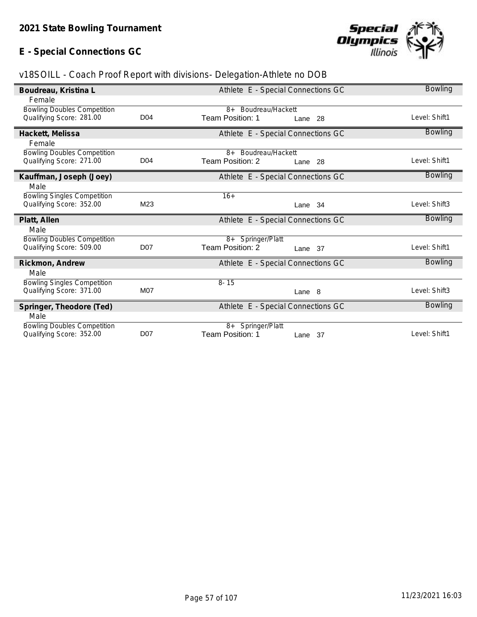# **E - Special Connections GC**



| v18SOILL - Coach Proof Report with divisions- Delegation-Athlete no DOB |  |  |  |  |  |
|-------------------------------------------------------------------------|--|--|--|--|--|
|                                                                         |  |  |  |  |  |

| Boudreau, Kristina L                                           |                 | <b>Bowling</b>                                     |                |
|----------------------------------------------------------------|-----------------|----------------------------------------------------|----------------|
| Female                                                         |                 |                                                    |                |
| <b>Bowling Doubles Competition</b><br>Qualifying Score: 281.00 | D <sub>04</sub> | 8+ Boudreau/Hackett<br>Team Position: 1<br>Lane 28 | Level: Shift1  |
| Hackett, Melissa                                               |                 | Athlete E - Special Connections GC                 | <b>Bowling</b> |
| Female                                                         |                 |                                                    |                |
| <b>Bowling Doubles Competition</b><br>Qualifying Score: 271.00 | D <sub>04</sub> | 8+ Boudreau/Hackett<br>Team Position: 2<br>Lane 28 | Level: Shift1  |
| Kauffman, Joseph (Joey)                                        |                 | Athlete E - Special Connections GC                 | <b>Bowling</b> |
| Male                                                           |                 |                                                    |                |
| <b>Bowling Singles Competition</b>                             | M <sub>23</sub> | $16+$                                              | Level: Shift3  |
| Qualifying Score: 352.00                                       |                 | Lane 34                                            |                |
|                                                                |                 |                                                    |                |
| Platt, Allen                                                   |                 | Athlete E - Special Connections GC                 | <b>Bowling</b> |
| Male                                                           |                 |                                                    |                |
| <b>Bowling Doubles Competition</b>                             |                 | 8+ Springer/Platt                                  |                |
| Qualifying Score: 509.00                                       | <b>D07</b>      | Team Position: 2<br>Lane 37                        | Level: Shift1  |
| Rickmon, Andrew                                                |                 | Athlete E - Special Connections GC                 | <b>Bowling</b> |
| Male                                                           |                 |                                                    |                |
| <b>Bowling Singles Competition</b>                             |                 | $8 - 15$                                           |                |
| Qualifying Score: 371.00                                       | M07             | Lane 8                                             | Level: Shift3  |
| Springer, Theodore (Ted)                                       |                 | Athlete E - Special Connections GC                 | <b>Bowling</b> |
| Male                                                           |                 |                                                    |                |
| <b>Bowling Doubles Competition</b><br>Qualifying Score: 352.00 | <b>D07</b>      | 8+ Springer/Platt<br>Team Position: 1<br>Lane 37   | Level: Shift1  |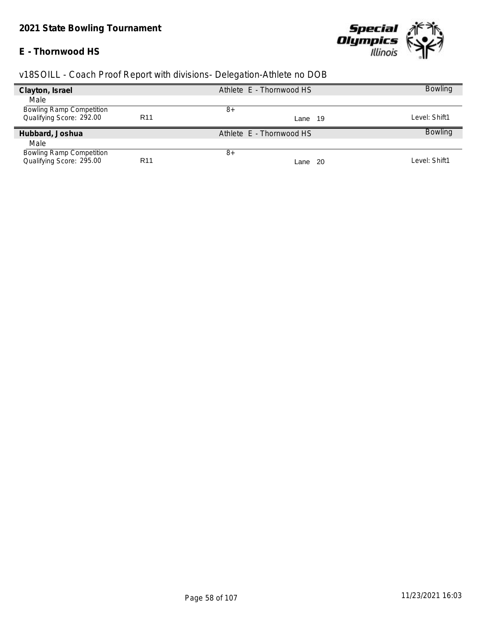## **E - Thornwood HS**



| Clayton, Israel                 |                 | Athlete E - Thornwood HS |     | <b>Bowling</b> |
|---------------------------------|-----------------|--------------------------|-----|----------------|
| Male                            |                 |                          |     |                |
| <b>Bowling Ramp Competition</b> |                 | 8+                       |     |                |
| Qualifying Score: 292.00        | R <sub>11</sub> | Lane 19                  |     | Level: Shift1  |
| Hubbard, Joshua                 |                 | Athlete E - Thornwood HS |     | <b>Bowling</b> |
| Male                            |                 |                          |     |                |
| <b>Bowling Ramp Competition</b> |                 | $8+$                     |     |                |
| Qualifying Score: 295.00        | R <sub>11</sub> | Lane                     | -20 | Level: Shift1  |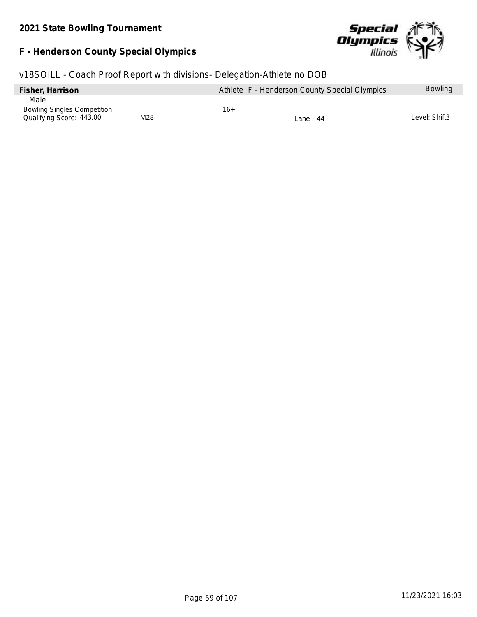# **F - Henderson County Special Olympics**



| Fisher, Harrison                   |     |     | Athlete F - Henderson County Special Olympics | <b>Bowling</b> |
|------------------------------------|-----|-----|-----------------------------------------------|----------------|
| Male                               |     |     |                                               |                |
| <b>Bowling Singles Competition</b> |     | 16+ |                                               |                |
| Qualifying Score: 443.00           | M28 |     | Lane 44                                       | Level: Shift3  |
|                                    |     |     |                                               |                |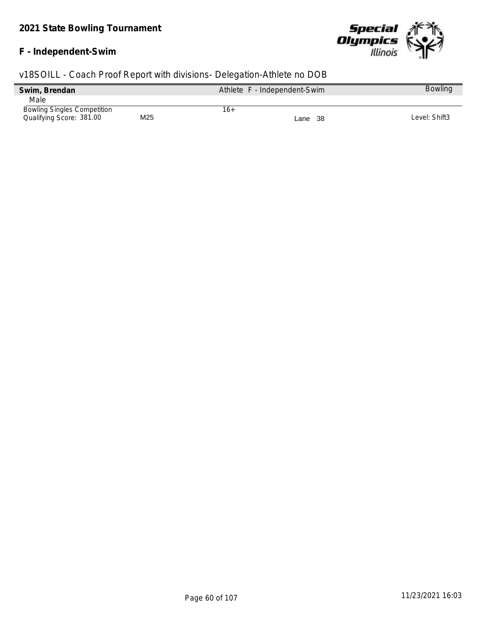#### **F - Independent-Swim**



| Swim, Brendan                      | Athlete F - Independent-Swim |     |         | <b>Bowling</b> |
|------------------------------------|------------------------------|-----|---------|----------------|
| Male                               |                              |     |         |                |
| <b>Bowling Singles Competition</b> |                              | 16+ |         |                |
| Qualifying Score: 381.00           | M <sub>25</sub>              |     | Lane 38 | Level: Shift3  |
|                                    |                              |     |         |                |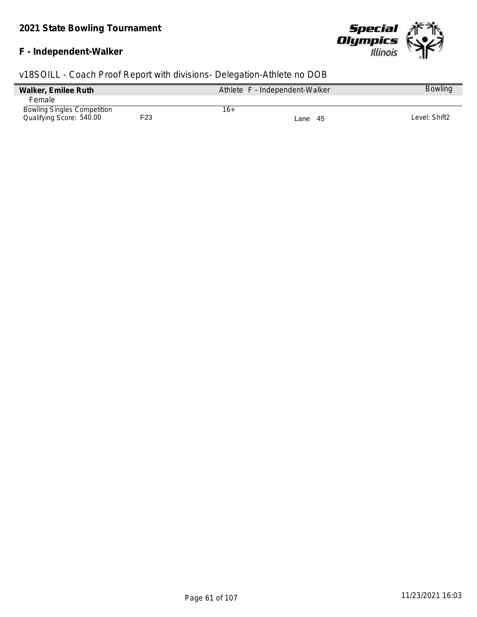# **F - Independent-Walker**



| Walker, Emilee Ruth                |     | Athlete F - Independent-Walker | <b>Bowling</b> |
|------------------------------------|-----|--------------------------------|----------------|
| Female                             |     |                                |                |
| <b>Bowling Singles Competition</b> |     | 16+                            |                |
| Qualifying Score: 540.00           | F23 | Lane 45                        | Level: Shift2  |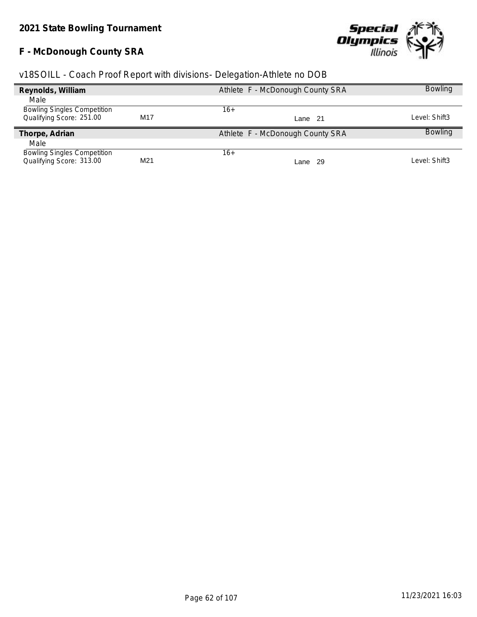# **F - McDonough County SRA**



| Reynolds, William                  |                 | Athlete F - McDonough County SRA | <b>Bowling</b> |
|------------------------------------|-----------------|----------------------------------|----------------|
| Male                               |                 |                                  |                |
| <b>Bowling Singles Competition</b> |                 | 16+                              |                |
| Qualifying Score: 251.00           | M <sub>17</sub> | Lane 21                          | Level: Shift3  |
| Thorpe, Adrian                     |                 | Athlete F - McDonough County SRA | <b>Bowling</b> |
| Male                               |                 |                                  |                |
| <b>Bowling Singles Competition</b> |                 | 16+                              |                |
| Qualifying Score: 313.00           | M21             | Lane 29                          | Level: Shift3  |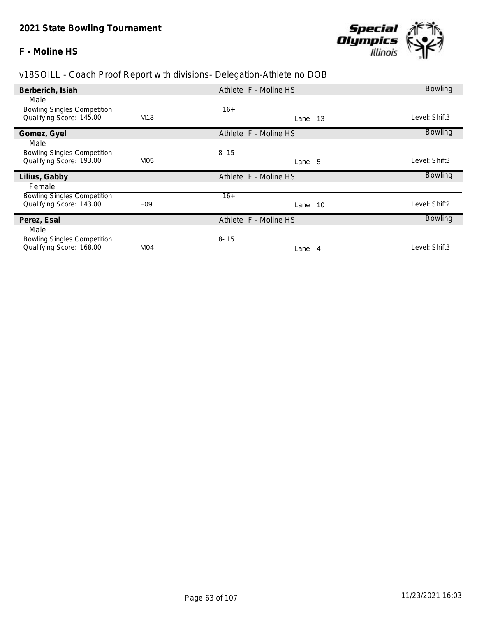### **F - Moline HS**



| Berberich, Isiah                                               |                 | Athlete F - Moline HS | <b>Bowling</b> |
|----------------------------------------------------------------|-----------------|-----------------------|----------------|
| Male                                                           |                 |                       |                |
| <b>Bowling Singles Competition</b>                             |                 | $16+$                 |                |
| Qualifying Score: 145.00                                       | M <sub>13</sub> | Lane 13               | Level: Shift3  |
| Gomez, Gyel                                                    |                 | Athlete F - Moline HS | <b>Bowling</b> |
| Male                                                           |                 |                       |                |
| <b>Bowling Singles Competition</b>                             |                 | $8 - 15$              |                |
| Qualifying Score: 193.00                                       | M05             | Lane 5                | Level: Shift3  |
| Lilius, Gabby                                                  |                 | Athlete F - Moline HS | <b>Bowling</b> |
| Female                                                         |                 |                       |                |
|                                                                |                 |                       |                |
| <b>Bowling Singles Competition</b>                             |                 | $16+$                 |                |
| Qualifying Score: 143.00                                       | F <sub>09</sub> | Lane 10               | Level: Shift2  |
| Perez, Esai                                                    |                 | Athlete F - Moline HS | <b>Bowling</b> |
| Male                                                           |                 |                       |                |
| <b>Bowling Singles Competition</b><br>Qualifying Score: 168.00 | M04             | $8 - 15$              | Level: Shift3  |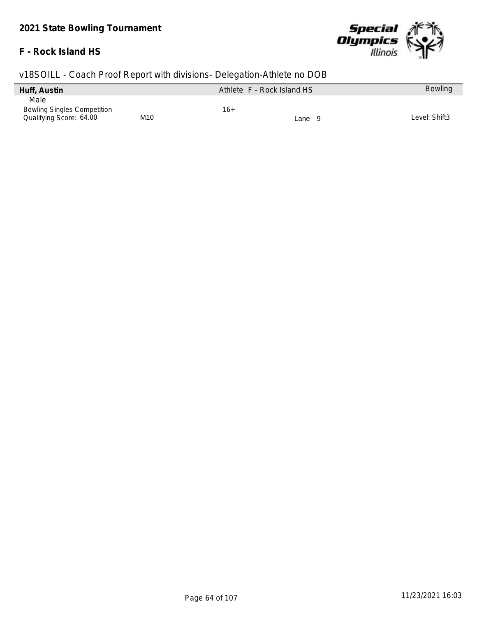## **F - Rock Island HS**



| Huff, Austin                       | Athlete F - Rock Island HS |     |        | <b>Bowling</b> |
|------------------------------------|----------------------------|-----|--------|----------------|
| Male                               |                            |     |        |                |
| <b>Bowling Singles Competition</b> |                            | 16+ |        |                |
| Qualifying Score: 64.00            | M <sub>10</sub>            |     | Lane 9 | Level: Shift3  |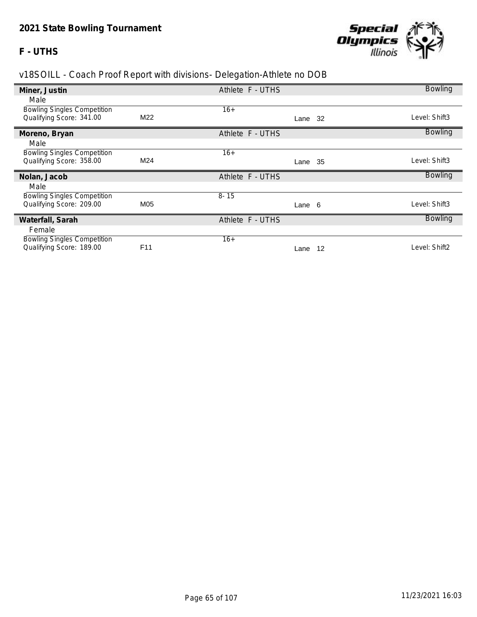### **F - UTHS**



| Miner, Justin                                                  |                 | Athlete F - UTHS | <b>Bowling</b> |
|----------------------------------------------------------------|-----------------|------------------|----------------|
| Male                                                           |                 |                  |                |
| <b>Bowling Singles Competition</b>                             |                 | $16+$            |                |
| Qualifying Score: 341.00                                       | M22             | Lane 32          | Level: Shift3  |
| Moreno, Bryan                                                  |                 | Athlete F - UTHS | <b>Bowling</b> |
| Male                                                           |                 |                  |                |
| <b>Bowling Singles Competition</b>                             |                 | $16+$            |                |
| Qualifying Score: 358.00                                       | M24             | Lane 35          | _evel: Shift3  |
|                                                                |                 |                  |                |
| Nolan, Jacob                                                   |                 | Athlete F - UTHS | <b>Bowling</b> |
| Male                                                           |                 |                  |                |
| <b>Bowling Singles Competition</b>                             |                 | $8 - 15$         |                |
| Qualifying Score: 209.00                                       | M05             | Lane 6           | _evel: Shift3  |
| Waterfall, Sarah                                               |                 | Athlete F - UTHS | <b>Bowling</b> |
| Female                                                         |                 |                  |                |
| <b>Bowling Singles Competition</b><br>Qualifying Score: 189.00 | F <sub>11</sub> | $16+$            | Level: Shift2  |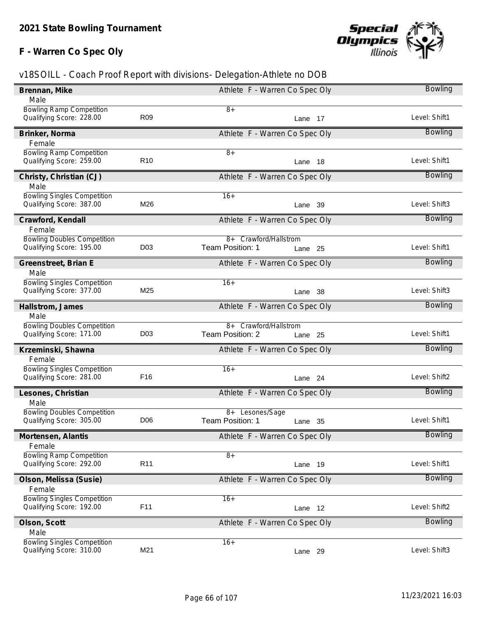# **F - Warren Co Spec Oly**



| Brennan, Mike                      |                 | Athlete F - Warren Co Spec Oly |            | Bowling        |
|------------------------------------|-----------------|--------------------------------|------------|----------------|
| Male                               |                 |                                |            |                |
| <b>Bowling Ramp Competition</b>    |                 | $8+$                           |            |                |
| Qualifying Score: 228.00           | R <sub>09</sub> |                                | Lane 17    | Level: Shift1  |
| Brinker, Norma                     |                 | Athlete F - Warren Co Spec Oly |            | <b>Bowling</b> |
| Female                             |                 |                                |            |                |
| <b>Bowling Ramp Competition</b>    |                 | $8+$                           |            |                |
| Qualifying Score: 259.00           | R <sub>10</sub> |                                | Lane<br>18 | Level: Shift1  |
| Christy, Christian (CJ)            |                 | Athlete F - Warren Co Spec Oly |            | <b>Bowling</b> |
| Male                               |                 |                                |            |                |
| <b>Bowling Singles Competition</b> |                 | $16+$                          |            |                |
| Qualifying Score: 387.00           | M26             |                                | Lane 39    | Level: Shift3  |
| Crawford, Kendall                  |                 | Athlete F - Warren Co Spec Oly |            | <b>Bowling</b> |
| Female                             |                 |                                |            |                |
| <b>Bowling Doubles Competition</b> |                 | 8+ Crawford/Hallstrom          |            |                |
| Qualifying Score: 195.00           | D <sub>03</sub> | Team Position: 1               | Lane 25    | Level: Shift1  |
|                                    |                 |                                |            |                |
| Greenstreet, Brian E               |                 | Athlete F - Warren Co Spec Oly |            | <b>Bowling</b> |
| Male                               |                 |                                |            |                |
| <b>Bowling Singles Competition</b> |                 | $16+$                          |            |                |
| Qualifying Score: 377.00           | M25             |                                | Lane 38    | Level: Shift3  |
| Hallstrom, James                   |                 | Athlete F - Warren Co Spec Oly |            | <b>Bowling</b> |
| Male                               |                 |                                |            |                |
| <b>Bowling Doubles Competition</b> |                 | 8+ Crawford/Hallstrom          |            |                |
| Qualifying Score: 171.00           | D <sub>03</sub> | Team Position: 2               | Lane 25    | Level: Shift1  |
|                                    |                 |                                |            |                |
| Krzeminski, Shawna                 |                 | Athlete F - Warren Co Spec Oly |            | Bowling        |
| Female                             |                 |                                |            |                |
| <b>Bowling Singles Competition</b> |                 | $16+$                          |            |                |
| Qualifying Score: 281.00           | F16             |                                | Lane 24    | Level: Shift2  |
| Lesones, Christian                 |                 | Athlete F - Warren Co Spec Oly |            | Bowling        |
| Male                               |                 |                                |            |                |
| <b>Bowling Doubles Competition</b> |                 | 8+ Lesones/Sage                |            |                |
| Qualifying Score: 305.00           | D <sub>06</sub> | Team Position: 1               | Lane 35    | Level: Shift1  |
|                                    |                 |                                |            |                |
| Mortensen, Alantis                 |                 | Athlete F - Warren Co Spec Oly |            | <b>Bowling</b> |
| Female                             |                 |                                |            |                |
| <b>Bowling Ramp Competition</b>    |                 | $8+$                           |            |                |
| Qualifying Score: 292.00           | R <sub>11</sub> |                                | Lane 19    | Level: Shift1  |
| Olson, Melissa (Susie)             |                 | Athlete F - Warren Co Spec Oly |            | <b>Bowling</b> |
| Female                             |                 |                                |            |                |
| <b>Bowling Singles Competition</b> |                 | $16+$                          |            |                |
| Qualifying Score: 192.00           | F11             |                                | Lane 12    | Level: Shift2  |
|                                    |                 |                                |            |                |
| Olson, Scott                       |                 | Athlete F - Warren Co Spec Oly |            | <b>Bowling</b> |
| Male                               |                 |                                |            |                |
| <b>Bowling Singles Competition</b> |                 | $16+$                          |            |                |
| Qualifying Score: 310.00           | M21             |                                | Lane 29    | Level: Shift3  |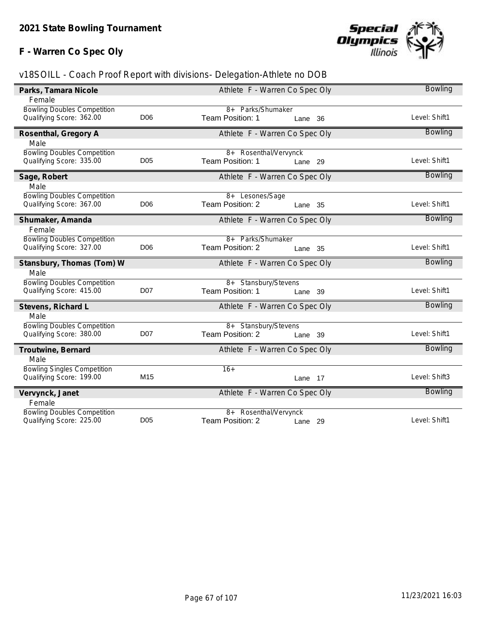# **F - Warren Co Spec Oly**



| Parks, Tamara Nicole               | Athlete F - Warren Co Spec Oly |                                |                |  |
|------------------------------------|--------------------------------|--------------------------------|----------------|--|
| Female                             |                                |                                |                |  |
| <b>Bowling Doubles Competition</b> |                                | 8+ Parks/Shumaker              |                |  |
| Qualifying Score: 362.00           | D <sub>06</sub>                | Team Position: 1<br>Lane 36    | Level: Shift1  |  |
| Rosenthal, Gregory A               |                                | Athlete F - Warren Co Spec Oly | <b>Bowling</b> |  |
| Male                               |                                |                                |                |  |
| <b>Bowling Doubles Competition</b> |                                | 8+ Rosenthal/Vervynck          |                |  |
| Qualifying Score: 335.00           | D <sub>05</sub>                | Team Position: 1<br>Lane 29    | Level: Shift1  |  |
| Sage, Robert                       |                                | Athlete F - Warren Co Spec Oly | <b>Bowling</b> |  |
| Male                               |                                |                                |                |  |
| <b>Bowling Doubles Competition</b> |                                | 8+ Lesones/Sage                |                |  |
| Qualifying Score: 367.00           | D <sub>06</sub>                | Team Position: 2<br>Lane 35    | Level: Shift1  |  |
| Shumaker, Amanda                   |                                | Athlete F - Warren Co Spec Oly | <b>Bowling</b> |  |
| Female                             |                                |                                |                |  |
| <b>Bowling Doubles Competition</b> |                                | 8+ Parks/Shumaker              |                |  |
| Qualifying Score: 327.00           | D <sub>06</sub>                | Team Position: 2<br>Lane 35    | Level: Shift1  |  |
| Stansbury, Thomas (Tom) W          |                                | Athlete F - Warren Co Spec Oly | <b>Bowling</b> |  |
| Male                               |                                |                                |                |  |
| <b>Bowling Doubles Competition</b> |                                | 8+ Stansbury/Stevens           |                |  |
| Qualifying Score: 415.00           | <b>D07</b>                     | Team Position: 1<br>Lane 39    | Level: Shift1  |  |
| Stevens, Richard L                 |                                | Athlete F - Warren Co Spec Oly | <b>Bowling</b> |  |
| Male                               |                                |                                |                |  |
| <b>Bowling Doubles Competition</b> |                                | 8+ Stansbury/Stevens           |                |  |
| Qualifying Score: 380.00           | <b>D07</b>                     | Team Position: 2<br>Lane 39    | Level: Shift1  |  |
| Troutwine, Bernard                 |                                | Athlete F - Warren Co Spec Oly | <b>Bowling</b> |  |
| Male                               |                                |                                |                |  |
| <b>Bowling Singles Competition</b> |                                | $16+$                          |                |  |
| Qualifying Score: 199.00           | M <sub>15</sub>                | Lane 17                        | Level: Shift3  |  |
| Vervynck, Janet                    |                                | Athlete F - Warren Co Spec Oly | <b>Bowling</b> |  |
| Female                             |                                |                                |                |  |
| <b>Bowling Doubles Competition</b> |                                | 8+ Rosenthal/Vervynck          |                |  |
| Qualifying Score: 225.00           | <b>D05</b>                     | Team Position: 2<br>Lane 29    | Level: Shift1  |  |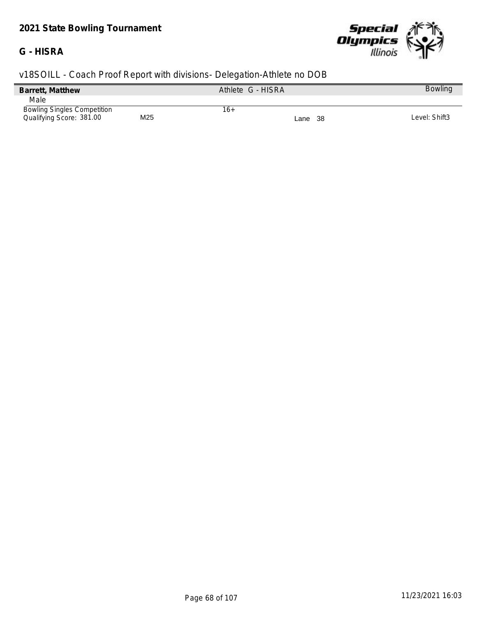# *2021 State Bowling Tournament*

## **G - HISRA**



| v18SOILL - Coach Proof Report with divisions- Delegation-Athlete no DOB |     |                   |         |                |
|-------------------------------------------------------------------------|-----|-------------------|---------|----------------|
| Barrett, Matthew                                                        |     | Athlete G - HISRA |         | <b>Bowling</b> |
| Male                                                                    |     |                   |         |                |
| <b>Bowling Singles Competition</b><br>Qualifying Score: 381.00          | M25 | 16+               | Lane 38 | Level: Shift3  |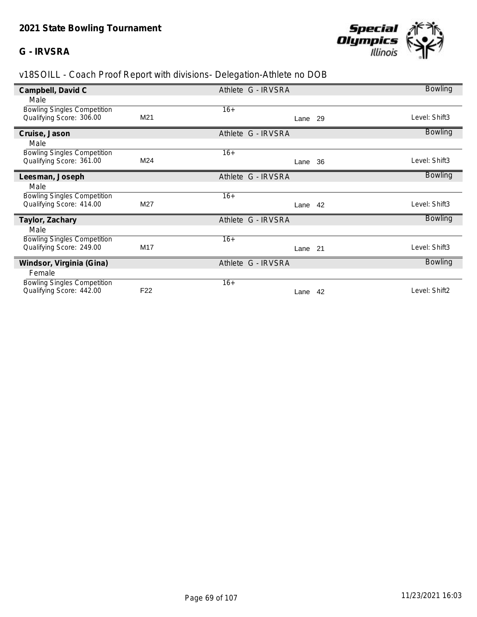### **G - IRVSRA**



| Campbell, David C                  |                 | Athlete G - IRVSRA | <b>Bowling</b> |
|------------------------------------|-----------------|--------------------|----------------|
| Male                               |                 |                    |                |
| <b>Bowling Singles Competition</b> |                 | $16+$              |                |
| Qualifying Score: 306.00           | M21             | Lane 29            | Level: Shift3  |
| Cruise, Jason                      |                 | Athlete G - IRVSRA | <b>Bowling</b> |
| Male                               |                 |                    |                |
| <b>Bowling Singles Competition</b> |                 | $16+$              |                |
| Qualifying Score: 361.00           | M24             | 36<br>Lane         | Level: Shift3  |
| Leesman, Joseph                    |                 | Athlete G - IRVSRA | <b>Bowling</b> |
| Male                               |                 |                    |                |
| <b>Bowling Singles Competition</b> |                 | $16+$              |                |
| Qualifying Score: 414.00           | M27             | Lane 42            | Level: Shift3  |
| Taylor, Zachary                    |                 | Athlete G - IRVSRA | <b>Bowling</b> |
| Male                               |                 |                    |                |
| <b>Bowling Singles Competition</b> |                 | $16+$              |                |
| Qualifying Score: 249.00           | M17             | Lane 21            | Level: Shift3  |
| Windsor, Virginia (Gina)           |                 | Athlete G - IRVSRA | <b>Bowling</b> |
| Female                             |                 |                    |                |
| <b>Bowling Singles Competition</b> |                 | $16+$              |                |
| Qualifying Score: 442.00           | F <sub>22</sub> | Lane<br>42         | Level: Shift2  |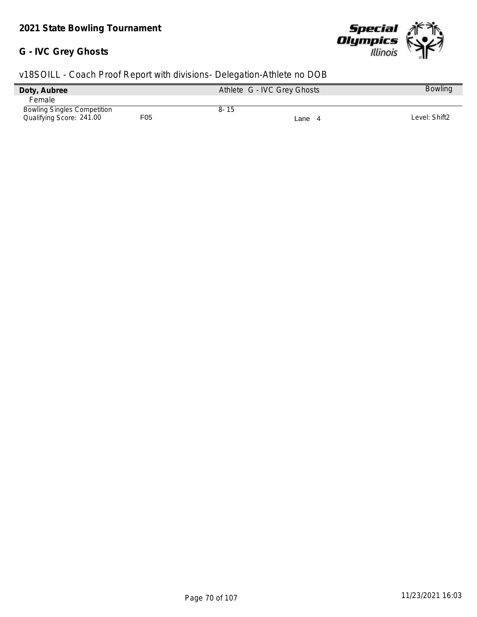#### **G - IVC Grey Ghosts**



| Doty, Aubree                       |     | Athlete G - IVC Grey Ghosts |        | <b>Bowling</b> |
|------------------------------------|-----|-----------------------------|--------|----------------|
| <b>Female</b>                      |     |                             |        |                |
| <b>Bowling Singles Competition</b> |     | $8 - 15$                    |        |                |
| Qualifying Score: 241.00           | F05 |                             | Lane 4 | Level: Shift2  |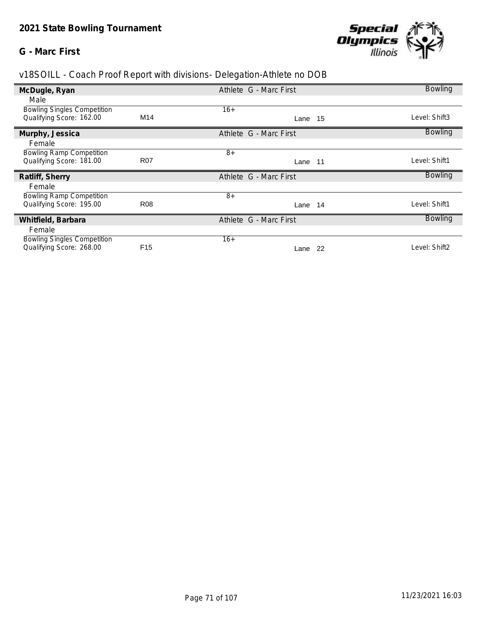### **G - Marc First**



| McDugle, Ryan                                                  |                 | Athlete G - Marc First | <b>Bowling</b> |
|----------------------------------------------------------------|-----------------|------------------------|----------------|
| Male                                                           |                 |                        |                |
| <b>Bowling Singles Competition</b>                             |                 | $16+$                  |                |
| Qualifying Score: 162.00                                       | M14             | Lane 15                | Level: Shift3  |
| Murphy, Jessica                                                |                 | Athlete G - Marc First | <b>Bowling</b> |
| Female                                                         |                 |                        |                |
| <b>Bowling Ramp Competition</b>                                |                 | $8+$                   |                |
| Qualifying Score: 181.00                                       | <b>R07</b>      | Lane 11                | Level: Shift1  |
|                                                                |                 |                        |                |
| Ratliff, Sherry                                                |                 | Athlete G - Marc First | <b>Bowling</b> |
| Female                                                         |                 |                        |                |
| <b>Bowling Ramp Competition</b>                                |                 | $8+$                   |                |
| Qualifying Score: 195.00                                       | <b>R08</b>      | Lane 14                | Level: Shift1  |
| Whitfield, Barbara                                             |                 | Athlete G - Marc First | <b>Bowling</b> |
| Female                                                         |                 |                        |                |
| <b>Bowling Singles Competition</b><br>Qualifying Score: 268.00 | F <sub>15</sub> | $16+$                  | Level: Shift2  |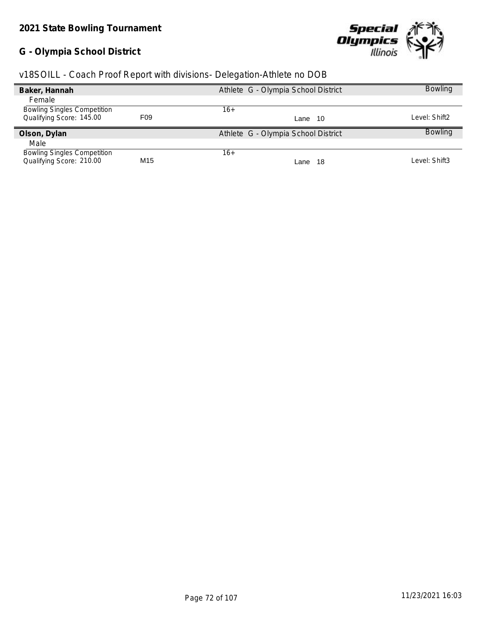# **G - Olympia School District**



| v18SOILL - Coach Proof Report with divisions- Delegation-Athlete no DOB |  |  |  |  |  |
|-------------------------------------------------------------------------|--|--|--|--|--|
|                                                                         |  |  |  |  |  |

| Baker, Hannah                      |                 | Athlete G - Olympia School District | <b>Bowling</b> |
|------------------------------------|-----------------|-------------------------------------|----------------|
| Female                             |                 |                                     |                |
| <b>Bowling Singles Competition</b> |                 | $16+$                               |                |
| Qualifying Score: 145.00           | F <sub>09</sub> | Lane 10                             | Level: Shift2  |
| Olson, Dylan                       |                 | Athlete G - Olympia School District | <b>Bowling</b> |
| Male                               |                 |                                     |                |
| <b>Bowling Singles Competition</b> |                 | 16+                                 |                |
| Qualifying Score: 210.00           | M <sub>15</sub> | -18<br>Lane                         | Level: Shift3  |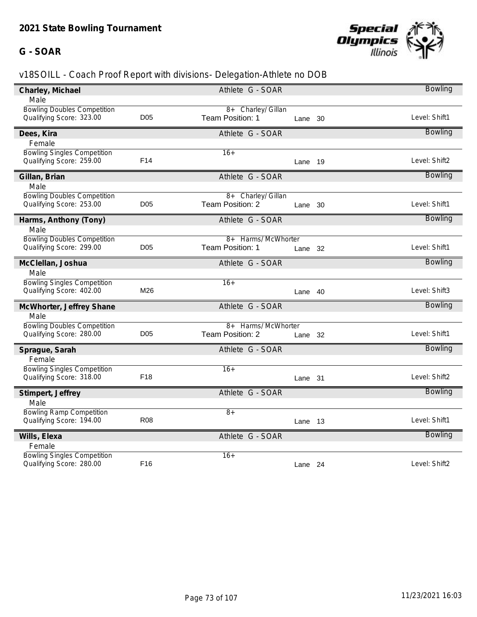## **G - SOAR**



| Charley, Michael                                               |                 | Athlete G - SOAR                       |            | <b>Bowling</b> |
|----------------------------------------------------------------|-----------------|----------------------------------------|------------|----------------|
| Male                                                           |                 |                                        |            |                |
| <b>Bowling Doubles Competition</b><br>Qualifying Score: 323.00 | D <sub>05</sub> | 8+ Charley/ Gillan<br>Team Position: 1 | Lane 30    | Level: Shift1  |
| Dees, Kira                                                     |                 | Athlete G - SOAR                       |            | <b>Bowling</b> |
| Female                                                         |                 |                                        |            |                |
| <b>Bowling Singles Competition</b><br>Qualifying Score: 259.00 | F <sub>14</sub> | $16+$                                  | Lane 19    | Level: Shift2  |
| Gillan, Brian                                                  |                 | Athlete G - SOAR                       |            | <b>Bowling</b> |
| Male                                                           |                 |                                        |            |                |
| <b>Bowling Doubles Competition</b><br>Qualifying Score: 253.00 | D <sub>05</sub> | 8+ Charley/ Gillan<br>Team Position: 2 | Lane 30    | Level: Shift1  |
| Harms, Anthony (Tony)                                          |                 | Athlete G - SOAR                       |            | Bowling        |
| Male                                                           |                 |                                        |            |                |
| <b>Bowling Doubles Competition</b>                             |                 | 8+ Harms/ McWhorter                    |            |                |
| Qualifying Score: 299.00                                       | D <sub>05</sub> | Team Position: 1                       | Lane 32    | Level: Shift1  |
| McClellan, Joshua                                              |                 | Athlete G - SOAR                       |            | <b>Bowling</b> |
| Male                                                           |                 |                                        |            |                |
| <b>Bowling Singles Competition</b><br>Qualifying Score: 402.00 | M26             | $16+$                                  | 40<br>Lane | Level: Shift3  |
| McWhorter, Jeffrey Shane                                       |                 | Athlete G - SOAR                       |            | Bowling        |
| Male                                                           |                 |                                        |            |                |
| <b>Bowling Doubles Competition</b>                             |                 | 8+ Harms/ McWhorter                    |            |                |
| Qualifying Score: 280.00                                       | <b>D05</b>      | Team Position: 2                       | Lane 32    | Level: Shift1  |
| Sprague, Sarah                                                 |                 | Athlete G - SOAR                       |            | Bowling        |
| Female                                                         |                 |                                        |            |                |
| <b>Bowling Singles Competition</b>                             |                 | $16+$                                  |            |                |
| Qualifying Score: 318.00                                       | F <sub>18</sub> |                                        | Lane 31    | Level: Shift2  |
| Stimpert, Jeffrey                                              |                 | Athlete G - SOAR                       |            | <b>Bowling</b> |
| Male                                                           |                 |                                        |            |                |
| <b>Bowling Ramp Competition</b>                                |                 | $8+$                                   |            |                |
| Qualifying Score: 194.00                                       | <b>R08</b>      |                                        | Lane 13    | Level: Shift1  |
| Wills, Elexa                                                   |                 | Athlete G - SOAR                       |            | <b>Bowling</b> |
| Female                                                         |                 |                                        |            |                |
| <b>Bowling Singles Competition</b>                             |                 | $16+$                                  |            |                |
| Qualifying Score: 280.00                                       | F <sub>16</sub> |                                        | Lane 24    | Level: Shift2  |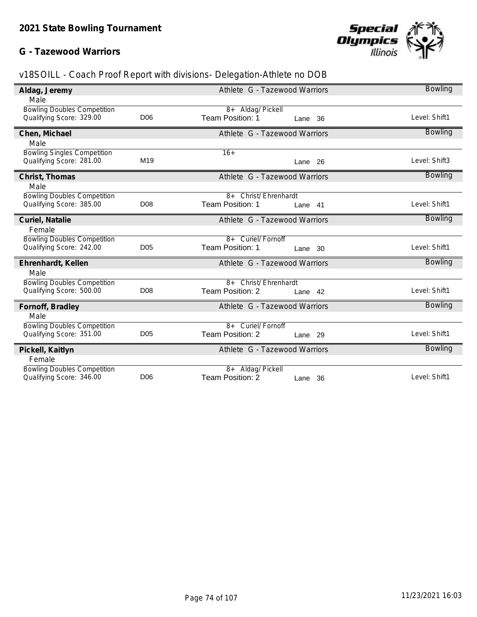## **G - Tazewood Warriors**



| Aldag, Jeremy                      |                 | Athlete G - Tazewood Warriors      | <b>Bowling</b> |
|------------------------------------|-----------------|------------------------------------|----------------|
|                                    |                 |                                    |                |
| Male                               |                 |                                    |                |
| <b>Bowling Doubles Competition</b> |                 | 8+ Aldag/ Pickell                  |                |
| Qualifying Score: 329.00           | D <sub>06</sub> | <b>Team Position: 1</b><br>Lane 36 | Level: Shift1  |
| Chen, Michael                      |                 | Athlete G - Tazewood Warriors      | <b>Bowling</b> |
| Male                               |                 |                                    |                |
|                                    |                 | $16+$                              |                |
| <b>Bowling Singles Competition</b> |                 |                                    | Level: Shift3  |
| Qualifying Score: 281.00           | M <sub>19</sub> | Lane 26                            |                |
| Christ, Thomas                     |                 | Athlete G - Tazewood Warriors      | <b>Bowling</b> |
| Male                               |                 |                                    |                |
| <b>Bowling Doubles Competition</b> |                 | 8+ Christ/ Ehrenhardt              |                |
| Qualifying Score: 385.00           | D <sub>08</sub> | Team Position: 1<br>Lane 41        | Level: Shift1  |
|                                    |                 |                                    |                |
| Curiel, Natalie                    |                 | Athlete G - Tazewood Warriors      | <b>Bowling</b> |
| Female                             |                 |                                    |                |
| <b>Bowling Doubles Competition</b> |                 | 8+ Curiel/ Fornoff                 |                |
| Qualifying Score: 242.00           | D <sub>05</sub> | Team Position: 1<br>Lane 30        | Level: Shift1  |
|                                    |                 |                                    |                |
| Ehrenhardt, Kellen                 |                 | Athlete G - Tazewood Warriors      | <b>Bowling</b> |
| Male                               |                 |                                    |                |
| <b>Bowling Doubles Competition</b> |                 | 8+ Christ/ Ehrenhardt              |                |
| Qualifying Score: 500.00           | D <sub>08</sub> | Team Position: 2<br>Lane 42        | Level: Shift1  |
|                                    |                 |                                    |                |
| Fornoff, Bradley                   |                 | Athlete G - Tazewood Warriors      | <b>Bowling</b> |
| Male                               |                 |                                    |                |
| <b>Bowling Doubles Competition</b> |                 | 8+ Curiel/ Fornoff                 |                |
| Qualifying Score: 351.00           | D <sub>05</sub> | Team Position: 2<br>Lane 29        | Level: Shift1  |
|                                    |                 |                                    |                |
| Pickell, Kaitlyn                   |                 | Athlete G - Tazewood Warriors      | <b>Bowling</b> |
| Female                             |                 |                                    |                |
| <b>Bowling Doubles Competition</b> |                 | 8+ Aldag/ Pickell                  |                |
| Qualifying Score: 346.00           | D <sub>06</sub> | Team Position: 2<br>Lane 36        | Level: Shift1  |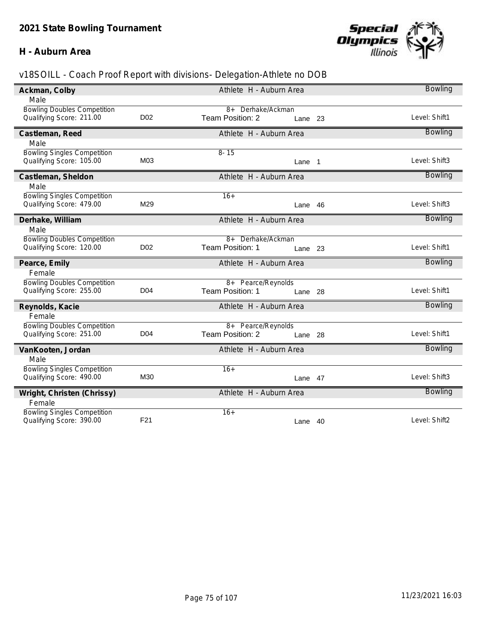#### **H - Auburn Area**



| Ackman, Colby                                                  |                 | Athlete H - Auburn Area |            | <b>Bowling</b> |
|----------------------------------------------------------------|-----------------|-------------------------|------------|----------------|
| Male                                                           |                 |                         |            |                |
| <b>Bowling Doubles Competition</b>                             |                 | 8+ Derhake/Ackman       |            |                |
| Qualifying Score: 211.00                                       | D <sub>02</sub> | Team Position: 2        | 23<br>Lane | Level: Shift1  |
| Castleman, Reed                                                |                 | Athlete H - Auburn Area |            | <b>Bowling</b> |
| Male                                                           |                 |                         |            |                |
| <b>Bowling Singles Competition</b>                             |                 | $8 - 15$                |            |                |
| Qualifying Score: 105.00                                       | M03             |                         | Lane 1     | Level: Shift3  |
| Castleman, Sheldon                                             |                 | Athlete H - Auburn Area |            | <b>Bowling</b> |
| Male                                                           |                 |                         |            |                |
| <b>Bowling Singles Competition</b>                             |                 | $16+$                   |            |                |
| Qualifying Score: 479.00                                       | M29             | Lane                    | 46         | Level: Shift3  |
| Derhake, William                                               |                 | Athlete H - Auburn Area |            | <b>Bowling</b> |
| Male                                                           |                 |                         |            |                |
| <b>Bowling Doubles Competition</b>                             |                 | 8+ Derhake/Ackman       |            |                |
| Qualifying Score: 120.00                                       | D <sub>02</sub> | Team Position: 1        | Lane 23    | Level: Shift1  |
| Pearce, Emily                                                  |                 | Athlete H - Auburn Area |            | <b>Bowling</b> |
|                                                                |                 |                         |            |                |
| Female                                                         |                 |                         |            |                |
| <b>Bowling Doubles Competition</b>                             |                 | 8+ Pearce/Reynolds      |            |                |
| Qualifying Score: 255.00                                       | D <sub>04</sub> | Team Position: 1        | Lane 28    | Level: Shift1  |
| Reynolds, Kacie                                                |                 | Athlete H - Auburn Area |            | <b>Bowling</b> |
| Female                                                         |                 |                         |            |                |
| <b>Bowling Doubles Competition</b>                             |                 | 8+ Pearce/Reynolds      |            |                |
| Qualifying Score: 251.00                                       | D <sub>04</sub> | Team Position: 2        | Lane 28    | Level: Shift1  |
| VanKooten, Jordan                                              |                 | Athlete H - Auburn Area |            | <b>Bowling</b> |
| Male                                                           |                 |                         |            |                |
| <b>Bowling Singles Competition</b>                             |                 | $16+$                   |            |                |
| Qualifying Score: 490.00                                       | M30             |                         | 47<br>Lane | Level: Shift3  |
| Wright, Christen (Chrissy)                                     |                 | Athlete H - Auburn Area |            | <b>Bowling</b> |
| Female                                                         |                 |                         |            |                |
| <b>Bowling Singles Competition</b><br>Qualifying Score: 390.00 | F <sub>21</sub> | $16+$                   | Lane 40    | Level: Shift2  |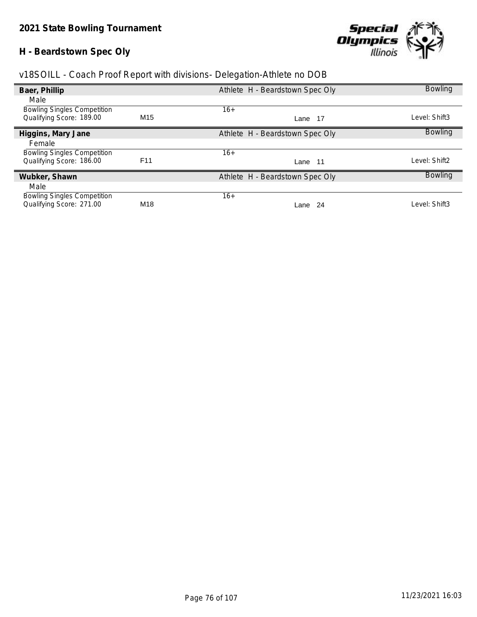# **H - Beardstown Spec Oly**



| v18SOILL - Coach Proof Report with divisions- Delegation-Athlete no DOB |  |  |  |  |
|-------------------------------------------------------------------------|--|--|--|--|
|                                                                         |  |  |  |  |

| Baer, Phillip                      |                 | Athlete H - Beardstown Spec Oly | <b>Bowling</b> |
|------------------------------------|-----------------|---------------------------------|----------------|
| Male                               |                 |                                 |                |
| <b>Bowling Singles Competition</b> |                 | $16+$                           |                |
| Qualifying Score: 189.00           | M <sub>15</sub> | Lane 17                         | Level: Shift3  |
| Higgins, Mary Jane                 |                 | Athlete H - Beardstown Spec Oly | <b>Bowling</b> |
| Female                             |                 |                                 |                |
| <b>Bowling Singles Competition</b> |                 | $16+$                           |                |
| Qualifying Score: 186.00           | F <sub>11</sub> | - 11<br>Lane                    | Level: Shift2  |
| Wubker, Shawn                      |                 | Athlete H - Beardstown Spec Oly | <b>Bowling</b> |
| Male                               |                 |                                 |                |
| <b>Bowling Singles Competition</b> |                 | $16+$                           |                |
| Qualifying Score: 271.00           | M18             | -24<br>Lane                     | Level: Shift3  |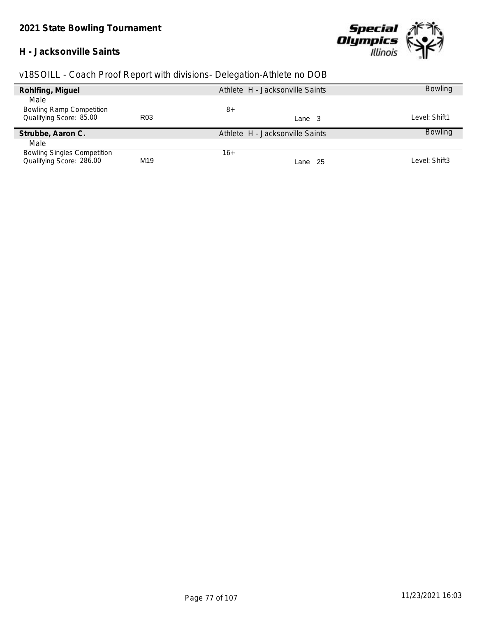## **H - Jacksonville Saints**



| Rohlfing, Miguel                   |                 | Athlete H - Jacksonville Saints | <b>Bowling</b> |
|------------------------------------|-----------------|---------------------------------|----------------|
| Male                               |                 |                                 |                |
| <b>Bowling Ramp Competition</b>    |                 | 8+                              |                |
| Qualifying Score: 85.00            | R <sub>03</sub> | Lane 3                          | ∟evel: Shift1  |
| Strubbe, Aaron C.                  |                 | Athlete H - Jacksonville Saints | <b>Bowling</b> |
| Male                               |                 |                                 |                |
| <b>Bowling Singles Competition</b> |                 | $16+$                           |                |
| Qualifying Score: 286.00           | M19             | - 25<br>Lane                    | Level: Shift3  |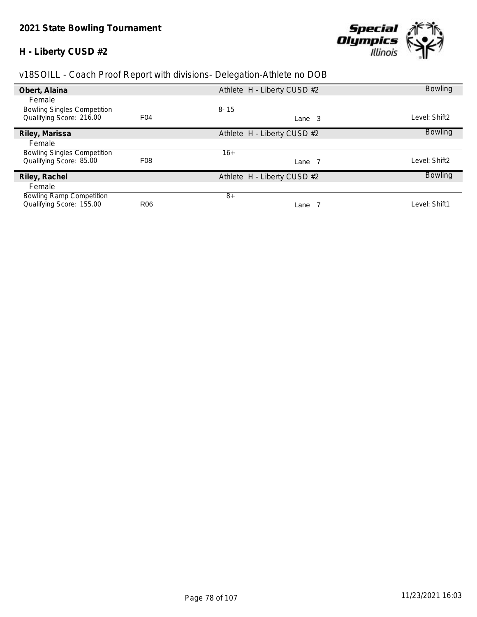# **H - Liberty CUSD #2**



| Obert, Alaina                      |                 | Athlete H - Liberty CUSD #2 | <b>Bowling</b> |
|------------------------------------|-----------------|-----------------------------|----------------|
| Female                             |                 |                             |                |
| <b>Bowling Singles Competition</b> |                 | $8 - 15$                    |                |
| Qualifying Score: 216.00           | F <sub>04</sub> | Lane 3                      | Level: Shift2  |
| Riley, Marissa                     |                 | Athlete H - Liberty CUSD #2 | <b>Bowling</b> |
| Female                             |                 |                             |                |
| <b>Bowling Singles Competition</b> |                 | $16+$                       |                |
| Qualifying Score: 85.00            | F <sub>08</sub> | Lane 7                      | Level: Shift2  |
| Riley, Rachel                      |                 | Athlete H - Liberty CUSD #2 | <b>Bowling</b> |
| Female                             |                 |                             |                |
| <b>Bowling Ramp Competition</b>    |                 | $8+$                        |                |
| Qualifying Score: 155.00           | R <sub>06</sub> | Lane                        | Level: Shift1  |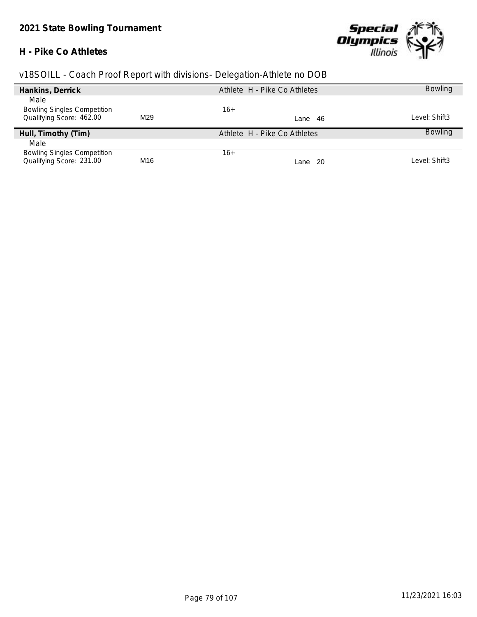#### **H - Pike Co Athletes**



| Hankins, Derrick                   |     | Athlete H - Pike Co Athletes | <b>Bowling</b> |
|------------------------------------|-----|------------------------------|----------------|
| Male                               |     |                              |                |
| <b>Bowling Singles Competition</b> |     | 16+                          |                |
| Qualifying Score: 462.00           | M29 | Lane 46                      | Level: Shift3  |
| Hull, Timothy (Tim)                |     | Athlete H - Pike Co Athletes | <b>Bowling</b> |
| Male                               |     |                              |                |
| <b>Bowling Singles Competition</b> |     | $16+$                        |                |
| Qualifying Score: 231.00           | M16 | - 20<br>Lane                 | Level: Shift3  |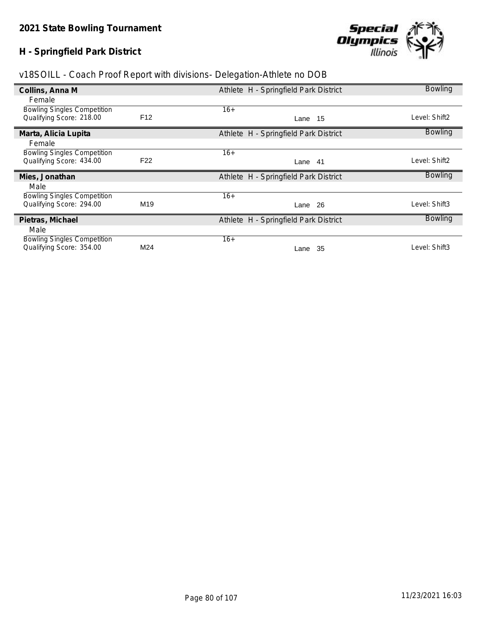# **H - Springfield Park District**



|  | v18SOILL - Coach Proof Report with divisions- Delegation-Athlete no DOB |  |
|--|-------------------------------------------------------------------------|--|
|  |                                                                         |  |

| Collins, Anna M                    |                 | Athlete H - Springfield Park District | <b>Bowling</b> |
|------------------------------------|-----------------|---------------------------------------|----------------|
| Female                             |                 |                                       |                |
| <b>Bowling Singles Competition</b> |                 | $16+$                                 |                |
| Qualifying Score: 218.00           | F <sub>12</sub> | Lane 15                               | Level: Shift2  |
| Marta, Alicia Lupita               |                 | Athlete H - Springfield Park District | <b>Bowling</b> |
| Female                             |                 |                                       |                |
| <b>Bowling Singles Competition</b> |                 | $16+$                                 |                |
| Qualifying Score: 434.00           | F <sub>22</sub> | Lane 41                               | Level: Shift2  |
| Mies, Jonathan                     |                 | Athlete H - Springfield Park District | <b>Bowling</b> |
| Male                               |                 |                                       |                |
| <b>Bowling Singles Competition</b> |                 | $16+$                                 |                |
| Qualifying Score: 294.00           | M <sub>19</sub> | Lane 26                               | Level: Shift3  |
| Pietras, Michael                   |                 | Athlete H - Springfield Park District | <b>Bowling</b> |
| Male                               |                 |                                       |                |
| <b>Bowling Singles Competition</b> |                 | $16+$                                 |                |
| Qualifying Score: 354.00           | M24             | -35<br>Lane                           | Level: Shift3  |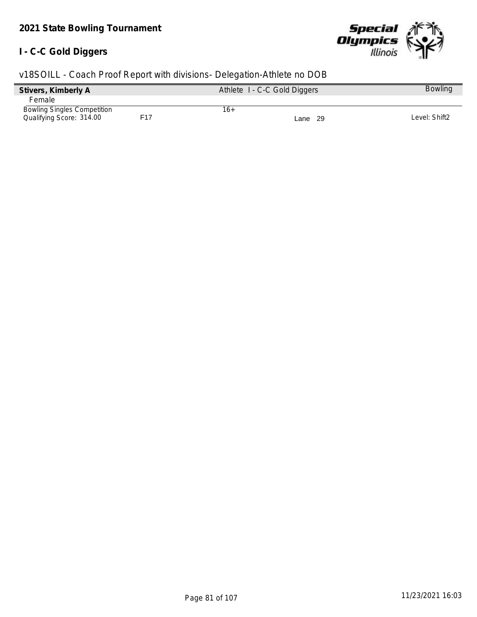#### **I - C-C Gold Diggers**



| Stivers, Kimberly A                |     | Athlete I - C-C Gold Diggers |         | <b>Bowling</b> |
|------------------------------------|-----|------------------------------|---------|----------------|
| Female                             |     |                              |         |                |
| <b>Bowling Singles Competition</b> |     | 16+                          |         |                |
| Qualifying Score: 314.00           | F17 |                              | Lane 29 | Level: Shift2  |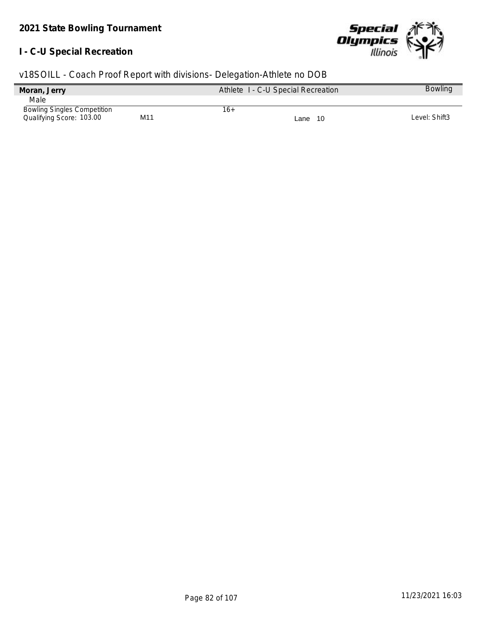# **I - C-U Special Recreation**



| v18SOILL - Coach Proof Report with divisions- Delegation-Athlete no DOB |  |  |  |  |
|-------------------------------------------------------------------------|--|--|--|--|
|                                                                         |  |  |  |  |

| Moran, Jerry                       |     |     | Athlete I - C-U Special Recreation | <b>Bowling</b> |
|------------------------------------|-----|-----|------------------------------------|----------------|
| Male                               |     |     |                                    |                |
| <b>Bowling Singles Competition</b> |     | 16+ |                                    |                |
| Qualifying Score: 103.00           | M11 |     | Lane 10                            | Level: Shift3  |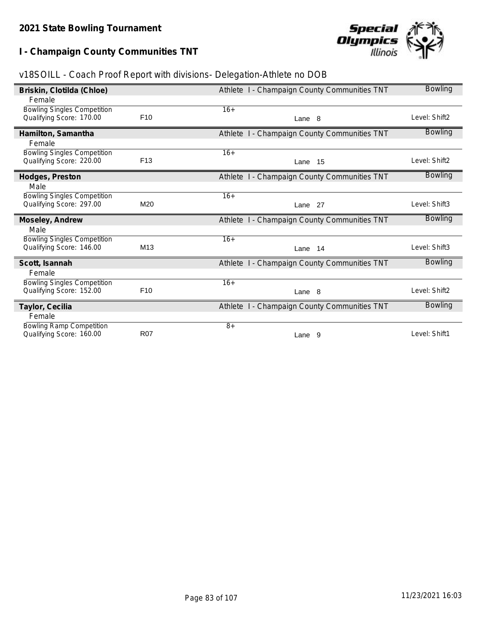**I - Champaign County Communities TNT**



| v18SOILL - Coach Proof Report with divisions- Delegation-Athlete no DOB |  |  |  |  |
|-------------------------------------------------------------------------|--|--|--|--|
|                                                                         |  |  |  |  |

| Briskin, Clotilda (Chloe)          |                 | Athlete I - Champaign County Communities TNT | <b>Bowling</b> |
|------------------------------------|-----------------|----------------------------------------------|----------------|
| Female                             |                 |                                              |                |
| <b>Bowling Singles Competition</b> |                 | $16+$                                        |                |
| Qualifying Score: 170.00           | F <sub>10</sub> | Lane 8                                       | Level: Shift2  |
| Hamilton, Samantha                 |                 | Athlete I - Champaign County Communities TNT | <b>Bowling</b> |
| Female                             |                 |                                              |                |
| <b>Bowling Singles Competition</b> |                 | $16+$                                        |                |
| Qualifying Score: 220.00           | F <sub>13</sub> | 15<br>Lane                                   | Level: Shift2  |
| Hodges, Preston                    |                 | Athlete I - Champaign County Communities TNT | <b>Bowling</b> |
| Male                               |                 |                                              |                |
| <b>Bowling Singles Competition</b> |                 | $16+$                                        |                |
| Qualifying Score: 297.00           | M20             | Lane 27                                      | Level: Shift3  |
| Moseley, Andrew                    |                 | Athlete I - Champaign County Communities TNT | <b>Bowling</b> |
| Male                               |                 |                                              |                |
| <b>Bowling Singles Competition</b> |                 | $16+$                                        |                |
| Qualifying Score: 146.00           | M <sub>13</sub> | 14<br>Lane                                   | Level: Shift3  |
| Scott, Isannah                     |                 | Athlete I - Champaign County Communities TNT | <b>Bowling</b> |
| Female                             |                 |                                              |                |
| <b>Bowling Singles Competition</b> |                 | $16+$                                        |                |
| Qualifying Score: 152.00           | F <sub>10</sub> | Lane 8                                       | Level: Shift2  |
| Taylor, Cecilia                    |                 | Athlete I - Champaign County Communities TNT | Bowling        |
| Female                             |                 |                                              |                |
| <b>Bowling Ramp Competition</b>    |                 | $8+$                                         |                |
| Qualifying Score: 160.00           | <b>R07</b>      | Lane 9                                       | Level: Shift1  |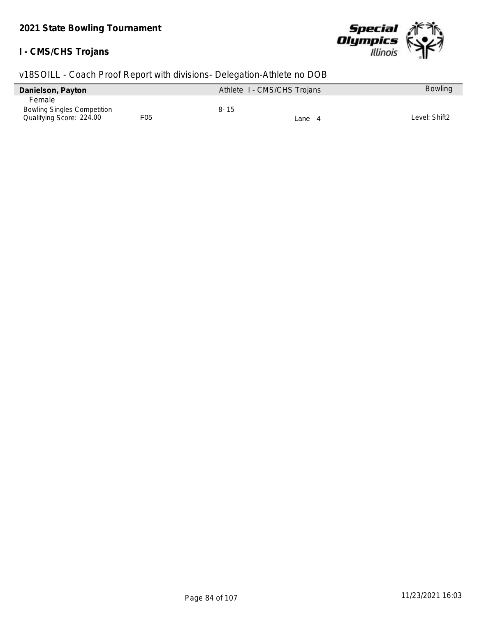#### **I - CMS/CHS Trojans**



| Danielson, Payton                  |     |          | Athlete I - CMS/CHS Trojans | <b>Bowling</b> |
|------------------------------------|-----|----------|-----------------------------|----------------|
| <b>Female</b>                      |     |          |                             |                |
| <b>Bowling Singles Competition</b> |     | $8 - 15$ |                             |                |
| Qualifying Score: 224.00           | F05 |          | Lane 4                      | Level: Shift2  |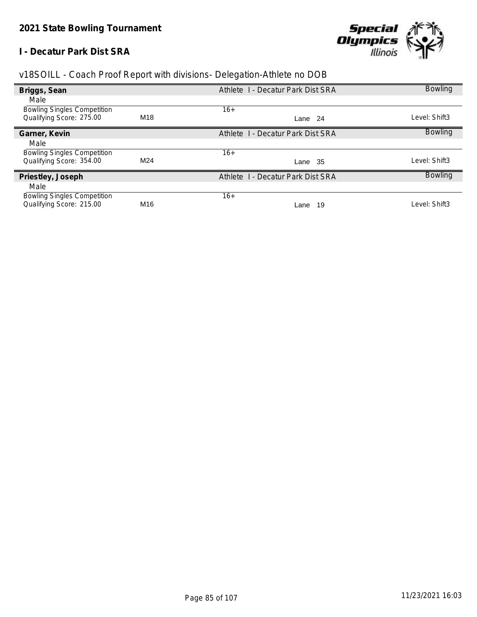## **I - Decatur Park Dist SRA**



| v18SOILL - Coach Proof Report with divisions- Delegation-Athlete no DOB |  |  |  |  |
|-------------------------------------------------------------------------|--|--|--|--|
|                                                                         |  |  |  |  |

| Briggs, Sean                       |                 | Athlete 1 - Decatur Park Dist SRA                  | <b>Bowling</b> |
|------------------------------------|-----------------|----------------------------------------------------|----------------|
| Male                               |                 |                                                    |                |
| <b>Bowling Singles Competition</b> |                 | $16+$                                              |                |
| Qualifying Score: 275.00           | M18             | Lane 24                                            | _evel: Shift3  |
| Garner, Kevin                      |                 | <b>I</b> - Decatur Park Dist SRA<br><b>Athlete</b> | <b>Bowling</b> |
| Male                               |                 |                                                    |                |
| <b>Bowling Singles Competition</b> |                 | $16+$                                              |                |
| Qualifying Score: 354.00           | M24             | Lane 35                                            | _evel: Shift3  |
| Priestley, Joseph                  |                 | Athlete 1 - Decatur Park Dist SRA                  | <b>Bowling</b> |
| Male                               |                 |                                                    |                |
| <b>Bowling Singles Competition</b> |                 | $16+$                                              |                |
| Qualifying Score: 215.00           | M <sub>16</sub> | 19<br>Lane                                         | _evel: Shift3  |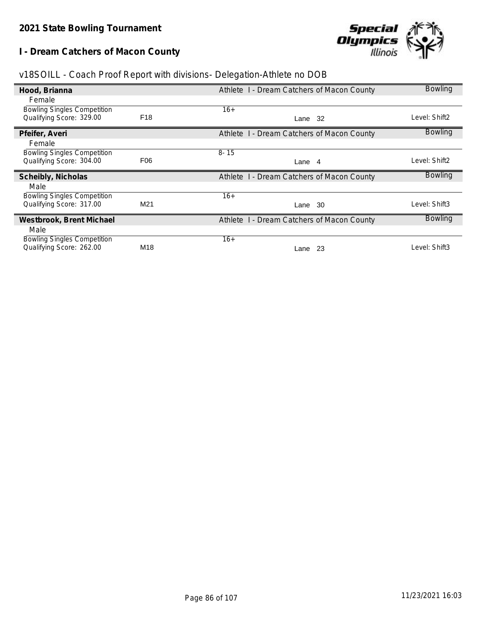**I - Dream Catchers of Macon County**



| v18SOILL - Coach Proof Report with divisions- Delegation-Athlete no DOB |  |  |  |
|-------------------------------------------------------------------------|--|--|--|
|                                                                         |  |  |  |

| Hood, Brianna                                                  |                 | Athlete I - Dream Catchers of Macon County | <b>Bowling</b> |
|----------------------------------------------------------------|-----------------|--------------------------------------------|----------------|
| Female                                                         |                 |                                            |                |
| <b>Bowling Singles Competition</b>                             |                 | $16+$                                      |                |
| Qualifying Score: 329.00                                       | F <sub>18</sub> | Lane 32                                    | _evel: Shift2  |
| Pfeifer, Averi                                                 |                 | Athlete I - Dream Catchers of Macon County | <b>Bowling</b> |
| Female                                                         |                 |                                            |                |
| <b>Bowling Singles Competition</b>                             |                 | $8 - 15$                                   |                |
| Qualifying Score: 304.00                                       | F06             | Lane 4                                     | _evel: Shift2  |
|                                                                |                 |                                            |                |
| Scheibly, Nicholas                                             |                 | Athlete I - Dream Catchers of Macon County | <b>Bowling</b> |
| Male                                                           |                 |                                            |                |
| <b>Bowling Singles Competition</b>                             |                 | $16+$                                      |                |
| Qualifying Score: 317.00                                       | M <sub>21</sub> | -30<br>Lane                                | _evel: Shift3  |
| Westbrook, Brent Michael                                       |                 | Athlete I - Dream Catchers of Macon County | <b>Bowling</b> |
| Male                                                           |                 |                                            |                |
| <b>Bowling Singles Competition</b><br>Qualifying Score: 262.00 | M18             | $16+$                                      | _evel: Shift3  |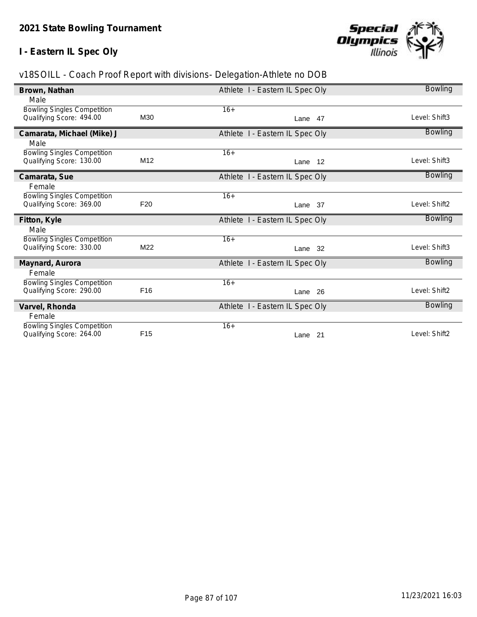# **I - Eastern IL Spec Oly**



| Brown, Nathan                                                  |                 | Athlete I - Eastern IL Spec Oly | <b>Bowling</b> |
|----------------------------------------------------------------|-----------------|---------------------------------|----------------|
| Male                                                           |                 |                                 |                |
| <b>Bowling Singles Competition</b>                             |                 | $16+$                           |                |
| Qualifying Score: 494.00                                       | M30             | Lane 47                         | Level: Shift3  |
| Camarata, Michael (Mike) J                                     |                 | Athlete I - Eastern IL Spec Oly | <b>Bowling</b> |
| Male                                                           |                 |                                 |                |
| <b>Bowling Singles Competition</b>                             |                 | $16+$                           |                |
| Qualifying Score: 130.00                                       | M <sub>12</sub> | Lane 12                         | Level: Shift3  |
| Camarata, Sue                                                  |                 | Athlete I - Eastern IL Spec Oly | Bowling        |
| Female                                                         |                 |                                 |                |
| <b>Bowling Singles Competition</b>                             |                 | $16+$                           |                |
| Qualifying Score: 369.00                                       | F <sub>20</sub> | Lane 37                         | Level: Shift2  |
| Fitton, Kyle                                                   |                 | Athlete I - Eastern IL Spec Oly | <b>Bowling</b> |
| Male                                                           |                 |                                 |                |
|                                                                |                 |                                 |                |
| <b>Bowling Singles Competition</b>                             |                 | $16+$                           |                |
| Qualifying Score: 330.00                                       | M22             | -32<br>Lane                     | Level: Shift3  |
| Maynard, Aurora                                                |                 | Athlete I - Eastern IL Spec Oly | <b>Bowling</b> |
| Female                                                         |                 |                                 |                |
| <b>Bowling Singles Competition</b>                             |                 | $16+$                           |                |
| Qualifying Score: 290.00                                       | F <sub>16</sub> | 26<br>Lane                      | Level: Shift2  |
| Varvel, Rhonda                                                 |                 | Athlete I - Eastern IL Spec Oly | <b>Bowling</b> |
| Female                                                         |                 |                                 |                |
| <b>Bowling Singles Competition</b><br>Qualifying Score: 264.00 | F <sub>15</sub> | $16+$                           | Level: Shift2  |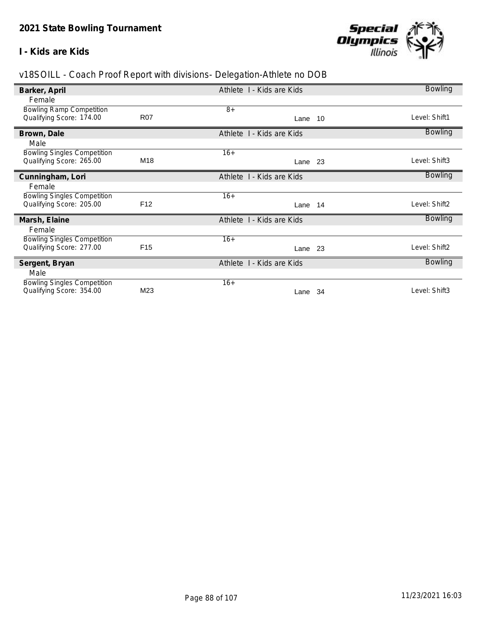#### **I - Kids are Kids**



| Barker, April                      |                 | Athlete I - Kids are Kids | <b>Bowling</b> |
|------------------------------------|-----------------|---------------------------|----------------|
| Female                             |                 |                           |                |
| <b>Bowling Ramp Competition</b>    |                 | $8+$                      |                |
| Qualifying Score: 174.00           | <b>R07</b>      | Lane 10                   | Level: Shift1  |
| Brown, Dale                        |                 | Athlete I - Kids are Kids | <b>Bowling</b> |
| Male                               |                 |                           |                |
| <b>Bowling Singles Competition</b> |                 | $16+$                     |                |
| Qualifying Score: 265.00           | M18             | Lane 23                   | Level: Shift3  |
| Cunningham, Lori                   |                 | Athlete I - Kids are Kids | <b>Bowling</b> |
| Female                             |                 |                           |                |
| <b>Bowling Singles Competition</b> |                 | $16+$                     |                |
| Qualifying Score: 205.00           | F <sub>12</sub> | Lane 14                   | Level: Shift2  |
| Marsh, Elaine                      |                 | Athlete 1 - Kids are Kids | <b>Bowling</b> |
| Female                             |                 |                           |                |
| <b>Bowling Singles Competition</b> |                 | $16+$                     |                |
| Qualifying Score: 277.00           | F <sub>15</sub> | Lane 23                   | Level: Shift2  |
| Sergent, Bryan                     |                 | Athlete I - Kids are Kids | <b>Bowling</b> |
| Male                               |                 |                           |                |
| <b>Bowling Singles Competition</b> |                 | $16+$                     |                |
| Qualifying Score: 354.00           | M23             | 34<br>Lane                | Level: Shift3  |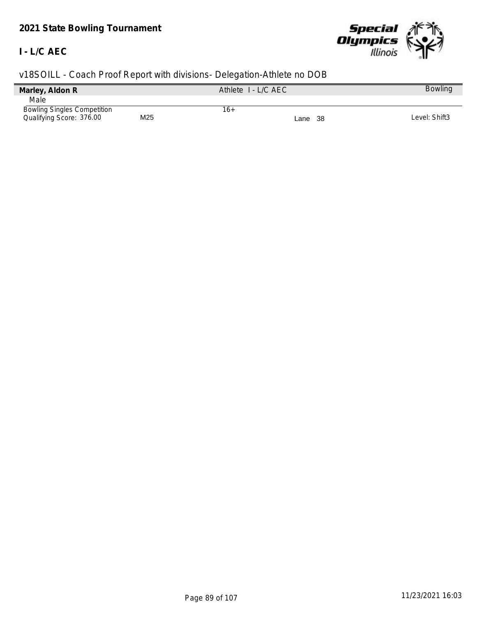# *2021 State Bowling Tournament*

## **I - L/C AEC**



| Marley, Aldon R                    |     | Athlete I - L/C AEC |         | <b>Bowling</b> |
|------------------------------------|-----|---------------------|---------|----------------|
| Male                               |     |                     |         |                |
| <b>Bowling Singles Competition</b> |     | 16+                 |         |                |
| Qualifying Score: 376.00           | M25 |                     | Lane 38 | Level: Shift3  |
|                                    |     |                     |         |                |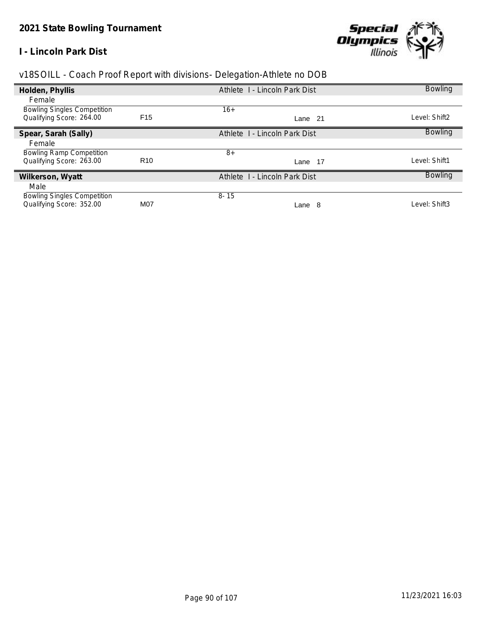## **I - Lincoln Park Dist**



| v18SOILL - Coach Proof Report with divisions- Delegation-Athlete no DOB |  |  |
|-------------------------------------------------------------------------|--|--|
|                                                                         |  |  |

| Holden, Phyllis                    |                 | Athlete I - Lincoln Park Dist | <b>Bowling</b> |
|------------------------------------|-----------------|-------------------------------|----------------|
| Female                             |                 |                               |                |
| <b>Bowling Singles Competition</b> |                 | $16+$                         |                |
| Qualifying Score: 264.00           | F <sub>15</sub> | Lane 21                       | Level: Shift2  |
| Spear, Sarah (Sally)               |                 | Athlete 1 - Lincoln Park Dist | <b>Bowling</b> |
| Female                             |                 |                               |                |
| <b>Bowling Ramp Competition</b>    |                 | $8+$                          |                |
| Qualifying Score: 263.00           | R <sub>10</sub> | -17<br>Lane                   | Level: Shift1  |
| Wilkerson, Wyatt                   |                 | Athlete 1 - Lincoln Park Dist | <b>Bowling</b> |
| Male                               |                 |                               |                |
| <b>Bowling Singles Competition</b> |                 | $8 - 15$                      |                |
| Qualifying Score: 352.00           | M07             | -8<br>Lane                    | Level: Shift3  |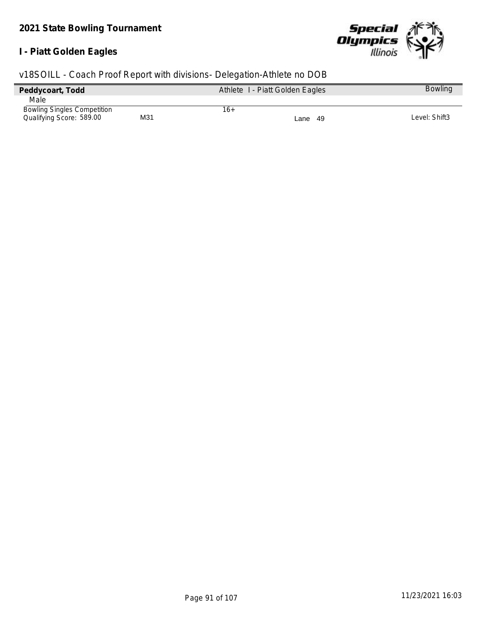#### **I - Piatt Golden Eagles**



| Peddycoart, Todd                   |     | Athlete I - Piatt Golden Eagles |         | <b>Bowling</b> |
|------------------------------------|-----|---------------------------------|---------|----------------|
| Male                               |     |                                 |         |                |
| <b>Bowling Singles Competition</b> |     | 16+                             |         |                |
| Qualifying Score: 589.00           | M31 |                                 | Lane 49 | Level: Shift3  |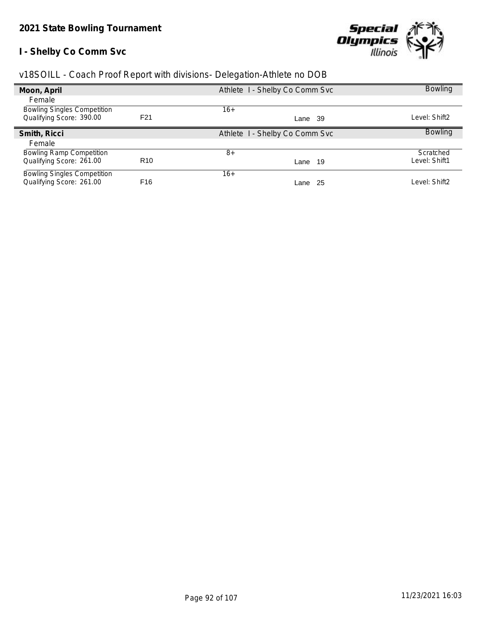# **I - Shelby Co Comm Svc**



|  | v18SOILL - Coach Proof Report with divisions- Delegation-Athlete no DOB |  |
|--|-------------------------------------------------------------------------|--|
|  |                                                                         |  |

| Moon, April                        |                  | Athlete I - Shelby Co Comm Svc | <b>Bowling</b> |
|------------------------------------|------------------|--------------------------------|----------------|
| Female                             |                  |                                |                |
| <b>Bowling Singles Competition</b> |                  | $16+$                          |                |
| Qualifying Score: 390.00           | F <sub>2</sub> 1 | Lane 39                        | Level: Shift2  |
| Smith, Ricci                       |                  | Athlete I - Shelby Co Comm Svc | <b>Bowling</b> |
| Female                             |                  |                                |                |
| <b>Bowling Ramp Competition</b>    |                  | $8+$                           | Scratched      |
| Qualifying Score: 261.00           | R <sub>10</sub>  | Lane 19                        | Level: Shift1  |
| <b>Bowling Singles Competition</b> |                  | $16+$                          |                |
| Qualifying Score: 261.00           | F <sub>16</sub>  | -25<br>Lane                    | Level: Shift2  |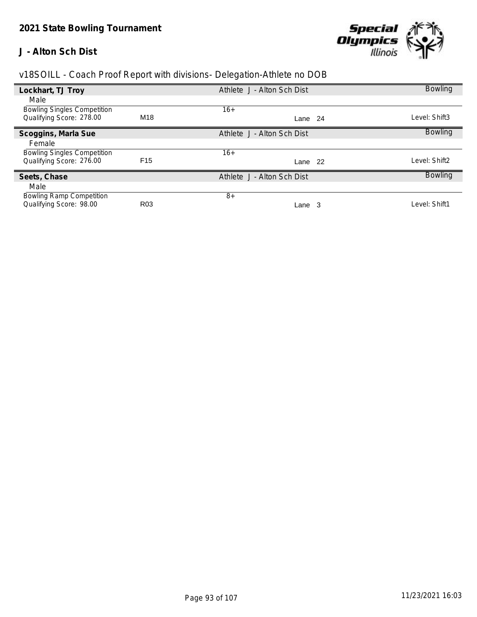#### **J - Alton Sch Dist**



| Lockhart, TJ Troy                  |                 | Athlete J - Alton Sch Dist |     | <b>Bowling</b> |
|------------------------------------|-----------------|----------------------------|-----|----------------|
| Male                               |                 |                            |     |                |
| <b>Bowling Singles Competition</b> |                 | $16+$                      |     |                |
| Qualifying Score: 278.00           | M18             | Lane                       | -24 | Level: Shift3  |
| Scoggins, Marla Sue                |                 | Athlete J - Alton Sch Dist |     | <b>Bowling</b> |
| Female                             |                 |                            |     |                |
| <b>Bowling Singles Competition</b> |                 | $16+$                      |     |                |
| Qualifying Score: 276.00           | F <sub>15</sub> | Lane                       | -22 | ∟evel: Shift2  |
| Seets, Chase                       |                 | Athlete J - Alton Sch Dist |     | <b>Bowling</b> |
| Male                               |                 |                            |     |                |
| <b>Bowling Ramp Competition</b>    |                 | $8+$                       |     |                |
| Qualifying Score: 98.00            | R <sub>03</sub> | Lane 3                     |     | Level: Shift1  |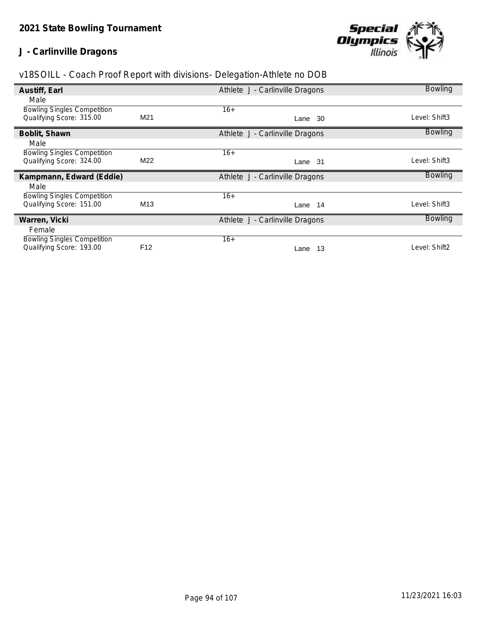# **J - Carlinville Dragons**



| Austiff, Earl                      |                 | Athlete J - Carlinville Dragons | <b>Bowling</b> |
|------------------------------------|-----------------|---------------------------------|----------------|
| Male                               |                 |                                 |                |
| <b>Bowling Singles Competition</b> |                 | $16+$                           |                |
| Qualifying Score: 315.00           | M21             | -30<br>Lane                     | Level: Shift3  |
| Boblit, Shawn                      |                 | Athlete J - Carlinville Dragons | <b>Bowling</b> |
| Male                               |                 |                                 |                |
| <b>Bowling Singles Competition</b> |                 | $16+$                           |                |
| Qualifying Score: 324.00           | M22             | Lane 31                         | Level: Shift3  |
| Kampmann, Edward (Eddie)           |                 | Athlete J - Carlinville Dragons | <b>Bowling</b> |
| Male                               |                 |                                 |                |
| <b>Bowling Singles Competition</b> |                 | $16+$                           |                |
| Qualifying Score: 151.00           | M <sub>13</sub> | Lane 14                         | Level: Shift3  |
| Warren, Vicki                      |                 | Athlete J - Carlinville Dragons | <b>Bowling</b> |
| Female                             |                 |                                 |                |
| <b>Bowling Singles Competition</b> |                 | $16+$                           |                |
| Qualifying Score: 193.00           | F <sub>12</sub> | 13<br>Lane                      | Level: Shift2  |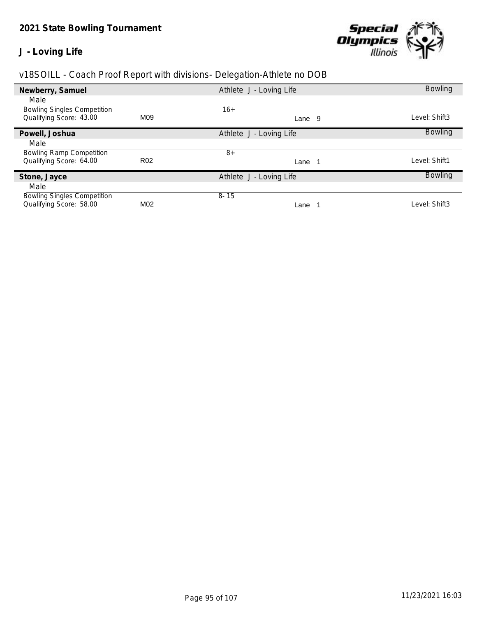#### **J - Loving Life**



| Newberry, Samuel                   |                 | Athlete J - Loving Life | <b>Bowling</b> |
|------------------------------------|-----------------|-------------------------|----------------|
| Male                               |                 |                         |                |
| <b>Bowling Singles Competition</b> |                 | $16+$                   |                |
| Qualifying Score: 43.00            | M09             | - 9<br>Lane             | Level: Shift3  |
| Powell, Joshua                     |                 | Athlete J - Loving Life | <b>Bowling</b> |
| Male                               |                 |                         |                |
| <b>Bowling Ramp Competition</b>    |                 | $8+$                    |                |
| Qualifying Score: 64.00            | R <sub>02</sub> | Lane                    | Level: Shift1  |
| Stone, Jayce                       |                 | Athlete J - Loving Life | <b>Bowling</b> |
| Male                               |                 |                         |                |
| <b>Bowling Singles Competition</b> |                 | $8 - 15$                |                |
| Qualifying Score: 58.00            | M02             | Lane                    | Level: Shift3  |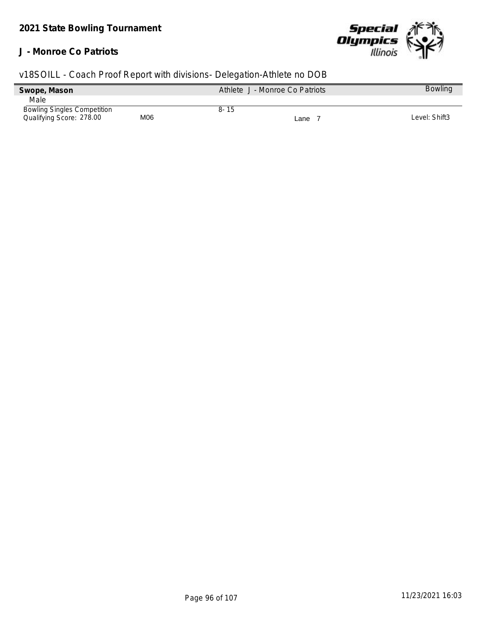#### **J - Monroe Co Patriots**



| Swope, Mason                       |     | Athlete J - Monroe Co Patriots | <b>Bowling</b> |
|------------------------------------|-----|--------------------------------|----------------|
| Male                               |     |                                |                |
| <b>Bowling Singles Competition</b> |     | 8-15                           |                |
| Qualifying Score: 278.00           | M06 | Lane                           | Level: Shift3  |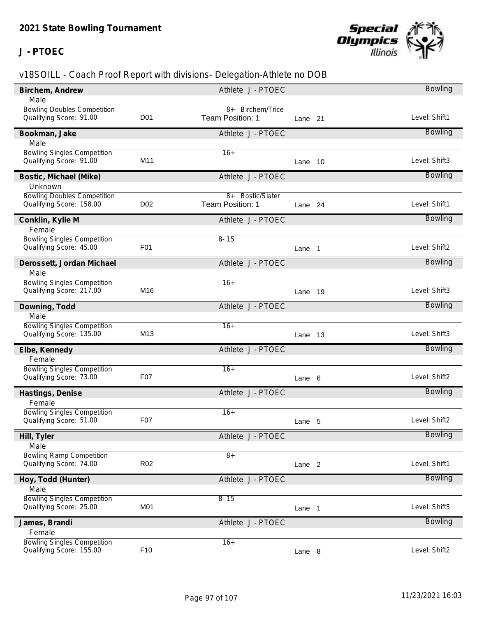## **J - PTOEC**



| Birchem, Andrew                    |                  | Athlete J - PTOEC |                   |      | Bowling        |
|------------------------------------|------------------|-------------------|-------------------|------|----------------|
| Male                               |                  |                   |                   |      |                |
| <b>Bowling Doubles Competition</b> |                  | 8+ Birchem/Trice  |                   |      |                |
| Qualifying Score: 91.00            | D <sub>0</sub> 1 | Team Position: 1  | Lane 21           |      | Level: Shift1  |
| Bookman, Jake                      |                  | Athlete J - PTOEC |                   |      | <b>Bowling</b> |
| Male                               |                  |                   |                   |      |                |
| <b>Bowling Singles Competition</b> |                  | $16+$             |                   |      |                |
| Qualifying Score: 91.00            | M <sub>11</sub>  |                   | Lane              | - 10 | Level: Shift3  |
| Bostic, Michael (Mike)             |                  | Athlete J - PTOEC |                   |      | <b>Bowling</b> |
| Unknown                            |                  |                   |                   |      |                |
| <b>Bowling Doubles Competition</b> |                  | 8+ Bostic/Slater  |                   |      |                |
| Qualifying Score: 158.00           | D <sub>02</sub>  | Team Position: 1  | Lane 24           |      | Level: Shift1  |
| Conklin, Kylie M                   |                  | Athlete J - PTOEC |                   |      | <b>Bowling</b> |
| Female                             |                  |                   |                   |      |                |
| <b>Bowling Singles Competition</b> |                  | $8 - 15$          |                   |      |                |
| Qualifying Score: 45.00            | F <sub>0</sub> 1 |                   | Lane 1            |      | Level: Shift2  |
| Derossett, Jordan Michael          |                  | Athlete J - PTOEC |                   |      | <b>Bowling</b> |
| Male                               |                  |                   |                   |      |                |
| <b>Bowling Singles Competition</b> |                  | $16+$             |                   |      |                |
| Qualifying Score: 217.00           | M16              |                   | Lane              | - 19 | Level: Shift3  |
| Downing, Todd                      |                  | Athlete J - PTOEC |                   |      | <b>Bowling</b> |
| Male                               |                  |                   |                   |      |                |
| <b>Bowling Singles Competition</b> |                  | $16+$             |                   |      |                |
| Qualifying Score: 135.00           | M13              |                   | Lane 13           |      | Level: Shift3  |
| Elbe, Kennedy                      |                  | Athlete J - PTOEC |                   |      | <b>Bowling</b> |
| Female                             |                  |                   |                   |      |                |
| <b>Bowling Singles Competition</b> |                  | $16+$             |                   |      |                |
| Qualifying Score: 73.00            | F07              |                   | Lane 6            |      | Level: Shift2  |
| Hastings, Denise                   |                  | Athlete J - PTOEC |                   |      | Bowling        |
| Female                             |                  |                   |                   |      |                |
| <b>Bowling Singles Competition</b> |                  | $16+$             |                   |      |                |
| Qualifying Score: 51.00            | F07              |                   | Lane 5            |      | Level: Shift2  |
| Hill, Tyler                        |                  | Athlete J - PTOEC |                   |      | <b>Bowling</b> |
| Male                               |                  |                   |                   |      |                |
| <b>Bowling Ramp Competition</b>    |                  | $8+$              |                   |      |                |
| Qualifying Score: 74.00            | R <sub>02</sub>  |                   | Lane <sub>2</sub> |      | Level: Shift1  |
| Hoy, Todd (Hunter)                 |                  | Athlete J - PTOEC |                   |      | Bowling        |
| Male                               |                  |                   |                   |      |                |
| <b>Bowling Singles Competition</b> |                  | $8 - 15$          |                   |      |                |
| Qualifying Score: 25.00            | M01              |                   | Lane 1            |      | Level: Shift3  |
| James, Brandi                      |                  | Athlete J - PTOEC |                   |      | <b>Bowling</b> |
| Female                             |                  |                   |                   |      |                |
| <b>Bowling Singles Competition</b> |                  | $16+$             |                   |      |                |
| Qualifying Score: 155.00           | F10              |                   | Lane 8            |      | Level: Shift2  |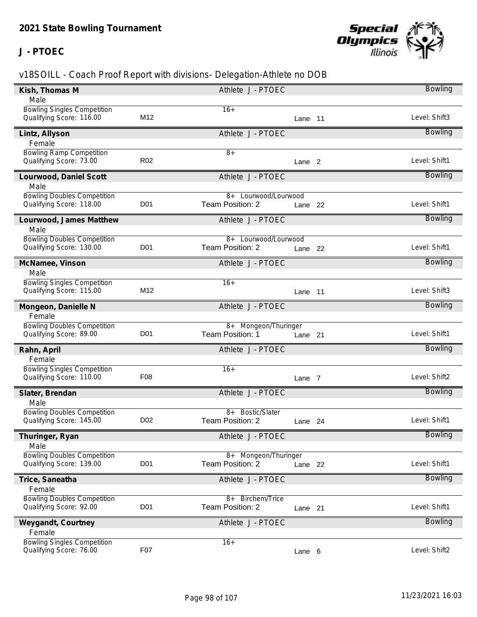## **J - PTOEC**



| Kish, Thomas M                                                |                  | Athlete J - PTOEC            |                   | Bowling        |
|---------------------------------------------------------------|------------------|------------------------------|-------------------|----------------|
| Male                                                          |                  |                              |                   |                |
| <b>Bowling Singles Competition</b>                            |                  | $16+$                        |                   |                |
| Qualifying Score: 116.00                                      | M <sub>12</sub>  |                              | Lane 11           | Level: Shift3  |
| Lintz, Allyson                                                |                  | Athlete J - PTOEC            |                   | <b>Bowling</b> |
| Female                                                        |                  |                              |                   |                |
| <b>Bowling Ramp Competition</b>                               |                  | $8+$                         |                   |                |
| Qualifying Score: 73.00                                       | R <sub>02</sub>  |                              | Lane <sub>2</sub> | Level: Shift1  |
| Lourwood, Daniel Scott                                        |                  | Athlete J - PTOEC            |                   | <b>Bowling</b> |
| Male                                                          |                  |                              |                   |                |
| <b>Bowling Doubles Competition</b>                            |                  | 8+ Lourwood/Lourwood         |                   |                |
| Qualifying Score: 118.00                                      | D <sub>01</sub>  | Team Position: 2             | Lane 22           | Level: Shift1  |
| Lourwood, James Matthew                                       |                  | Athlete J - PTOEC            |                   | <b>Bowling</b> |
| Male                                                          |                  |                              |                   |                |
| <b>Bowling Doubles Competition</b>                            |                  | 8+ Lourwood/Lourwood         |                   |                |
| Qualifying Score: 130.00                                      | D <sub>0</sub> 1 | Team Position: 2             | Lane 22           | Level: Shift1  |
| McNamee, Vinson                                               |                  | Athlete J - PTOEC            |                   | Bowling        |
| Male                                                          |                  |                              |                   |                |
| <b>Bowling Singles Competition</b>                            |                  | $16+$                        |                   |                |
| Qualifying Score: 115.00                                      | M12              |                              | Lane 11           | Level: Shift3  |
| Mongeon, Danielle N                                           |                  | Athlete J - PTOEC            |                   | Bowling        |
| Female                                                        |                  |                              |                   |                |
| <b>Bowling Doubles Competition</b>                            |                  | 8+ Mongeon/Thuringer         |                   |                |
| Qualifying Score: 89.00                                       | <b>D01</b>       | Team Position: 1             | Lane 21           | Level: Shift1  |
| Rahn, April                                                   |                  | Athlete J - PTOEC            |                   | Bowling        |
| Female                                                        |                  |                              |                   |                |
| <b>Bowling Singles Competition</b>                            |                  | $16+$                        |                   |                |
| Qualifying Score: 110.00                                      | F <sub>08</sub>  |                              | Lane 7            | Level: Shift2  |
| Slater, Brendan                                               |                  | Athlete J - PTOEC            |                   | <b>Bowling</b> |
| Male                                                          |                  |                              |                   |                |
| <b>Bowling Doubles Competition</b>                            |                  | 8+ Bostic/Slater             |                   |                |
| Qualifying Score: 145.00                                      | D <sub>02</sub>  | Team Position: 2             | Lane 24           | Level: Shift1  |
|                                                               |                  | Athlete J - PTOEC            |                   | <b>Bowling</b> |
| Thuringer, Ryan<br>Male                                       |                  |                              |                   |                |
| <b>Bowling Doubles Competition</b>                            |                  | 8+ Mongeon/Thuringer         |                   |                |
| Qualifying Score: 139.00                                      | D <sub>0</sub> 1 | Team Position: 2             | Lane 22           | Level: Shift1  |
|                                                               |                  |                              |                   |                |
| Trice, Saneatha                                               |                  | Athlete J - PTOEC            |                   | Bowling        |
| Female<br><b>Bowling Doubles Competition</b>                  |                  | <b>Birchem/Trice</b><br>$8+$ |                   |                |
| Qualifying Score: 92.00                                       | D <sub>0</sub> 1 | Team Position: 2             | Lane 21           | Level: Shift1  |
|                                                               |                  |                              |                   |                |
| Weygandt, Courtney                                            |                  | Athlete J - PTOEC            |                   | <b>Bowling</b> |
| Female                                                        |                  |                              |                   |                |
| <b>Bowling Singles Competition</b><br>Qualifying Score: 76.00 | F07              | $16+$                        |                   | Level: Shift2  |
|                                                               |                  |                              | Lane 6            |                |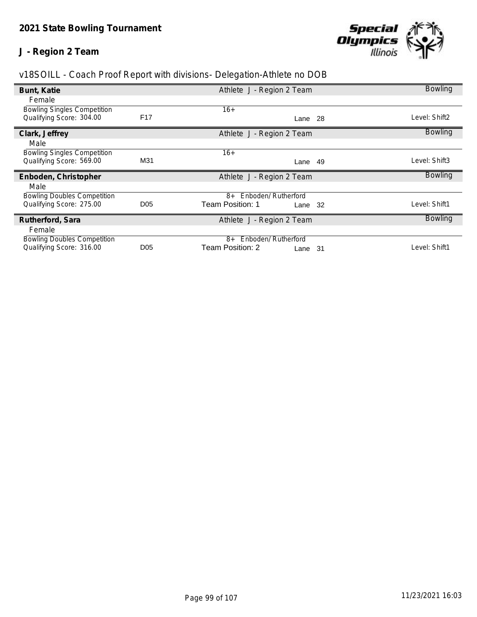# **J - Region 2 Team**



| v18SOILL - Coach Proof Report with divisions- Delegation-Athlete no DOB |  |  |
|-------------------------------------------------------------------------|--|--|
|                                                                         |  |  |

|                                    |                 |                             | <b>Bowling</b> |
|------------------------------------|-----------------|-----------------------------|----------------|
| Bunt, Katie                        |                 | Athlete J - Region 2 Team   |                |
| Female                             |                 |                             |                |
| <b>Bowling Singles Competition</b> |                 | $16+$                       |                |
| Qualifying Score: 304.00           | F <sub>17</sub> | Lane 28                     | Level: Shift2  |
| Clark, Jeffrey                     |                 | Athlete J - Region 2 Team   | <b>Bowling</b> |
| Male                               |                 |                             |                |
| <b>Bowling Singles Competition</b> |                 | $16+$                       |                |
| Qualifying Score: 569.00           | M31             | -49<br>Lane                 | Level: Shift3  |
| Enboden, Christopher               |                 | Athlete J - Region 2 Team   | <b>Bowling</b> |
| Male                               |                 |                             |                |
| <b>Bowling Doubles Competition</b> |                 | 8+ Enboden/ Rutherford      |                |
| Qualifying Score: 275.00           | D <sub>05</sub> | Team Position: 1<br>Lane 32 | Level: Shift1  |
| Rutherford, Sara                   |                 | Athlete J - Region 2 Team   | <b>Bowling</b> |
| Female                             |                 |                             |                |
| <b>Bowling Doubles Competition</b> |                 | Enboden/ Rutherford<br>8+   |                |
| Qualifying Score: 316.00           | D <sub>05</sub> | Team Position: 2<br>Lane 31 | Level: Shift1  |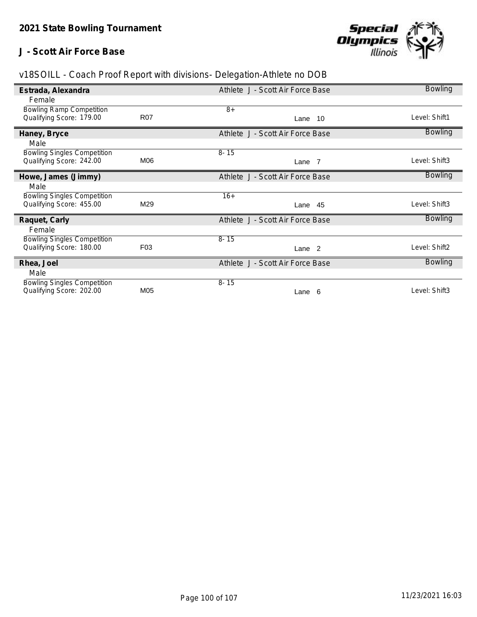## **J - Scott Air Force Base**



| Estrada, Alexandra                 |                 | Athlete J - Scott Air Force Base | <b>Bowling</b> |
|------------------------------------|-----------------|----------------------------------|----------------|
| Female                             |                 |                                  |                |
| <b>Bowling Ramp Competition</b>    |                 | $8+$                             |                |
| Qualifying Score: 179.00           | <b>R07</b>      | Lane 10                          | Level: Shift1  |
| Haney, Bryce                       |                 | Athlete J - Scott Air Force Base | <b>Bowling</b> |
| Male                               |                 |                                  |                |
| <b>Bowling Singles Competition</b> |                 | $8 - 15$                         |                |
| Qualifying Score: 242.00           | M06             | Lane 7                           | Level: Shift3  |
| Howe, James (Jimmy)                |                 | Athlete J - Scott Air Force Base | <b>Bowling</b> |
| Male                               |                 |                                  |                |
| <b>Bowling Singles Competition</b> |                 | $16+$                            |                |
| Qualifying Score: 455.00           | M29             | Lane 45                          | Level: Shift3  |
| Raquet, Carly                      |                 | Athlete J - Scott Air Force Base | <b>Bowling</b> |
| Female                             |                 |                                  |                |
| <b>Bowling Singles Competition</b> |                 | $8 - 15$                         |                |
| Qualifying Score: 180.00           | F <sub>03</sub> | Lane <sub>2</sub>                | Level: Shift2  |
| Rhea, Joel                         |                 | Athlete J - Scott Air Force Base | <b>Bowling</b> |
| Male                               |                 |                                  |                |
| <b>Bowling Singles Competition</b> |                 | $8 - 15$                         |                |
| Qualifying Score: 202.00           | M05             | Lane 6                           | Level: Shift3  |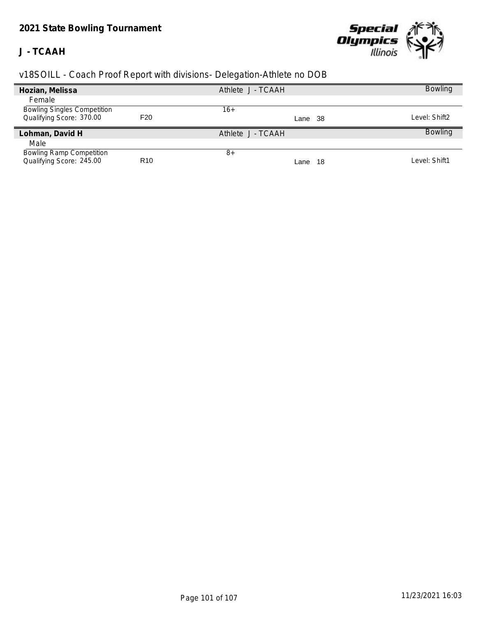# *2021 State Bowling Tournament*

## **J - TCAAH**



| Hozian, Melissa                    |                 | Athlete J - TCAAH | <b>Bowling</b> |
|------------------------------------|-----------------|-------------------|----------------|
| Female                             |                 |                   |                |
| <b>Bowling Singles Competition</b> |                 | 16+               |                |
| Qualifying Score: 370.00           | F <sub>20</sub> | Lane 38           | Level: Shift2  |
| Lohman, David H                    |                 | Athlete J - TCAAH | <b>Bowling</b> |
| Male                               |                 |                   |                |
| <b>Bowling Ramp Competition</b>    |                 | $8+$              |                |
| Qualifying Score: 245.00           | R <sub>10</sub> | - 18<br>Lane      | Level: Shift1  |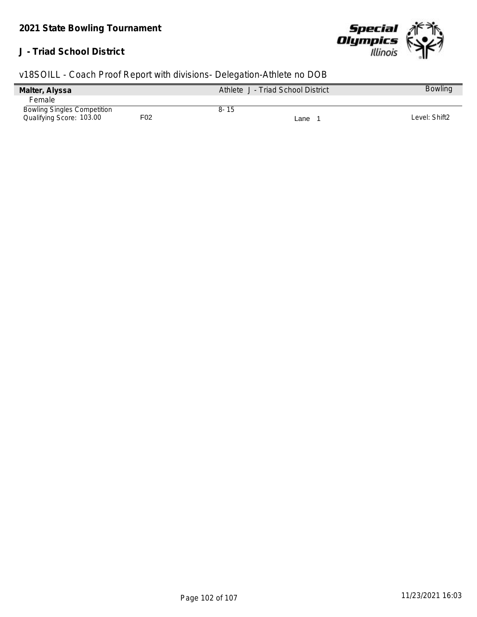## **J - Triad School District**



| v18SOILL - Coach Proof Report with divisions- Delegation-Athlete no DOB |  |  |  |  |
|-------------------------------------------------------------------------|--|--|--|--|
|                                                                         |  |  |  |  |

| Malter, Alyssa                     |     | Athlete J - Triad School District | <b>Bowling</b> |
|------------------------------------|-----|-----------------------------------|----------------|
| Female                             |     |                                   |                |
| <b>Bowling Singles Competition</b> |     | $8 - 15$                          |                |
| Qualifying Score: 103.00           | F02 | ∟ane                              | Level: Shift2  |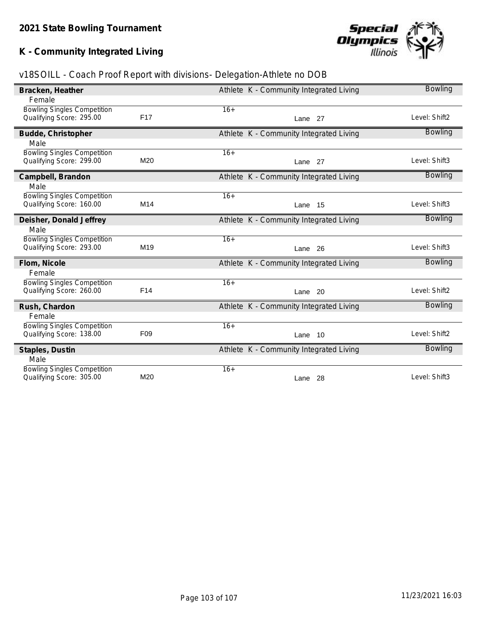# **K - Community Integrated Living**

# **Special<br>Olympics**<br>llinois

| v18SOILL - Coach Proof Report with divisions- Delegation-Athlete no DOB |  |  |  |  |
|-------------------------------------------------------------------------|--|--|--|--|
|                                                                         |  |  |  |  |

| Bracken, Heather                   |                 | Athlete K - Community Integrated Living | <b>Bowling</b> |
|------------------------------------|-----------------|-----------------------------------------|----------------|
| Female                             |                 |                                         |                |
| <b>Bowling Singles Competition</b> |                 | $16+$                                   |                |
| Qualifying Score: 295.00           | F17             | Lane 27                                 | Level: Shift2  |
| Budde, Christopher                 |                 | Athlete K - Community Integrated Living | <b>Bowling</b> |
| Male                               |                 |                                         |                |
| <b>Bowling Singles Competition</b> |                 | $16+$                                   |                |
| Qualifying Score: 299.00           | M20             | Lane 27                                 | Level: Shift3  |
| Campbell, Brandon                  |                 | Athlete K - Community Integrated Living | Bowling        |
| Male                               |                 |                                         |                |
| <b>Bowling Singles Competition</b> |                 | $16+$                                   |                |
| Qualifying Score: 160.00           | M14             | Lane 15                                 | Level: Shift3  |
| Deisher, Donald Jeffrey            |                 | Athlete K - Community Integrated Living | <b>Bowling</b> |
| Male                               |                 |                                         |                |
| <b>Bowling Singles Competition</b> |                 | $16+$                                   |                |
| Qualifying Score: 293.00           | M <sub>19</sub> | Lane 26                                 | Level: Shift3  |
| Flom, Nicole                       |                 | Athlete K - Community Integrated Living | <b>Bowling</b> |
| Female                             |                 |                                         |                |
| <b>Bowling Singles Competition</b> |                 | $16+$                                   |                |
| Qualifying Score: 260.00           | F14             | Lane 20                                 | Level: Shift2  |
| Rush, Chardon                      |                 | Athlete K - Community Integrated Living | <b>Bowling</b> |
| Female                             |                 |                                         |                |
| <b>Bowling Singles Competition</b> |                 | $16+$                                   |                |
| Qualifying Score: 138.00           | F <sub>09</sub> | Lane 10                                 | Level: Shift2  |
| Staples, Dustin                    |                 | Athlete K - Community Integrated Living | <b>Bowling</b> |
| Male                               |                 |                                         |                |
| <b>Bowling Singles Competition</b> |                 | $16+$                                   |                |
| Qualifying Score: 305.00           | M20             | Lane 28                                 | Level: Shift3  |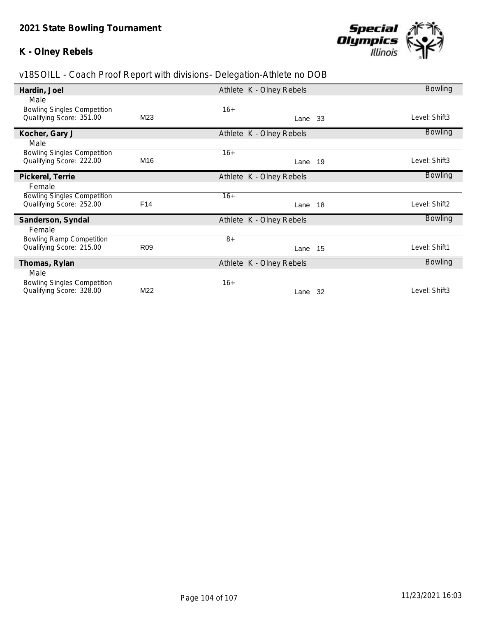### **K - Olney Rebels**



| Hardin, Joel                       |                 | Athlete K - Olney Rebels |      | Bowling        |
|------------------------------------|-----------------|--------------------------|------|----------------|
| Male                               |                 |                          |      |                |
| <b>Bowling Singles Competition</b> |                 | $16+$                    |      |                |
| Qualifying Score: 351.00           | M23             | Lane 33                  |      | Level: Shift3  |
| Kocher, Gary J                     |                 | Athlete K - Olney Rebels |      | <b>Bowling</b> |
| Male                               |                 |                          |      |                |
| <b>Bowling Singles Competition</b> |                 | $16+$                    |      |                |
| Qualifying Score: 222.00           | M16             | Lane                     | - 19 | Level: Shift3  |
| Pickerel, Terrie                   |                 | Athlete K - Olney Rebels |      | <b>Bowling</b> |
| Female                             |                 |                          |      |                |
| <b>Bowling Singles Competition</b> |                 | $16+$                    |      |                |
| Qualifying Score: 252.00           | F14             | Lane 18                  |      | Level: Shift2  |
| Sanderson, Syndal                  |                 | Athlete K - Olney Rebels |      | <b>Bowling</b> |
| Female                             |                 |                          |      |                |
| <b>Bowling Ramp Competition</b>    |                 | $8+$                     |      |                |
| Qualifying Score: 215.00           | R <sub>09</sub> | Lane 15                  |      | Level: Shift1  |
| Thomas, Rylan                      |                 | Athlete K - Olney Rebels |      | <b>Bowling</b> |
| Male                               |                 |                          |      |                |
| <b>Bowling Singles Competition</b> |                 | $16+$                    |      |                |
| Qualifying Score: 328.00           | M22             | Lane                     | -32  | Level: Shift3  |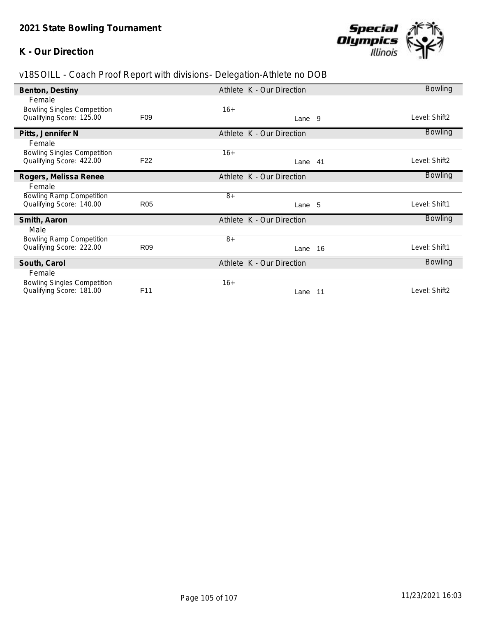## **K - Our Direction**



| Benton, Destiny                    |                 | Athlete K - Our Direction |     | <b>Bowling</b> |
|------------------------------------|-----------------|---------------------------|-----|----------------|
| Female                             |                 |                           |     |                |
| <b>Bowling Singles Competition</b> |                 | $16+$                     |     |                |
| Qualifying Score: 125.00           | F <sub>09</sub> | Lane 9                    |     | Level: Shift2  |
| Pitts, Jennifer N                  |                 | Athlete K - Our Direction |     | <b>Bowling</b> |
| Female                             |                 |                           |     |                |
| <b>Bowling Singles Competition</b> |                 | $16+$                     |     |                |
| Qualifying Score: 422.00           | F <sub>22</sub> | Lane 41                   |     | Level: Shift2  |
| Rogers, Melissa Renee              |                 | Athlete K - Our Direction |     | Bowling        |
| Female                             |                 |                           |     |                |
| <b>Bowling Ramp Competition</b>    |                 | $8+$                      |     |                |
| Qualifying Score: 140.00           | <b>R05</b>      | Lane 5                    |     | Level: Shift1  |
| Smith, Aaron                       |                 | Athlete K - Our Direction |     | <b>Bowling</b> |
| Male                               |                 |                           |     |                |
| <b>Bowling Ramp Competition</b>    |                 | $8+$                      |     |                |
| Qualifying Score: 222.00           | R <sub>09</sub> | Lane 16                   |     | Level: Shift1  |
| South, Carol                       |                 | Athlete K - Our Direction |     | <b>Bowling</b> |
| Female                             |                 |                           |     |                |
| <b>Bowling Singles Competition</b> |                 | $16+$                     |     |                |
| Qualifying Score: 181.00           | F11             | Lane                      | -11 | Level: Shift2  |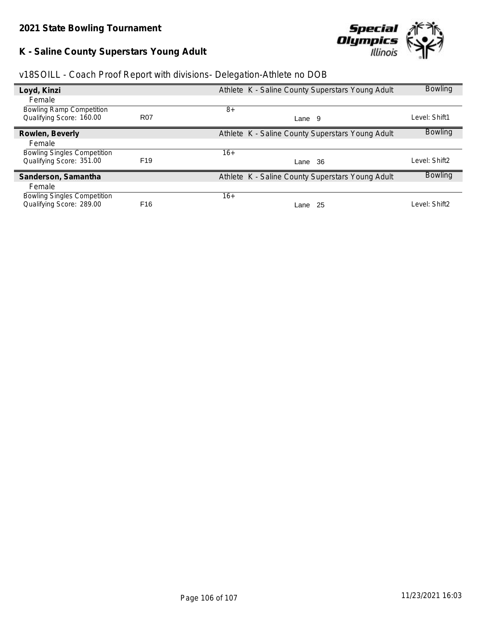# **K - Saline County Superstars Young Adult**



|  | v18SOILL - Coach Proof Report with divisions- Delegation-Athlete no DOB |  |
|--|-------------------------------------------------------------------------|--|
|  |                                                                         |  |

| Loyd, Kinzi                        |                 | Athlete K - Saline County Superstars Young Adult | <b>Bowling</b> |
|------------------------------------|-----------------|--------------------------------------------------|----------------|
| Female                             |                 |                                                  |                |
| <b>Bowling Ramp Competition</b>    |                 | $8+$                                             |                |
| Qualifying Score: 160.00           | <b>R07</b>      | Lane 9                                           | Level: Shift1  |
| Rowlen, Beverly                    |                 | Athlete K - Saline County Superstars Young Adult | <b>Bowling</b> |
| Female                             |                 |                                                  |                |
| <b>Bowling Singles Competition</b> |                 | $16+$                                            |                |
| Qualifying Score: 351.00           | F <sub>19</sub> | 36<br>Lane                                       | Level: Shift2  |
| Sanderson, Samantha                |                 | Athlete K - Saline County Superstars Young Adult | <b>Bowling</b> |
| Female                             |                 |                                                  |                |
| <b>Bowling Singles Competition</b> |                 | $16+$                                            |                |
| Qualifying Score: 289.00           | F <sub>16</sub> | 25<br>Lane                                       | Level: Shift2  |